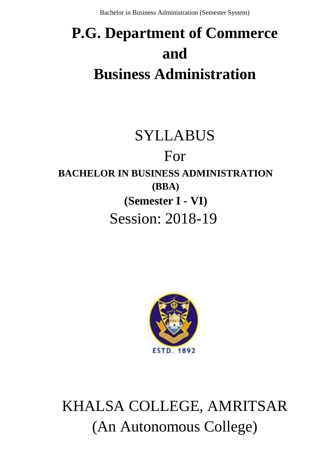# **P.G. Department of Commerce and Business Administration**

# SYLLABUS

# For **BACHELOR IN BUSINESS ADMINISTRATION (BBA) (Semester I - VI)** Session: 2018-19



# KHALSA COLLEGE, AMRITSAR (An Autonomous College)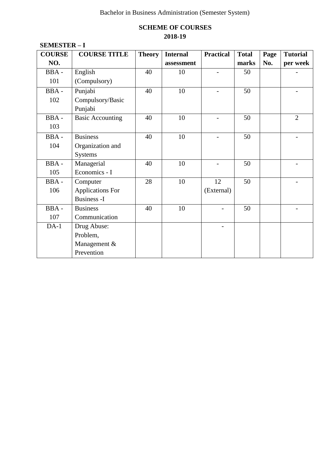# **SCHEME OF COURSES 2018-19**

| <b>COURSE</b> | <b>COURSE TITLE</b>     | <b>Theory</b> | <b>Internal</b> | <b>Practical</b> | <b>Total</b> | Page | <b>Tutorial</b> |
|---------------|-------------------------|---------------|-----------------|------------------|--------------|------|-----------------|
| NO.           |                         |               | assessment      |                  | marks        | No.  | per week        |
| BBA-          | English                 | 40            | 10              | $\overline{a}$   | 50           |      |                 |
| 101           | (Compulsory)            |               |                 |                  |              |      |                 |
| BBA-          | Punjabi                 | 40            | 10              |                  | 50           |      |                 |
| 102           | Compulsory/Basic        |               |                 |                  |              |      |                 |
|               | Punjabi                 |               |                 |                  |              |      |                 |
| BBA-          | <b>Basic Accounting</b> | 40            | 10              |                  | 50           |      | $\overline{2}$  |
| 103           |                         |               |                 |                  |              |      |                 |
| BBA-          | <b>Business</b>         | 40            | 10              |                  | 50           |      |                 |
| 104           | Organization and        |               |                 |                  |              |      |                 |
|               | <b>Systems</b>          |               |                 |                  |              |      |                 |
| BBA-          | Managerial              | 40            | 10              |                  | 50           |      |                 |
| 105           | Economics - I           |               |                 |                  |              |      |                 |
| BBA-          | Computer                | 28            | 10              | 12               | 50           |      |                 |
| 106           | <b>Applications For</b> |               |                 | (External)       |              |      |                 |
|               | <b>Business - I</b>     |               |                 |                  |              |      |                 |
| BBA-          | <b>Business</b>         | 40            | 10              |                  | 50           |      |                 |
| 107           | Communication           |               |                 |                  |              |      |                 |
| $DA-1$        | Drug Abuse:             |               |                 |                  |              |      |                 |
|               | Problem,                |               |                 |                  |              |      |                 |
|               | Management &            |               |                 |                  |              |      |                 |
|               | Prevention              |               |                 |                  |              |      |                 |

### **SEMESTER – I**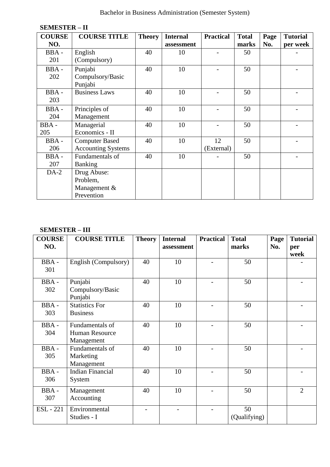| <b>COURSE</b> | <b>COURSE TITLE</b>       | <b>Theory</b> | <b>Internal</b> | <b>Practical</b> | <b>Total</b> | Page | <b>Tutorial</b> |
|---------------|---------------------------|---------------|-----------------|------------------|--------------|------|-----------------|
| NO.           |                           |               | assessment      |                  | marks        | No.  | per week        |
| BBA-          | English                   | 40            | 10              |                  | 50           |      |                 |
| 201           | (Compulsory)              |               |                 |                  |              |      |                 |
| BBA-          | Punjabi                   | 40            | 10              |                  | 50           |      |                 |
| 202           | Compulsory/Basic          |               |                 |                  |              |      |                 |
|               | Punjabi                   |               |                 |                  |              |      |                 |
| BBA-          | <b>Business Laws</b>      | 40            | 10              |                  | 50           |      |                 |
| 203           |                           |               |                 |                  |              |      |                 |
| BBA-          | Principles of             | 40            | 10              |                  | 50           |      |                 |
| 204           | Management                |               |                 |                  |              |      |                 |
| BBA-          | Managerial                | 40            | 10              |                  | 50           |      |                 |
| 205           | Economics - II            |               |                 |                  |              |      |                 |
| BBA-          | <b>Computer Based</b>     | 40            | 10              | 12               | 50           |      |                 |
| 206           | <b>Accounting Systems</b> |               |                 | (External)       |              |      |                 |
| BBA-          | Fundamentals of           | 40            | 10              |                  | 50           |      |                 |
| 207           | <b>Banking</b>            |               |                 |                  |              |      |                 |
| $DA-2$        | Drug Abuse:               |               |                 |                  |              |      |                 |
|               | Problem,                  |               |                 |                  |              |      |                 |
|               | Management &              |               |                 |                  |              |      |                 |
|               | Prevention                |               |                 |                  |              |      |                 |

#### **SEMESTER – II**

# **SEMESTER – III**

| <b>COURSE</b><br>NO. | <b>COURSE TITLE</b>                                    | <b>Theory</b> | <b>Internal</b><br>assessment | <b>Practical</b> | <b>Total</b><br>marks | Page<br>No. | <b>Tutorial</b><br>per |
|----------------------|--------------------------------------------------------|---------------|-------------------------------|------------------|-----------------------|-------------|------------------------|
| BBA-<br>301          | English (Compulsory)                                   | 40            | 10                            |                  | 50                    |             | week                   |
| BBA-<br>302          | Punjabi<br>Compulsory/Basic<br>Punjabi                 | 40            | 10                            |                  | 50                    |             |                        |
| BBA-<br>303          | <b>Statistics For</b><br><b>Business</b>               | 40            | 10                            |                  | 50                    |             |                        |
| BBA-<br>304          | Fundamentals of<br><b>Human Resource</b><br>Management | 40            | 10                            |                  | 50                    |             |                        |
| BBA-<br>305          | Fundamentals of<br>Marketing<br>Management             | 40            | 10                            |                  | 50                    |             |                        |
| BBA-<br>306          | <b>Indian Financial</b><br>System                      | 40            | 10                            |                  | 50                    |             |                        |
| BBA-<br>307          | Management<br>Accounting                               | 40            | 10                            |                  | 50                    |             | $\overline{2}$         |
| <b>ESL</b> - 221     | Environmental<br>Studies - I                           |               |                               |                  | 50<br>(Qualifying)    |             |                        |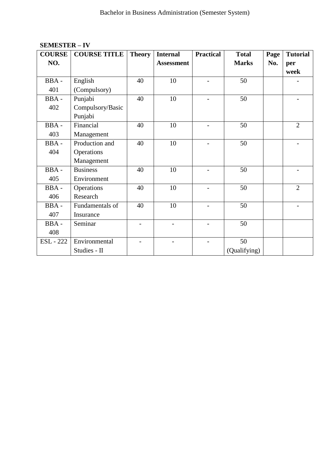| <b>COURSE</b>    | <b>COURSE TITLE</b> | <b>Theory</b> | <b>Internal</b>   | <b>Practical</b> | <b>Total</b> | Page | <b>Tutorial</b> |
|------------------|---------------------|---------------|-------------------|------------------|--------------|------|-----------------|
| NO.              |                     |               | <b>Assessment</b> |                  | <b>Marks</b> | No.  | per             |
|                  |                     |               |                   |                  |              |      | week            |
| BBA-             | English             | 40            | 10                |                  | 50           |      |                 |
| 401              | (Compulsory)        |               |                   |                  |              |      |                 |
| BBA-             | Punjabi             | 40            | 10                |                  | 50           |      |                 |
| 402              | Compulsory/Basic    |               |                   |                  |              |      |                 |
|                  | Punjabi             |               |                   |                  |              |      |                 |
| BBA-             | Financial           | 40            | 10                |                  | 50           |      | $\overline{2}$  |
| 403              | Management          |               |                   |                  |              |      |                 |
| BBA-             | Production and      | 40            | 10                |                  | 50           |      |                 |
| 404              | Operations          |               |                   |                  |              |      |                 |
|                  | Management          |               |                   |                  |              |      |                 |
| BBA-             | <b>Business</b>     | 40            | 10                |                  | 50           |      |                 |
| 405              | Environment         |               |                   |                  |              |      |                 |
| BBA-             | Operations          | 40            | 10                |                  | 50           |      | $\overline{2}$  |
| 406              | Research            |               |                   |                  |              |      |                 |
| BBA-             | Fundamentals of     | 40            | 10                |                  | 50           |      |                 |
| 407              | Insurance           |               |                   |                  |              |      |                 |
| BBA-             | Seminar             |               |                   |                  | 50           |      |                 |
| 408              |                     |               |                   |                  |              |      |                 |
| <b>ESL</b> - 222 | Environmental       |               |                   |                  | 50           |      |                 |
|                  | Studies - II        |               |                   |                  | (Qualifying) |      |                 |

# **SEMESTER – IV**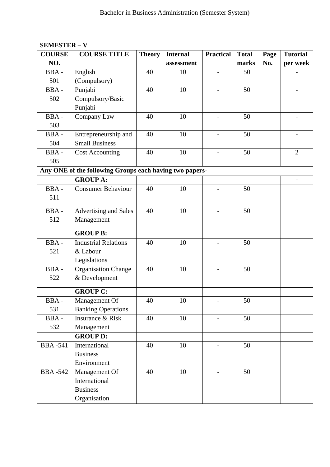| <b>COURSE</b>  | <b>COURSE TITLE</b>                                     | <b>Theory</b> | <b>Internal</b> | <b>Practical</b>         | <b>Total</b> | Page | <b>Tutorial</b> |
|----------------|---------------------------------------------------------|---------------|-----------------|--------------------------|--------------|------|-----------------|
| NO.            |                                                         |               | assessment      |                          | marks        | No.  | per week        |
| BBA-           | English                                                 | 40            | 10              |                          | 50           |      |                 |
| 501            | (Compulsory)                                            |               |                 |                          |              |      |                 |
| BBA-           | Punjabi                                                 | 40            | 10              | $\overline{\phantom{0}}$ | 50           |      |                 |
| 502            | Compulsory/Basic                                        |               |                 |                          |              |      |                 |
|                | Punjabi                                                 |               |                 |                          |              |      |                 |
| BBA-           | Company Law                                             | 40            | 10              | $\overline{\phantom{a}}$ | 50           |      |                 |
| 503            |                                                         |               |                 |                          |              |      |                 |
| BBA-           | Entrepreneurship and                                    | 40            | 10              |                          | 50           |      |                 |
| 504            | <b>Small Business</b>                                   |               |                 |                          |              |      |                 |
| BBA-           | <b>Cost Accounting</b>                                  | 40            | 10              | $\overline{a}$           | 50           |      | $\overline{2}$  |
| 505            |                                                         |               |                 |                          |              |      |                 |
|                | Any ONE of the following Groups each having two papers- |               |                 |                          |              |      |                 |
|                | <b>GROUP A:</b>                                         |               |                 |                          |              |      |                 |
| BBA-           | <b>Consumer Behaviour</b>                               | 40            | 10              |                          | 50           |      |                 |
| 511            |                                                         |               |                 |                          |              |      |                 |
| BBA-           | <b>Advertising and Sales</b>                            | 40            | 10              |                          | 50           |      |                 |
| 512            | Management                                              |               |                 |                          |              |      |                 |
|                |                                                         |               |                 |                          |              |      |                 |
|                | <b>GROUP B:</b>                                         |               |                 |                          |              |      |                 |
| BBA-           | <b>Industrial Relations</b>                             | 40            | 10              |                          | 50           |      |                 |
| 521            | & Labour                                                |               |                 |                          |              |      |                 |
|                | Legislations                                            |               |                 |                          |              |      |                 |
| BBA-           | <b>Organisation Change</b>                              | 40            | 10              |                          | 50           |      |                 |
| 522            | & Development                                           |               |                 |                          |              |      |                 |
|                | <b>GROUP C:</b>                                         |               |                 |                          |              |      |                 |
| BBA-           | Management Of                                           | 40            | 10              |                          | 50           |      |                 |
| 531            | <b>Banking Operations</b>                               |               |                 |                          |              |      |                 |
| BBA-           | Insurance & Risk                                        | 40            | 10              | $\overline{\phantom{0}}$ | 50           |      |                 |
| 532            | Management                                              |               |                 |                          |              |      |                 |
|                | <b>GROUP D:</b>                                         |               |                 |                          |              |      |                 |
| <b>BBA-541</b> | International                                           | 40            | 10              |                          | 50           |      |                 |
|                | <b>Business</b>                                         |               |                 |                          |              |      |                 |
|                | Environment                                             |               |                 |                          |              |      |                 |
| <b>BBA-542</b> | Management Of                                           | 40            | 10              | $\overline{\phantom{0}}$ | 50           |      |                 |
|                | International                                           |               |                 |                          |              |      |                 |
|                | <b>Business</b>                                         |               |                 |                          |              |      |                 |
|                | Organisation                                            |               |                 |                          |              |      |                 |

# **SEMESTER – V**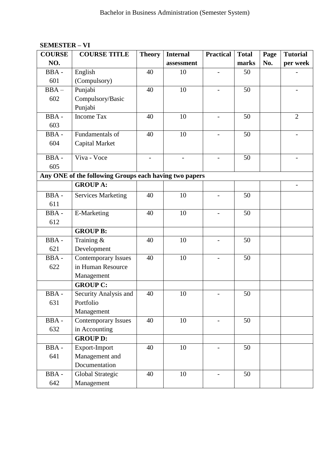| <b>COURSE</b> | <b>COURSE TITLE</b>                                                       | <b>Theory</b> | <b>Internal</b> | <b>Practical</b>         | <b>Total</b> | Page | <b>Tutorial</b>          |
|---------------|---------------------------------------------------------------------------|---------------|-----------------|--------------------------|--------------|------|--------------------------|
| NO.           |                                                                           |               | assessment      |                          | marks        | No.  | per week                 |
| BBA-          | English                                                                   | 40            | 10              |                          | 50           |      |                          |
| 601           | (Compulsory)                                                              |               |                 |                          |              |      |                          |
| $BBA -$       | Punjabi                                                                   | 40            | 10              | $\overline{\phantom{0}}$ | 50           |      | $\overline{\phantom{0}}$ |
| 602           | Compulsory/Basic                                                          |               |                 |                          |              |      |                          |
|               | Punjabi                                                                   |               |                 |                          |              |      |                          |
| BBA-          | <b>Income Tax</b>                                                         | 40            | 10              | $\overline{\phantom{a}}$ | 50           |      | $\overline{2}$           |
| 603           |                                                                           |               |                 |                          |              |      |                          |
| BBA-          | Fundamentals of                                                           | 40            | 10              |                          | 50           |      |                          |
| 604           | <b>Capital Market</b>                                                     |               |                 |                          |              |      |                          |
| BBA-          | Viva - Voce                                                               |               |                 |                          | 50           |      |                          |
|               |                                                                           |               |                 |                          |              |      |                          |
| 605           |                                                                           |               |                 |                          |              |      |                          |
|               | Any ONE of the following Groups each having two papers<br><b>GROUP A:</b> |               |                 |                          |              |      |                          |
|               |                                                                           |               |                 |                          |              |      |                          |
| BBA-          | <b>Services Marketing</b>                                                 | 40            | 10              |                          | 50           |      |                          |
| 611           |                                                                           |               |                 |                          |              |      |                          |
| BBA-          | E-Marketing                                                               | 40            | 10              | $\overline{\phantom{0}}$ | 50           |      |                          |
| 612           |                                                                           |               |                 |                          |              |      |                          |
|               | <b>GROUP B:</b>                                                           |               |                 |                          |              |      |                          |
| BBA-          | Training &                                                                | 40            | 10              |                          | 50           |      |                          |
| 621           | Development                                                               |               |                 |                          |              |      |                          |
| BBA-          | <b>Contemporary Issues</b>                                                | 40            | 10              |                          | 50           |      |                          |
| 622           | in Human Resource                                                         |               |                 |                          |              |      |                          |
|               | Management                                                                |               |                 |                          |              |      |                          |
|               | <b>GROUP C:</b>                                                           |               |                 |                          |              |      |                          |
| <b>BBA-</b>   | Security Analysis and                                                     | 40            | 10              |                          | 50           |      |                          |
| 631           | Portfolio                                                                 |               |                 |                          |              |      |                          |
|               | Management                                                                |               |                 |                          |              |      |                          |
| BBA-          | Contemporary Issues                                                       | 40            | 10              |                          | 50           |      |                          |
| 632           | in Accounting                                                             |               |                 |                          |              |      |                          |
|               | <b>GROUP D:</b>                                                           |               |                 |                          |              |      |                          |
| BBA-          | Export-Import                                                             | 40            | 10              |                          | 50           |      |                          |
| 641           | Management and                                                            |               |                 |                          |              |      |                          |
|               | Documentation                                                             |               |                 |                          |              |      |                          |
| BBA-          | Global Strategic                                                          | 40            | 10              |                          | 50           |      |                          |
| 642           | Management                                                                |               |                 |                          |              |      |                          |

# **SEMESTER – VI**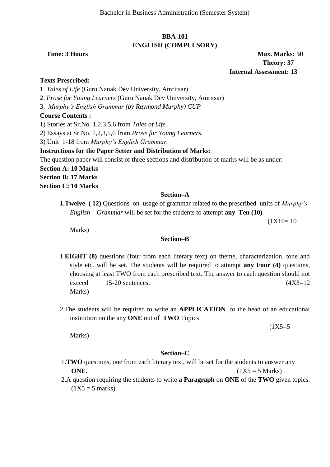# **BBA-101 ENGLISH (COMPULSORY)**

**Time: 3 Hours Max. Marks: 50 Theory: 37 Internal Assessment: 13**

#### **Texts Prescribed:**

1. *Tales of Life* (Guru Nanak Dev University, Amritsar)

2. *Prose for Young Learners* (Guru Nanak Dev University, Amritsar)

3. *Murphy's English Grammar (by Raymond Murphy) CUP*

#### **Course Contents :**

1) Stories at Sr.No. 1,2,3,5,6 from *Tales of Life*.

2) Essays at Sr.No. 1,2,3,5,6 from *Prose for Young Learners.*

3) Unit 1-18 from *Murphy's English Grammar.*

#### **Instructions for the Paper Setter and Distribution of Marks:**

The question paper will consist of three sections and distribution of marks will be as under:

**Section A: 10 Marks Section B: 17 Marks**

**Section C: 10 Marks**

#### **Section–A**

**1.Twelve ( 12)** Questions on usage of grammar related to the prescribed units of *Murphy's English Grammar* will be set for the students to attempt **any Ten (10)** 

 $(1X10=10$ 

Marks)

#### **Section–B**

- 1.**EIGHT (8)** questions (four from each literary text) on theme, characterization, tone and style etc. will be set. The students will be required to attempt **any Four (4)** questions, choosing at least TWO from each prescribed text. The answer to each question should not exceed  $15-20$  sentences. (4X3=12) Marks)
- 2.The students will be required to write an **APPLICATION** to the head of an educational institution on the any **ONE** out of **TWO** Topics

 $(1X5=5$ 

Marks)

#### **Section–C**

- 1.**TWO** questions, one from each literary text, will be set for the students to answer any **ONE.**  $(1X5 = 5 \text{ Marks})$
- 2.A question requiring the students to write **a Paragraph** on **ONE** of the **TWO** given topics.  $(1X5 = 5 \text{ marks})$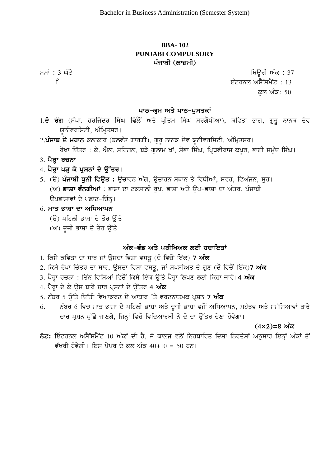# **BBA- 102 PUNJABI COMPULSORY** ਪੰਜਾਬੀ (ਲਾਜ਼ਮੀ)

smW : 3 GMty iQaUrI AMk : 37

i eMtrnl AsY~smYNt : 13

 $\approx 50$ ਕੁਲ ਅੰਕ: 50

#### ਪਾਠ-ਕ੍ਰਮ ਅਤੇ ਪਾਠ-ਪੁਸਤਕਾ<u>ਂ</u>

- 1.**ਦੋ ਰੰਗ** (ਸੰਪਾ. ਹਰਜਿੰਦਰ ਸਿੰਘ ਢਿੱਲੋਂ ਅਤੇ ਪ੍ਰੀਤਮ ਸਿੰਘ ਸਰਗੋਧੀਆ), ਕਵਿਤਾ ਭਾਗ, ਗਰ ਨਾਨਕ ਦੇਵ ਯਨੀਵਰਸਿਟੀ, ਅੰਮਿਤਸਰ।
- 2**.ਪੰਜਾਬ ਦੇ ਮਹਾਨ** ਕਲਾਕਾਰ (ਬਲਵੰਤ ਗਾਰਗੀ), ਗੁਰੂ ਨਾਨਕ ਦੇਵ ਯੂਨੀਵਰਸਿਟੀ, ਅੰਮ੍ਰਿਤਸਰ। ਰੇਖਾ ਚਿੱਤਰ : ਕੇ. ਐਲ. ਸਹਿਗਲ, ਬੜੇ ਗ਼ਲਾਮ ਖਾਂ, ਸੋਭਾ ਸਿੰਘ, ਪ੍ਰਿਥਵੀਰਾਜ ਕਪਰ, ਭਾਈ ਸਮੁੰਦ ਸਿੰਘ।
- 3. **ਪੈਰ੍ਹਾ ਰਚਨਾ**
- 4. ਪੈਰ੍ਹਾ ਪੜ੍ਹ ਕੇ ਪ੍ਰਸ਼ਨਾਂ ਦੇ ਉੱਤਰ।
- 5. (ੳ) **ਪੰਜਾਬੀ ਧੁਨੀ ਵਿਉਤ :** ਉਚਾਰਨ ਅੰਗ, ਉਚਾਰਨ ਸਥਾਨ ਤੇ ਵਿਧੀਆਂ, ਸਵਰ, ਵਿਅੰਜਨ, ਸਰ। (ਅ) **ਭਾਸ਼ਾ ਵੰਨਗੀਆਂ** : ਭਾਸ਼ਾ ਦਾ ਟਕਸਾਲੀ ਰਪ, ਭਾਸ਼ਾ ਅਤੇ ੳਪ-ਭਾਸ਼ਾ ਦਾ ਅੰਤਰ, ਪੰਜਾਬੀ ੳਪਭਾਸ਼ਾਵਾਂ ਦੇ ਪਛਾਣ-ਚਿੰਨ।

# 6. **ਮਾਤ ਭਾਸ਼ਾ ਦਾ ਅਧਿਆਪਨ**

- (ੳ) ਪਹਿਲੀ ਭਾਸ਼ਾ ਦੇ ਤੌਰ ੳੱਤੇ
- $(M)$  ਦੂਜੀ ਭਾਸ਼ਾ ਦੇ ਤੌਰ ਉੱਤੇ

# ਅੰਕ-ਵੰਡ ਅਤੇ ਪਰੀਖਿਅਕ ਲਈ ਹਦਾਇਤਾ<u>ਂ</u>

- 1. ਕਿਸੇ ਕਵਿਤਾ ਦਾ ਸਾਰ ਜਾਂ ਉਸਦਾ ਵਿਸ਼ਾ ਵਸਤ (ਦੋ ਵਿਚੋਂ ਇੱਕ) **7 ਅੰਕ**
- 2. ਕਿਸੇ ਰੇਖਾ ਚਿੱਤਰ ਦਾ ਸਾਰ, ਉਸਦਾ ਵਿਸ਼ਾ ਵਸਤੂ, ਜਾਂ ਸ਼ਖਸੀਅਤ ਦੇ ਗੁਣ (ਦੋ ਵਿਚੋਂ ਇੱਕ)7 **ਅੰਕ**
- 3. ਪੈਰ੍ਹਾ ਰਚਨਾ : ਤਿੰਨ ਵਿਸ਼ਿਆਂ ਵਿਚੋਂ ਕਿਸੇ ਇੱਕ ਉੱਤੇ ਪੈਰ੍ਹਾ ਲਿਖਣ ਲਈ ਕਿਹਾ ਜਾਵੇ।**4 ਅੰਕ**
- 4. ਪੈਰ੍ਹਾ ਦੇ ਕੇ ਉਸ ਬਾਰੇ ਚਾਰ ਪੁਸ਼ਨਾਂ ਦੇ ਉੱਤਰ 4 **ਅੰਕ**
- 5. ਨੰਬਰ 5 ਉੱਤੇ ਦਿੱਤੀ ਵਿਆਕਰਣ ਦੇ ਆਧਾਰ 'ਤੇ ਵਰਣਨਾਤਮਕ ਪੁਸ਼ਨ **7 ਅੰਕ**
- 6. ਨੰਬਰ 6 ਵਿਚ ਮਾਤ ਭਾਸ਼ਾ ਦੇ ਪਹਿਲੀ ਭਾਸ਼ਾ ਅਤੇ ਦਜੀ ਭਾਸ਼ਾ ਵਜੋਂ ਅਧਿਆਪਨ, ਮਹੱਤਵ ਅਤੇ ਸਮੱਸਿਆਵਾਂ ਬਾਰੇ ਚਾਰ ਪੁਸ਼ਨ ਪੁੱਛੇ ਜਾਣਗੇ, ਜਿਨ੍ਹਾਂ ਵਿਚੋ ਵਿਦਿਆਰਥੀ ਨੇ ਦੋ ਦਾ ਉੱਤਰ ਦੇਣਾ ਹੋਵੇਗਾ।

# <u>(4×2)=8 ਅੰਕ</u>

 $\overline{5z}$ : ਇੰਟਰਨਲ ਅਸੈੱਸਮੈਂਟ 10 ਅੰਕਾਂ ਦੀ ਹੈ, ਜੋ ਕਾਲਜ ਵਲੋਂ ਨਿਰਧਾਰਿਤ ਦਿਸ਼ਾ ਨਿਰਦੇਸ਼ਾਂ ਅਨੁਸਾਰ ਇਨ੍ਹਾਂ ਅੰਕਾਂ ਤੋਂ ਵੱਖਰੀ ਹੋਵੇਗੀ। ਇਸ ਪੇਪਰ ਦੇ ਕੁਲ ਅੰਕ 40+10 = 50 ਹਨ।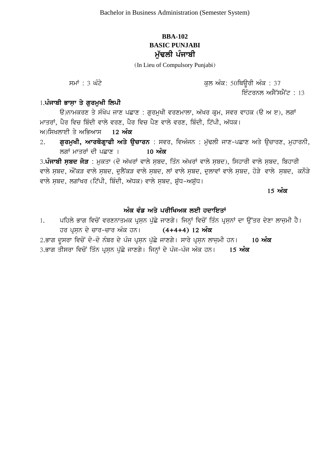# **BBA-102 BASIC PUNJABI ਮੱਢਲੀ** ਪੰਜਾਬੀ

(In Lieu of Compulsory Punjabi)

ਸਮਾਂ : 3 ਘੰਟੇ ਬਾਰੇ ਵਿੱਚ ਵਿੱਚ ਕਾਰੀ ਕਰਨ ਅੰਕ: 50ਥਿਊਰੀ ਅੰਕ : 37

ਇੰਟਰਨਲ ਅਸੈੱਸਮੈਂਟ : 13

# 1.ਪੰਜਾਬੀ ਭਾਸ਼ਾ ਤੇ ਗਰਮਖੀ ਲਿਪੀ

ਉ)ਨਾਮਕਰਣ ਤੇ ਸੰਖੇਪ ਜਾਣ ਪਛਾਣ : ਗਰਮਖੀ ਵਰਣਮਾਲਾ, ਅੱਖਰ ਕਮ, ਸਵਰ ਵਾਹਕ (ੳ ਅ ੲ), ਲਗਾਂ ਮਾਤਰਾਂ, ਪੈਰ ਵਿਚ ਬਿੰਦੀ ਵਾਲੇ ਵਰਣ, ਪੈਰ ਵਿਚ ਪੈਣ ਵਾਲੇ ਵਰਣ, ਬਿੰਦੀ, ਟਿੱਪੀ, ਅੱਧਕ। ਅ)ਸਿਖਲਾਈ ਤੇ ਅਭਿਆਸ 12 **ਅੰਕ** 

2. **ਗੁਰਮੁਖੀ, ਆਰਥੋਗ੍ਹਾਫੀ ਅਤੇ ਉਚਾਰਨ** : ਸਵਰ, ਵਿਅੰਜਨ : ਮੁੱਢਲੀ ਜਾਣ-ਪਛਾਣ ਅਤੇ ਉਚਾਰਣ, ਮੁਹਾਰਨੀ, lgW mwqrW dI pCwx [ **10 AMk**

3.**ਪੰਜਾਬੀ ਸਬਦ ਜੋੜ** : ਮਕਤਾ (ਦੋ ਅੱਖਰਾਂ ਵਾਲੇ ਸਬਦ, ਤਿੰਨ ਅੱਖਰਾਂ ਵਾਲੇ ਸਬਦ), ਸਿਹਾਰੀ ਵਾਲੇ ਸਬਦ, ਬਿਹਾਰੀ ਵਾਲੇ ਸਬਦ, ਔਂਕੜ ਵਾਲੇ ਸਬਦ, ਦੁਲੈਂਕੜ ਵਾਲੇ ਸਬਦ, ਲਾਂ ਵਾਲੇ ਸਬਦ, ਦੁਲਾਵਾਂ ਵਾਲੇ ਸਬਦ, ਹੋੜੇ ਵਾਲੇ ਸਬਦ, ਕਨੌੜੇ ਵਾਲੇ ਸਬਦ, ਲਗਾਂਖਰ (ਟਿੱਪੀ, ਬਿੰਦੀ, ਅੱਧਕ) ਵਾਲੇ ਸਬਦ, ਸ਼ੱਧ-ਅਸ਼ੱਧ।

<u>15 ਅੰਕ</u>

### ਅੰਕ ਵੰਡ ਅਤੇ ਪਰੀਖਿਅਕ ਲਈ ਹਦਾਇਤਾ<u>ਂ</u>

- 1. ਪਹਿਲੇ ਭਾਗ ਵਿਚੋਂ ਵਰਣਨਾਤਮਕ ਪੁਸਨ ਪੱਛੇ ਜਾਣਗੇ। ਜਿਨ੍ਹਾਂ ਵਿਚੋਂ ਤਿੰਨ ਪੁਸਨਾਂ ਦਾ ਉੱਤਰ ਦੇਣਾ ਲਾਜਮੀ ਹੈ। ਹਰ ਪੁਸ਼ਨ ਦੇ ਚਾਰ-ਚਾਰ ਅੰਕ ਹਨ। (4+4+4) 12 **ਅੰਕ** 2.ਭਾਗ ਦਸਰਾ ਵਿਚੋਂ ਦੋ-ਦੋ ਨੰਬਰ ਦੇ ਪੰਜ ਪੁਸਨ ਪੱਛੇ ਜਾਣਗੇ। ਸਾਰੇ ਪੁਸਨ ਲਾਜਮੀ ਹਨ। 10 **ਅੰਕ**
- 3.ਭਾਗ ਤੀਸਰਾ ਵਿਚੋਂ ਤਿੰਨ ਪੁਸਨ ਪੱਛੇ ਜਾਣਗੇ। ਜਿਨ੍ਹਾਂ ਦੇ ਪੰਜ<sup>ੁ</sup>ਪੰਜ ਅੰਕ ਹਨ। 15 **ਅੰਕ**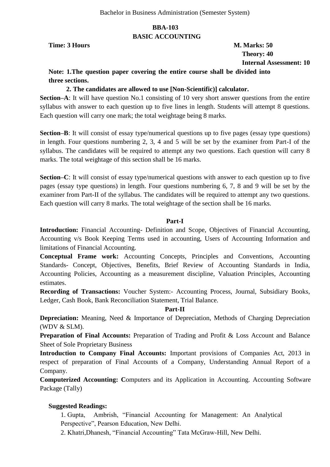### **BBA-103 BASIC ACCOUNTING**

**Time: 3 Hours M. Marks: 50** 

 **Theory: 40 Internal Assessment: 10**

# **Note: 1.The question paper covering the entire course shall be divided into three sections.**

#### **2. The candidates are allowed to use [Non-Scientific)] calculator.**

**Section–A**: It will have question No.1 consisting of 10 very short answer questions from the entire syllabus with answer to each question up to five lines in length. Students will attempt 8 questions. Each question will carry one mark; the total weightage being 8 marks.

**Section–B**: It will consist of essay type/numerical questions up to five pages (essay type questions) in length. Four questions numbering 2, 3, 4 and 5 will be set by the examiner from Part-I of the syllabus. The candidates will be required to attempt any two questions. Each question will carry 8 marks. The total weightage of this section shall be 16 marks.

**Section–C**: It will consist of essay type/numerical questions with answer to each question up to five pages (essay type questions) in length. Four questions numbering 6, 7, 8 and 9 will be set by the examiner from Part-II of the syllabus. The candidates will be required to attempt any two questions. Each question will carry 8 marks. The total weightage of the section shall be 16 marks.

#### **Part-I**

**Introduction:** Financial Accounting- Definition and Scope, Objectives of Financial Accounting, Accounting v/s Book Keeping Terms used in accounting, Users of Accounting Information and limitations of Financial Accounting.

**Conceptual Frame work:** Accounting Concepts, Principles and Conventions, Accounting Standards- Concept, Objectives, Benefits, Brief Review of Accounting Standards in India, Accounting Policies, Accounting as a measurement discipline, Valuation Principles, Accounting estimates.

**Recording of Transactions:** Voucher System:- Accounting Process, Journal, Subsidiary Books, Ledger, Cash Book, Bank Reconciliation Statement, Trial Balance.

#### **Part-II**

**Depreciation:** Meaning, Need & Importance of Depreciation, Methods of Charging Depreciation (WDV & SLM).

**Preparation of Final Accounts:** Preparation of Trading and Profit & Loss Account and Balance Sheet of Sole Proprietary Business

**Introduction to Company Final Accounts:** Important provisions of Companies Act, 2013 in respect of preparation of Final Accounts of a Company, Understanding Annual Report of a Company.

**Computerized Accounting: C**omputers and its Application in Accounting. Accounting Software Package (Tally)

#### **Suggested Readings:**

1. Gupta, Ambrish, "Financial Accounting for Management: An Analytical Perspective", Pearson Education, New Delhi.

2. Khatri, Dhanesh, "Financial Accounting" Tata McGraw-Hill, New Delhi.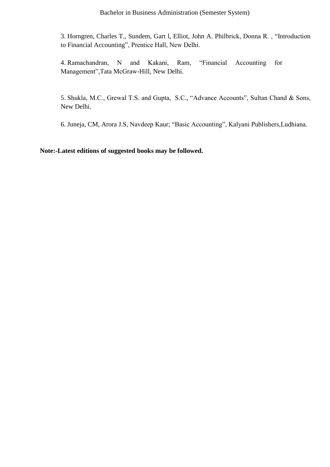3. Horngren, Charles T., Sundem, Gart I, Elliot, John A. Philbrick, Donna R., "Introduction to Financial Accounting", Prentice Hall, New Delhi.

4. Ramachandran, N and Kakani, Ram, "Financial Accounting for Management", Tata McGraw-Hill, New Delhi.

5. Shukla, M.C., Grewal T.S. and Gupta, S.C., "Advance Accounts", Sultan Chand & Sons, New Delhi.

6. Juneja, CM, Arora J.S, Navdeep Kaur; "Basic Accounting", Kalyani Publishers, Ludhiana.

**Note:-Latest editions of suggested books may be followed.**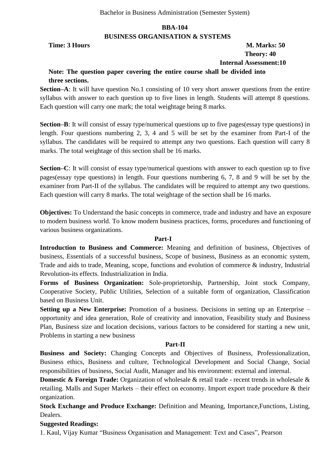#### **BBA-104 BUSINESS ORGANISATION & SYSTEMS**

# **Time: 3 Hours M. Marks: 50 Theory: 40 Internal Assessment:10**

# **Note: The question paper covering the entire course shall be divided into three sections.**

**Section–A**: It will have question No.1 consisting of 10 very short answer questions from the entire syllabus with answer to each question up to five lines in length. Students will attempt 8 questions. Each question will carry one mark; the total weightage being 8 marks.

**Section–B**: It will consist of essay type/numerical questions up to five pages(essay type questions) in length. Four questions numbering 2, 3, 4 and 5 will be set by the examiner from Part-I of the syllabus. The candidates will be required to attempt any two questions. Each question will carry 8 marks. The total weightage of this section shall be 16 marks.

**Section–C**: It will consist of essay type/numerical questions with answer to each question up to five pages(essay type questions) in length. Four questions numbering 6, 7, 8 and 9 will be set by the examiner from Part-II of the syllabus. The candidates will be required to attempt any two questions. Each question will carry 8 marks. The total weightage of the section shall be 16 marks.

**Objectives:** To Understand the basic concepts in commerce, trade and industry and have an exposure to modern business world. To know modern business practices, forms, procedures and functioning of various business organizations.

#### **Part-I**

**Introduction to Business and Commerce:** Meaning and definition of business, Objectives of business, Essentials of a successful business, Scope of business, Business as an economic system, Trade and aids to trade, Meaning, scope, functions and evolution of commerce & industry, Industrial Revolution-its effects. Industrialization in India.

**Forms of Business Organization:** Sole-proprietorship, Partnership, Joint stock Company, Cooperative Society, Public Utilities, Selection of a suitable form of organization, Classification based on Business Unit.

**Setting up a New Enterprise:** Promotion of a business. Decisions in setting up an Enterprise – opportunity and idea generation, Role of creativity and innovation, Feasibility study and Business Plan, Business size and location decisions, various factors to be considered for starting a new unit, Problems in starting a new business

#### **Part-II**

**Business and Society:** Changing Concepts and Objectives of Business, Professionalization, Business ethics, Business and culture, Technological Development and Social Change, Social responsibilities of business, Social Audit, Manager and his environment: external and internal.

**Domestic & Foreign Trade:** Organization of wholesale & retail trade - recent trends in wholesale & retailing. Malls and Super Markets – their effect on economy. Import export trade procedure & their organization.

**Stock Exchange and Produce Exchange:** Definition and Meaning, Importance,Functions, Listing, Dealers.

#### **Suggested Readings:**

1. Kaul, Vijay Kumar "Business Organisation and Management: Text and Cases", Pearson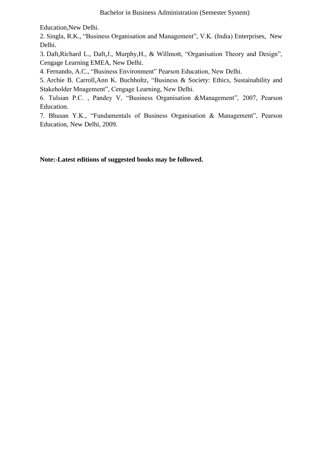Education,New Delhi.

2. Singla, R.K., "Business Organisation and Management", V.K. (India) Enterprises, New Delhi.

3. Daft, Richard L., Daft, J., Murphy, H., & Willmott, "Organisation Theory and Design", Cengage Learning EMEA, New Delhi.

4. Fernando, A.C., "Business Environment" Pearson Education, New Delhi.

5. Archie B. Carroll,Ann K. Buchholtz, "Business & Society: Ethics, Sustainability and Stakeholder Mnagement", Cengage Learning, New Delhi.

6. Tulsian P.C., Pandey V, "Business Organisation &Management", 2007, Pearson Education.

7. Bhusan Y.K., "Fundamentals of Business Organisation & Management", Pearson Education, New Delhi, 2009.

**Note:-Latest editions of suggested books may be followed.**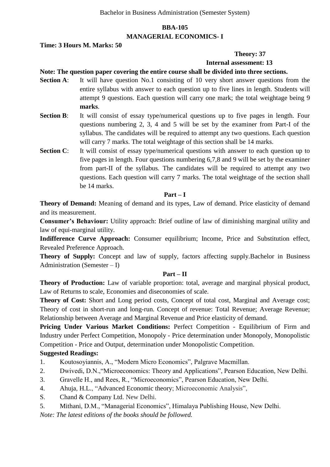# **BBA-105 MANAGERIAL ECONOMICS- I**

#### **Time: 3 Hours M. Marks: 50**

#### **Theory: 37**

#### **Internal assessment: 13**

#### **Note: The question paper covering the entire course shall be divided into three sections.**

- **Section A:** It will have question No.1 consisting of 10 very short answer questions from the entire syllabus with answer to each question up to five lines in length. Students will attempt 9 questions. Each question will carry one mark; the total weightage being 9 **marks**.
- **Section B:** It will consist of essay type/numerical questions up to five pages in length. Four questions numbering 2, 3, 4 and 5 will be set by the examiner from Part-I of the syllabus. The candidates will be required to attempt any two questions. Each question will carry 7 marks. The total weightage of this section shall be 14 marks.
- **Section C:** It will consist of essay type/numerical questions with answer to each question up to five pages in length. Four questions numbering 6,7,8 and 9 will be set by the examiner from part-II of the syllabus. The candidates will be required to attempt any two questions. Each question will carry 7 marks. The total weightage of the section shall be 14 marks.

#### **Part – I**

**Theory of Demand:** Meaning of demand and its types, Law of demand. Price elasticity of demand and its measurement.

**Consumer's Behaviour:** Utility approach: Brief outline of law of diminishing marginal utility and law of equi-marginal utility.

**Indifference Curve Approach:** Consumer equilibrium; Income, Price and Substitution effect, Revealed Preference Approach.

**Theory of Supply:** Concept and law of supply, factors affecting supply.Bachelor in Business Administration (Semester – I)

#### **Part – II**

**Theory of Production:** Law of variable proportion: total, average and marginal physical product, Law of Returns to scale, Economies and diseconomies of scale.

**Theory of Cost:** Short and Long period costs, Concept of total cost, Marginal and Average cost; Theory of cost in short-run and long-run. Concept of revenue: Total Revenue; Average Revenue; Relationship between Average and Marginal Revenue and Price elasticity of demand.

Pricing Under Various Market Conditions: Perfect Competition - Equilibrium of Firm and Industry under Perfect Competition, Monopoly - Price determination under Monopoly, Monopolistic Competition - Price and Output, determination under Monopolistic Competition.

#### **Suggested Readings:**

- 1. Koutosoviannis, A., "Modern Micro Economics", Palgrave Macmillan.
- 2. Dwivedi, D.N., "Microeconomics: Theory and Applications", Pearson Education, New Delhi.
- 3. Gravelle H., and Rees, R., "Microeconomics", Pearson Education, New Delhi.
- 4. Ahuja, H.L., "Advanced Economic theory; Microeconomic Analysis",
- S. Chand & Company Ltd. New Delhi.
- 5. Mithani, D.M., "Managerial Economics", Himalaya Publishing House, New Delhi.

*Note: The latest editions of the books should be followed.*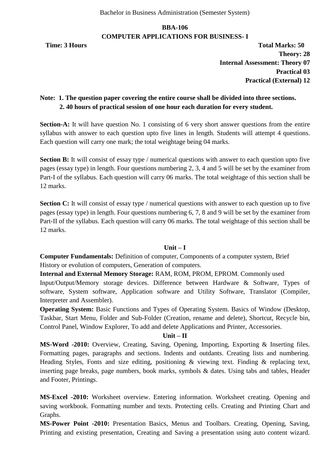# **BBA-106 COMPUTER APPLICATIONS FOR BUSINESS- I**

**Time: 3 Hours Total Marks: 50 Theory: 28 Internal Assessment: Theory 07 Practical 03 Practical (External) 12**

# **Note: 1. The question paper covering the entire course shall be divided into three sections. 2. 40 hours of practical session of one hour each duration for every student.**

**Section-A:** It will have question No. 1 consisting of 6 very short answer questions from the entire syllabus with answer to each question upto five lines in length. Students will attempt 4 questions. Each question will carry one mark; the total weightage being 04 marks.

**Section B:** It will consist of essay type / numerical questions with answer to each question upto five pages (essay type) in length. Four questions numbering 2, 3, 4 and 5 will be set by the examiner from Part-I of the syllabus. Each question will carry 06 marks. The total weightage of this section shall be 12 marks.

**Section C:** It will consist of essay type / numerical questions with answer to each question up to five pages (essay type) in length. Four questions numbering 6, 7, 8 and 9 will be set by the examiner from Part-II of the syllabus. Each question will carry 06 marks. The total weightage of this section shall be 12 marks.

#### **Unit – I**

**Computer Fundamentals:** Definition of computer, Components of a computer system, Brief History or evolution of computers, Generation of computers.

**Internal and External Memory Storage:** RAM, ROM, PROM, EPROM. Commonly used Input/Output/Memory storage devices. Difference between Hardware & Software, Types of software, System software, Application software and Utility Software, Translator (Compiler, Interpreter and Assembler).

**Operating System:** Basic Functions and Types of Operating System. Basics of Window (Desktop, Taskbar, Start Menu, Folder and Sub-Folder (Creation, rename and delete), Shortcut, Recycle bin, Control Panel, Window Explorer, To add and delete Applications and Printer, Accessories.

#### **Unit – II**

**MS-Word -2010:** Overview, Creating, Saving, Opening, Importing, Exporting & Inserting files. Formatting pages, paragraphs and sections. Indents and outdants. Creating lists and numbering. Heading Styles, Fonts and size editing, positioning & viewing text. Finding & replacing text, inserting page breaks, page numbers, book marks, symbols & dates. Using tabs and tables, Header and Footer, Printings.

**MS-Excel -2010:** Worksheet overview. Entering information. Worksheet creating. Opening and saving workbook. Formatting number and texts. Protecting cells. Creating and Printing Chart and Graphs.

**MS-Power Point -2010:** Presentation Basics, Menus and Toolbars. Creating, Opening, Saving, Printing and existing presentation, Creating and Saving a presentation using auto content wizard.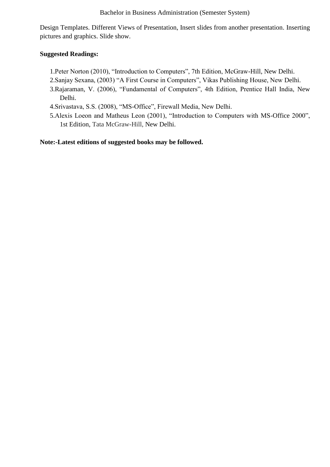Design Templates. Different Views of Presentation, Insert slides from another presentation. Inserting pictures and graphics. Slide show.

#### **Suggested Readings:**

- 1. Peter Norton (2010), "Introduction to Computers", 7th Edition, McGraw-Hill, New Delhi.
- 2. Sanjay Sexana, (2003) "A First Course in Computers", Vikas Publishing House, New Delhi.
- 3.Rajaraman, V. (2006), "Fundamental of Computers", 4th Edition, Prentice Hall India, New Delhi.
- 4. Srivastava, S.S. (2008), "MS-Office", Firewall Media, New Delhi.
- 5.Alexis Loeon and Matheus Leon (2001), "Introduction to Computers with MS-Office 2000", 1st Edition, Tata McGraw-Hill, New Delhi.

**Note:-Latest editions of suggested books may be followed.**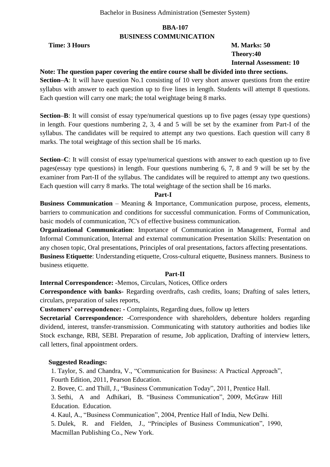#### **BBA-107 BUSINESS COMMUNICATION**

**Time: 3 Hours M. Marks: 50** 

 **Theory:40 Internal Assessment: 10**

### **Note: The question paper covering the entire course shall be divided into three sections.**

**Section–A**: It will have question No.1 consisting of 10 very short answer questions from the entire syllabus with answer to each question up to five lines in length. Students will attempt 8 questions. Each question will carry one mark; the total weightage being 8 marks.

**Section–B**: It will consist of essay type/numerical questions up to five pages (essay type questions) in length. Four questions numbering 2, 3, 4 and 5 will be set by the examiner from Part-I of the syllabus. The candidates will be required to attempt any two questions. Each question will carry 8 marks. The total weightage of this section shall be 16 marks.

**Section–C**: It will consist of essay type/numerical questions with answer to each question up to five pages(essay type questions) in length. Four questions numbering 6, 7, 8 and 9 will be set by the examiner from Part-II of the syllabus. The candidates will be required to attempt any two questions. Each question will carry 8 marks. The total weightage of the section shall be 16 marks.

#### **Part-I**

**Business Communication** – Meaning & Importance, Communication purpose, process, elements, barriers to communication and conditions for successful communication. Forms of Communication, basic models of communication, 7C's of effective business communication.

**Organizational Communication**: Importance of Communication in Management, Formal and Informal Communication, Internal and external communication Presentation Skills: Presentation on any chosen topic, Oral presentations, Principles of oral presentations, factors affecting presentations. **Business Etiquette**: Understanding etiquette, Cross-cultural etiquette, Business manners. Business to business etiquette.

#### **Part-II**

**Internal Correspondence:** -Memos, Circulars, Notices, Office orders

**Correspondence with banks-** Regarding overdrafts, cash credits, loans; Drafting of sales letters, circulars, preparation of sales reports,

**Customers' correspondence: -** Complaints, Regarding dues, follow up letters

**Secretarial Correspondence:** -Correspondence with shareholders, debenture holders regarding dividend, interest, transfer-transmission. Communicating with statutory authorities and bodies like Stock exchange, RBI, SEBI. Preparation of resume, Job application, Drafting of interview letters, call letters, final appointment orders.

#### **Suggested Readings:**

1. Taylor, S. and Chandra, V., "Communication for Business: A Practical Approach", Fourth Edition, 2011, Pearson Education.

2. Bovee, C. and Thill, J., "Business Communication Today", 2011, Prentice Hall.

3. Sethi, A and Adhikari, B. "Business Communication", 2009, McGraw Hill Education. Education.

4. Kaul, A., "Business Communication", 2004, Prentice Hall of India, New Delhi.

5. Dulek, R. and Fielden, J., "Principles of Business Communication", 1990, Macmillan Publishing Co., New York.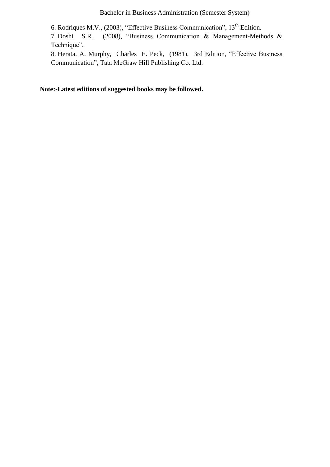6. Rodriques M.V., (2003), "Effective Business Communication",  $13<sup>th</sup>$  Edition.

7. Doshi S.R., (2008), "Business Communication & Management-Methods & Technique".

8. Herata. A. Murphy, Charles E. Peck, (1981), 3rd Edition, "Effective Business Communication", Tata McGraw Hill Publishing Co. Ltd.

**Note:-Latest editions of suggested books may be followed.**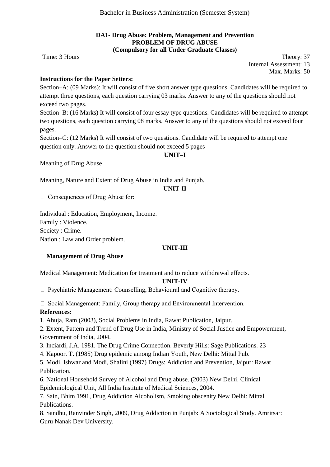#### **DA1- Drug Abuse: Problem, Management and Prevention PROBLEM OF DRUG ABUSE (Compulsory for all Under Graduate Classes)**

Time: 3 Hours Theory: 37 Internal Assessment: 13 Max. Marks: 50

#### **Instructions for the Paper Setters:**

Section–A: (09 Marks): It will consist of five short answer type questions. Candidates will be required to attempt three questions, each question carrying 03 marks. Answer to any of the questions should not exceed two pages.

Section–B: (16 Marks) It will consist of four essay type questions. Candidates will be required to attempt two questions, each question carrying 08 marks. Answer to any of the questions should not exceed four pages.

Section–C: (12 Marks) It will consist of two questions. Candidate will be required to attempt one question only. Answer to the question should not exceed 5 pages

#### **UNIT–I**

Meaning of Drug Abuse

Meaning, Nature and Extent of Drug Abuse in India and Punjab.

#### **UNIT-II**

□ Consequences of Drug Abuse for:

Individual : Education, Employment, Income. Family : Violence. Society : Crime. Nation : Law and Order problem.

#### **UNIT-III**

#### **Management of Drug Abuse**

Medical Management: Medication for treatment and to reduce withdrawal effects.

#### **UNIT-IV**

 $\Box$  Psychiatric Management: Counselling, Behavioural and Cognitive therapy.

 $\Box$  Social Management: Family, Group therapy and Environmental Intervention. **References:** 

1. Ahuja, Ram (2003), Social Problems in India, Rawat Publication, Jaipur.

2. Extent, Pattern and Trend of Drug Use in India, Ministry of Social Justice and Empowerment, Government of India, 2004.

3. Inciardi, J.A. 1981. The Drug Crime Connection. Beverly Hills: Sage Publications. 23

4. Kapoor. T. (1985) Drug epidemic among Indian Youth, New Delhi: Mittal Pub.

5. Modi, Ishwar and Modi, Shalini (1997) Drugs: Addiction and Prevention, Jaipur: Rawat Publication.

6. National Household Survey of Alcohol and Drug abuse. (2003) New Delhi, Clinical

Epidemiological Unit, All India Institute of Medical Sciences, 2004.

7. Sain, Bhim 1991, Drug Addiction Alcoholism, Smoking obscenity New Delhi: Mittal Publications.

8. Sandhu, Ranvinder Singh, 2009, Drug Addiction in Punjab: A Sociological Study. Amritsar: Guru Nanak Dev University.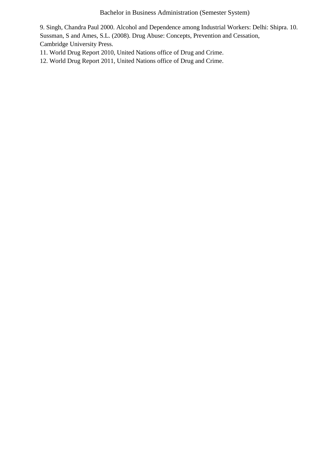9. Singh, Chandra Paul 2000. Alcohol and Dependence among Industrial Workers: Delhi: Shipra. 10. Sussman, S and Ames, S.L. (2008). Drug Abuse: Concepts, Prevention and Cessation, Cambridge University Press.

- 11. World Drug Report 2010, United Nations office of Drug and Crime.
- 12. World Drug Report 2011, United Nations office of Drug and Crime.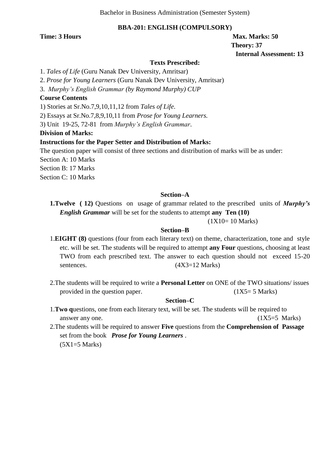#### **BBA-201: ENGLISH (COMPULSORY)**

**Time: 3 Hours Max.** Marks: 50  **Theory: 37 Internal Assessment: 13**

#### **Texts Prescribed:**

1. *Tales of Life* (Guru Nanak Dev University, Amritsar)

2. *Prose for Young Learners* (Guru Nanak Dev University, Amritsar)

3. *Murphy's English Grammar (by Raymond Murphy) CUP*

#### **Course Contents**

1) Stories at Sr.No.7,9,10,11,12 from *Tales of Life*.

2) Essays at Sr.No.7,8,9,10,11 from *Prose for Young Learners.*

3) Unit 19-25, 72-81 from *Murphy's English Grammar*.

#### **Division of Marks:**

#### **Instructions for the Paper Setter and Distribution of Marks:**

The question paper will consist of three sections and distribution of marks will be as under:

Section A: 10 Marks

Section B: 17 Marks

Section C: 10 Marks

#### **Section–A**

**1.Twelve ( 12)** Questions on usage of grammar related to the prescribed units of *Murphy's English Grammar* will be set for the students to attempt **any Ten (10)**

(1X10= 10 Marks)

#### **Section–B**

- 1.**EIGHT (8)** questions (four from each literary text) on theme, characterization, tone and style etc. will be set. The students will be required to attempt **any Four** questions, choosing at least TWO from each prescribed text. The answer to each question should not exceed 15-20 sentences. (4X3=12 Marks)
- 2.The students will be required to write a **Personal Letter** on ONE of the TWO situations/ issues provided in the question paper.  $(1X5=5 \text{ Marks})$

#### **Section–C**

- 1.**Two q**uestions, one from each literary text, will be set. The students will be required to answer any one.  $(1X5=5 \text{ Marks})$
- 2.The students will be required to answer **Five** questions from the **Comprehension of Passage** set from the book *Prose for Young Learners* .  $(5X1=5$  Marks)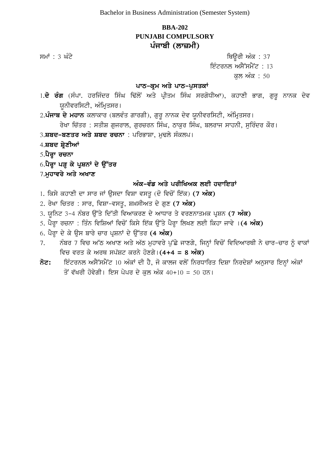# **BBA-202 PUNJABI COMPULSORY** ਪੰਜਾਬੀ (ਲਾਜ਼ਮੀ)

ਸਮਾਂ : 3 ਘੰਟੇ **ਬਿਊਰੀ ਅੰਕ : 37** ਇੰਟਰਨਲ ਅਸੈੱਸਮੈਂਟ $: 13$ 

<u>ਕਲ ਅੰਕ : 50</u>

#### **ਪਾਠ-ਕੁਮ ਅਤੇ ਪਾਠ-ਪੁਸਤਕਾਂ**

- 1.**ਦੋ ਰੰਗ** (ਸੰਪਾ. ਹਰਜਿੰਦਰ ਸਿੰਘ ਢਿੱਲੋਂ ਅਤੇ ਪ੍ਰੀਤਮ ਸਿੰਘ ਸਰਗੋਧੀਆ), ਕਹਾਣੀ ਭਾਗ, ਗਰੁ ਨਾਨਕ ਦੇਵ ਯੂਨੀਵਰਸਿਟੀ, ਅੰਮ੍ਰਿਤਸਰ।
- 2.**ਪੰਜਾਬ ਦੇ ਮਹਾਨ** ਕਲਾਕਾਰ (ਬਲਵੰਤ ਗਾਰਗੀ), ਗੁਰੂ ਨਾਨਕ ਦੇਵ ਯੂਨੀਵਰਸਿਟੀ, ਅੰਮ੍ਰਿਤਸਰ। ਰੇਖਾ ਚਿੱਤਰ : ਸਤੀਸ਼ ਗਜਰਾਲ, ਗਰਚਰਨ ਸਿੰਘ, ਠਾਕਰ ਸਿੰਘ, ਬਲਰਾਜ ਸਾਹਨੀ, ਸਰਿੰਦਰ ਕੌਰ।
- 3.**ਸ਼ਬਦ-ਬਣਤਰ ਅਤੇ ਸ਼ਬਦ ਰਚਨਾ** : ਪਰਿਭਾਸ਼ਾ, ਮਢਲੇ ਸੰਕਲਪ।
- 4.**ਸ਼ਬਦ ਸ਼੍ਰੇਣੀਆਂ**
- 5.**ਪੈਰ੍ਹਾ ਰਚਨਾ**
- 6.**ਪੈਰ੍ਹਾ ਪੜ੍ਹ ਕੇ ਪ੍ਰਸ਼ਨਾਂ ਦੇ ਉੱਤਰ**
- 7.**ਮਹਾਵਰੇ ਅਤੇ ਅਖਾਣ**

#### ਅੰਕ-ਵੰਡ ਅਤੇ ਪਰੀਖਿਅਕ ਲਈ ਹਦਾਇਤਾ<u>ਂ</u>

- 1. ਕਿਸੇ ਕਹਾਣੀ ਦਾ ਸਾਰ ਜਾਂ ਉਸਦਾ ਵਿਸ਼ਾ ਵਸਤੂ (ਦੋ ਵਿਚੋਂ ਇੱਕ) (7 **ਅੰਕ)**
- 2. ਰੇਖਾ ਚਿਤਰ : ਸਾਰ, ਵਿਸ਼ਾ-ਵਸਤ, ਸ਼ਖ਼ਸੀਅਤ ਦੇ ਗਣ (7 **ਅੰਕ)**
- 3. ਯੂਨਿਟ 3-4 ਨੰਬਰ ਉੱਤੇ ਦਿੱਤੀ ਵਿਆਕਰਣ ਦੇ ਆਧਾਰ ਤੇ ਵਰਣਨਾਤਮਕ ਪ੍ਰਸ਼ਨ (7 **ਅੰਕ)**
- 5. ਪੈਰਾ ਰਚਨਾ : ਤਿੰਨ ਵਿਸ਼ਿਆਂ ਵਿਚੋਂ ਕਿਸੇ ਇੱਕ ਉੱਤੇ ਪੈਰਾ ਲਿਖਣ ਲਈ ਕਿਹਾ ਜਾਵੇ ।**(4 ਅੰਕ)**
- 6. ਪੈਰ੍ਹਾ ਦੇ ਕੇ ਉਸ ਬਾਰੇ ਚਾਰ ਪ੍ਰਸ਼ਨਾਂ ਦੇ ਉੱਤਰ (4 **ਅੰਕ)**
- 7. ਨੰਬਰ 7 ਵਿਚ ਅੱਠ ਅਖਾਣ ਅਤੇ ਅੱਠ ਮੁਹਾਵਰੇ ਪੁੱਛੇ ਜਾਣਗੇ, ਜਿਨ੍ਹਾਂ ਵਿਚੋਂ ਵਿਦਿਆਰਥੀ ਨੇ ਚਾਰ-ਚਾਰ ਨੂੰ ਵਾਕਾਂ ਵਿਚ ਵਰਤ ਕੇ ਅਰਥ ਸਪੱਸ਼ਟ ਕਰਨੇ ਹੋਣਗੇ।(4+4 = 8 **ਅੰਕ)**
- $\vec{\delta}$ ਟ: ਇੰਟਰਨਲ ਅਸੈੱਸਮੈਂਟ 10 ਅੰਕਾਂ ਦੀ ਹੈ, ਜੋ ਕਾਲਜ ਵਲੋਂ ਨਿਰਧਾਰਿਤ ਦਿਸ਼ਾ ਨਿਰਦੇਸ਼ਾਂ ਅਨੁਸਾਰ ਇਨ੍ਹਾਂ ਅੰਕਾਂ ਤੋਂ ਵੱਖਰੀ ਹੋਵੇਗੀ। ਇਸ ਪੇਪਰ ਦੇ ਕਲ ਅੰਕ 40+10 = 50 ਹਨ।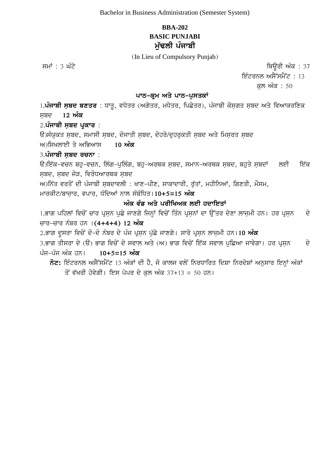# **BBA-202 BASIC PUNJABI** ਮੱਢਲੀ ਪੰਜਾਬ<u>ੀ</u>

(In Lieu of Compulsory Punjab)

ਸਮਾਂ : 3 ਘੰਟੇ ਵਿਊਰੀ ਅੰਕ : 37

ਇੰਟਰਨਲ ਅਸੈੱਸਮੈਂਟ : 13

ਕਲ ਅੰਕ $: 50$ 

#### ਪਾਠ-ਕਮ ਅਤੇ ਪਾਠ-ਪ**ਸਤਕਾਂ**

1.**ਪੰਜਾਬੀ ਸ਼ਬਦ ਬਣਤਰ** : ਧਾਤੂ, ਵਧੇਤਰ (ਅਗੇਤਰ, ਮਧੇਤਰ, ਪਿਛੇਤਰ), ਪੰਜਾਬੀ ਕੋਸਗਤ ਸਬਦ ਅਤੇ ਵਿਆਕਰਣਿਕ ਸਬਦ 12 **ਅੰਕ** 

2.**ਪੰਜਾਬੀ ਸ਼ਬਦ ਪ੍ਰਕਾਰ** :

ਉ)ਸੰਯੁਕਤ ਸੂਬਦ, ਸਮਾਸੀ ਸੂਬਦ, ਦੋਜਾਤੀ ਸੂਬਦ, ਦੋਹਰੇ/ਦੁਹਰੁਕਤੀ ਸੂਬਦ ਅਤੇ ਮਿਸਰਤ ਸੂਬਦ

ਅ)ਸਿਖਲਾਈ ਤੇ ਅਭਿਆਸ 10 **ਅੰਕ** 

#### 3**.ਪੰਜਾਬੀ ਸਬਦ ਰਚਨਾ** :

 $\Theta$ )ਇੱਕ-ਵਚਨ ਬਹੁ-ਵਚਨ, ਲਿੰਗ-ਪੁਲਿੰਗ, ਬਹੁ-ਅਰਥਕ ਸਬਦ, ਸਮਾਨ-ਅਰਥਕ ਸਬਦ, ਬਹੁਤੇ ਸੂਬਦਾਂ ਲਈ ਇੱਕ ਸਬਦ, ਸਬਦ ਜੋੜ, ਵਿਰੋਧਆਰਥਕ ਸਬਦ

 $W$ )ਨਿੱਤ ਵਰਤੋਂ ਦੀ ਪੰਜਾਬੀ ਸੂਬਦਾਵਲੀ : ਖਾਣ-ਪੀਣ, ਸਾਕਾਦਾਰੀ, ਰੁੱਤਾਂ, ਮਹੀਨਿਆਂ, ਗਿਣਤੀ, ਮੌਸਮ, ਮਾਰਕੀਟ/ਬਾਜਾਰ, ਵਪਾਰ, ਧੰਦਿਆਂ ਨਾਲ ਸੰਬੰਧਿਤ।10+5=15 **ਅੰਕ** 

### ਅੰਕ ਵੰਡ ਅਤੇ ਪਰੀਖਿਅਕ ਲਈ ਹਦਾਇ**ਤਾਂ**

1.ਭਾਗ ਪਹਿਲਾਂ ਵਿਚੋਂ ਚਾਰ ਪ੍ਰਸ਼ਨ ਪੁਛੇ ਜਾਣਗੇ ਜਿਨ੍ਹਾਂ ਵਿਚੋਂ ਤਿੰਨ ਪ੍ਰਸ਼ਨਾਂ ਦਾ ਉੱਤਰ ਦੇਣਾ ਲਾਜ਼ਮੀ ਹਨ। ਹਰ ਪ੍ਰਸ਼ਨ ਵੇ ਚਾਰ-ਚਾਰ ਨੰਬਰ ਹਨ**।(4+4+4) 12 ਅੰਕ** 

2.ਭਾਗ ਦੂਸਰਾ ਵਿਚੋਂ ਦੋ-ਦੋ ਨੰਬਰ ਦੇ ਪੰਜ ਪ੍ਰਸਨ ਪੁੱਛੇ ਜਾਣਗੇ। ਸਾਰੇ ਪ੍ਰਸਨ ਲਾਜ਼ਮੀ ਹਨ।1**0 ਅੰਕ** 

3.ਭਾਗ ਤੀਸਰਾ ਦੇ (ੳ) ਭਾਗ ਵਿਚੋਂ ਦੋ ਸਵਾਲ ਅਤੇ (ਅ) ਭਾਗ ਵਿਚੋਂ ਇੱਕ ਸਵਾਲ ਪਛਿਆ ਜਾਵੇਗਾ। ਹਰ ਪੁਸ਼ਨ ਦੇ ਪੰਜ<sup>ੁ</sup>ਪੰਜ ਅੰਕ ਹਨ। 10+5=15 **ਅੰਕ** 

 $\vec{\delta}$ ਟ: ਇੰਟਰਨਲ ਅਸੈੱਸਮੈਂਟ 13 ਅੰਕਾਂ ਦੀ ਹੈ, ਜੋ ਕਾਲਜ ਵਲੋਂ ਨਿਰਧਾਰਿਤ ਦਿਸ਼ਾ ਨਿਰਦੇਸ਼ਾਂ ਅਨੁਸਾਰ ਇਨ੍ਹਾਂ ਅੰਕਾਂ ਤੋਂ ਵੱਖਰੀ ਹੋਵੇਗੀ। ਇਸ ਪੇਪਰ ਦੇ ਕਲ ਅੰਕ 37+13 = 50 ਹਨ।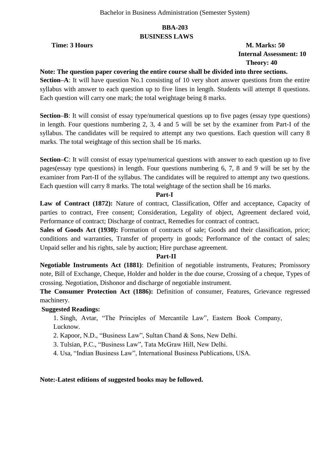# **BBA-203 BUSINESS LAWS**

#### **Time: 3 Hours M. Marks: 50 Internal Assessment: 10 Theory: 40**

#### **Note: The question paper covering the entire course shall be divided into three sections.**

**Section–A**: It will have question No.1 consisting of 10 very short answer questions from the entire syllabus with answer to each question up to five lines in length. Students will attempt 8 questions. Each question will carry one mark; the total weightage being 8 marks.

**Section–B**: It will consist of essay type/numerical questions up to five pages (essay type questions) in length. Four questions numbering 2, 3, 4 and 5 will be set by the examiner from Part-I of the syllabus. The candidates will be required to attempt any two questions. Each question will carry 8 marks. The total weightage of this section shall be 16 marks.

**Section–C**: It will consist of essay type/numerical questions with answer to each question up to five pages(essay type questions) in length. Four questions numbering 6, 7, 8 and 9 will be set by the examiner from Part-II of the syllabus. The candidates will be required to attempt any two questions. Each question will carry 8 marks. The total weightage of the section shall be 16 marks.

#### **Part-I**

Law of Contract (1872): Nature of contract, Classification, Offer and acceptance, Capacity of parties to contract, Free consent; Consideration, Legality of object, Agreement declared void, Performance of contract; Discharge of contract, Remedies for contract of contract.

**Sales of Goods Act (1930):** Formation of contracts of sale; Goods and their classification, price; conditions and warranties, Transfer of property in goods; Performance of the contact of sales; Unpaid seller and his rights, sale by auction; Hire purchase agreement.

#### **Part-II**

**Negotiable Instruments Act (1881)**: Definition of negotiable instruments, Features; Promissory note, Bill of Exchange, Cheque, Holder and holder in the due course, Crossing of a cheque, Types of crossing. Negotiation, Dishonor and discharge of negotiable instrument.

**The Consumer Protection Act (1886):** Definition of consumer, Features, Grievance regressed machinery.

#### **Suggested Readings:**

1. Singh, Avtar, "The Principles of Mercantile Law", Eastern Book Company, Lucknow.

- 2. Kapoor, N.D., "Business Law", Sultan Chand & Sons, New Delhi.
- 3. Tulsian, P.C., "Business Law", Tata McGraw Hill, New Delhi.
- 4. Usa, "Indian Business Law", International Business Publications, USA.

#### **Note:-Latest editions of suggested books may be followed.**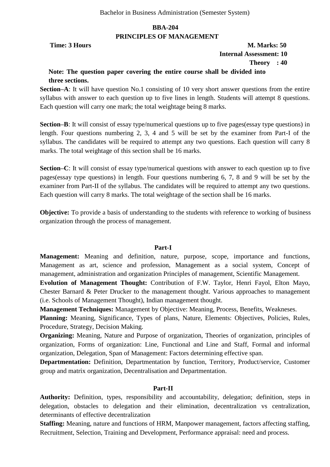### **BBA-204 PRINCIPLES OF MANAGEMENT**

#### **Time: 3 Hours M. Marks: 50 Internal Assessment: 10 Theory : 40**

# **Note: The question paper covering the entire course shall be divided into three sections.**

**Section–A**: It will have question No.1 consisting of 10 very short answer questions from the entire syllabus with answer to each question up to five lines in length. Students will attempt 8 questions. Each question will carry one mark; the total weightage being 8 marks.

**Section–B**: It will consist of essay type/numerical questions up to five pages(essay type questions) in length. Four questions numbering 2, 3, 4 and 5 will be set by the examiner from Part-I of the syllabus. The candidates will be required to attempt any two questions. Each question will carry 8 marks. The total weightage of this section shall be 16 marks.

**Section–C**: It will consist of essay type/numerical questions with answer to each question up to five pages(essay type questions) in length. Four questions numbering 6, 7, 8 and 9 will be set by the examiner from Part-II of the syllabus. The candidates will be required to attempt any two questions. Each question will carry 8 marks. The total weightage of the section shall be 16 marks.

**Objective:** To provide a basis of understanding to the students with reference to working of business organization through the process of management.

#### **Part-I**

**Management:** Meaning and definition, nature, purpose, scope, importance and functions, Management as art, science and profession, Management as a social system, Concept of management, administration and organization Principles of management, Scientific Management.

**Evolution of Management Thought:** Contribution of F.W. Taylor, Henri Fayol, Elton Mayo, Chester Barnard & Peter Drucker to the management thought. Various approaches to management (i.e. Schools of Management Thought), Indian management thought.

**Management Techniques:** Management by Objective: Meaning, Process, Benefits, Weakneses.

Planning: Meaning, Significance, Types of plans, Nature, Elements: Objectives, Policies, Rules, Procedure, Strategy, Decision Making.

**Organizing:** Meaning, Nature and Purpose of organization, Theories of organization, principles of organization, Forms of organization: Line, Functional and Line and Staff, Formal and informal organization, Delegation, Span of Management: Factors determining effective span.

**Departmentation:** Definition, Departmentation by function, Territory, Product/service, Customer group and matrix organization, Decentralisation and Departmentation.

#### **Part-II**

**Authority:** Definition, types, responsibility and accountability, delegation; definition, steps in delegation, obstacles to delegation and their elimination, decentralization vs centralization, determinants of effective decentralization

**Staffing:** Meaning, nature and functions of HRM, Manpower management, factors affecting staffing, Recruitment, Selection, Training and Development, Performance appraisal: need and process.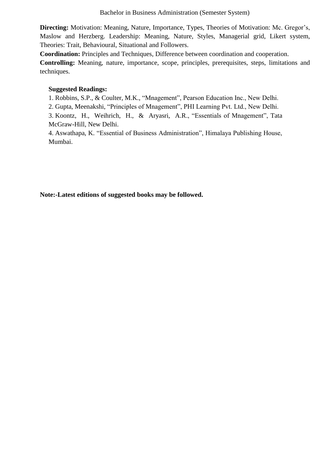**Directing:** Motivation: Meaning, Nature, Importance, Types, Theories of Motivation: Mc. Gregor's, Maslow and Herzberg. Leadership: Meaning, Nature, Styles, Managerial grid, Likert system, Theories: Trait, Behavioural, Situational and Followers.

**Coordination:** Principles and Techniques, Difference between coordination and cooperation.

**Controlling:** Meaning, nature, importance, scope, principles, prerequisites, steps, limitations and techniques.

# **Suggested Readings:**

1. Robbins, S.P., & Coulter, M.K., "Mnagement", Pearson Education Inc., New Delhi.

2. Gupta, Meenakshi, "Principles of Mnagement", PHI Learning Pvt. Ltd., New Delhi.

3. Koontz, H., Weihrich, H., & Aryasri, A.R., "Essentials of Mnagement", Tata McGraw-Hill, New Delhi.

4. Aswathapa, K. "Essential of Business Administration", Himalaya Publishing House, Mumbai.

**Note:-Latest editions of suggested books may be followed.**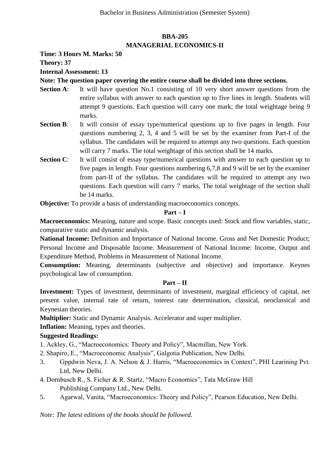# **BBA-205 MANAGERIAL ECONOMICS-II**

**Time: 3 Hours M. Marks: 50**

**Theory: 37**

**Internal Assessment: 13**

# **Note: The question paper covering the entire course shall be divided into three sections.**

- **Section A:** It will have question No.1 consisting of 10 very short answer questions from the entire syllabus with answer to each question up to five lines in length. Students will attempt 9 questions. Each question will carry one mark; the total weightage being 9 marks.
- **Section B:** It will consist of essay type/numerical questions up to five pages in length. Four questions numbering 2, 3, 4 and 5 will be set by the examiner from Part-I of the syllabus. The candidates will be required to attempt any two questions. Each question will carry 7 marks. The total weightage of this section shall be 14 marks.
- **Section C:** It will consist of essay type/numerical questions with answer to each question up to five pages in length. Four questions numbering 6,7,8 and 9 will be set by the examiner from part-II of the syllabus. The candidates will be required to attempt any two questions. Each question will carry 7 marks. The total weightage of the section shall be 14 marks.

**Objective:** To provide a basis of understanding macroeconomics concepts.

#### **Part – I**

**Macroeconomics:** Meaning, nature and scope. Basic concepts used: Stock and flow variables, static, comparative static and dynamic analysis.

**National Income:** Definition and Importance of National Income. Gross and Net Domestic Product; Personal Income and Disposable Income. Measurement of National Income: Income, Output and Expenditure Method, Problems in Measurement of National Income.

**Consumption:** Meaning, determinants (subjective and objective) and importance. Keynes psychological law of consumption.

#### **Part – II**

**Investment:** Types of investment, determinants of investment, marginal efficiency of capital, net present value, internal rate of return, interest rate determination, classical, neoclassical and Keynesian theories.

**Multiplier:** Static and Dynamic Analysis. Accelerator and super multiplier.

**Inflation:** Meaning, types and theories.

# **Suggested Readings:**

1. Ackley, G., "Macroeconomics: Theory and Policy", Macmillan, New York.

- 2. Shapiro, E., "Macroeconomic Analysis", Galgotia Publication, New Delhi.
- 3. Gppdwin Neva, J. A. Nelson & J. Harris, "Macroeconomics in Context", PHI Learining Pvt. Ltd, New Delhi.
- 4. Dornbusch R., S. Ficher & R. Startz, "Macro Economics", Tata McGraw Hill Publishing Company Ltd., New Delhi.
- 5. Agarwal, Vanita, "Macroeconomics: Theory and Policy", Pearson Education, New Delhi.

*Note: The latest editions of the books should be followed.*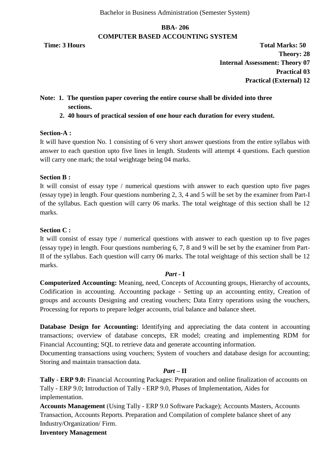# **BBA- 206 COMPUTER BASED ACCOUNTING SYSTEM**

**Time: 3 Hours Total Marks: 50 Theory: 28 Internal Assessment: Theory 07 Practical 03 Practical (External) 12**

# **Note: 1. The question paper covering the entire course shall be divided into three sections.**

**2. 40 hours of practical session of one hour each duration for every student.**

#### **Section-A :**

It will have question No. 1 consisting of 6 very short answer questions from the entire syllabus with answer to each question upto five lines in length. Students will attempt 4 questions. Each question will carry one mark; the total weightage being 04 marks.

#### **Section B :**

It will consist of essay type / numerical questions with answer to each question upto five pages (essay type) in length. Four questions numbering 2, 3, 4 and 5 will be set by the examiner from Part-I of the syllabus. Each question will carry 06 marks. The total weightage of this section shall be 12 marks.

#### **Section C :**

It will consist of essay type / numerical questions with answer to each question up to five pages (essay type) in length. Four questions numbering 6, 7, 8 and 9 will be set by the examiner from Part-II of the syllabus. Each question will carry 06 marks. The total weightage of this section shall be 12 marks.

#### *Part -* **I**

**Computerized Accounting:** Meaning, need, Concepts of Accounting groups, Hierarchy of accounts, Codification in accounting. Accounting package - Setting up an accounting entity, Creation of groups and accounts Designing and creating vouchers; Data Entry operations using the vouchers, Processing for reports to prepare ledger accounts, trial balance and balance sheet.

**Database Design for Accounting:** Identifying and appreciating the data content in accounting transactions; overview of database concepts, ER model; creating and implementing RDM for Financial Accounting; SQL to retrieve data and generate accounting information.

Documenting transactions using vouchers; System of vouchers and database design for accounting; Storing and maintain transaction data.

#### *Part –* **II**

**Tally** - **ERP 9.0:** Financial Accounting Packages: Preparation and online finalization of accounts on Tally - ERP 9.0; Introduction of Tally - ERP 9.0, Phases of Implementation, Aides for implementation.

**Accounts Management** (Using Tally - ERP 9.0 Software Package); Accounts Masters, Accounts Transaction, Accounts Reports. Preparation and Compilation of complete balance sheet of any Industry/Organization/ Firm.

#### **Inventory Management**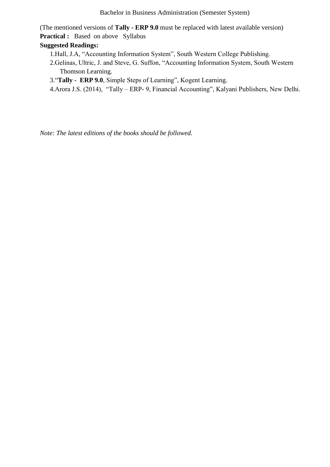(The mentioned versions of **Tally - ERP 9.0** must be replaced with latest available version) **Practical :** Based on above Syllabus

# **Suggested Readings:**

- 1.Hall, J.A, "Accounting Information System", South Western College Publishing.
- 2.Gelinas, Ultric, J. and Steve, G. Suffon, "Accounting Information System, South Western Thomson Learning.
- 3. "Tally **-** ERP 9.0, Simple Steps of Learning", Kogent Learning.
- 4.Arora J.S. (2014), "Tally ERP- 9, Financial Accounting", Kalyani Publishers, New Delhi.

*Note: The latest editions of the books should be followed.*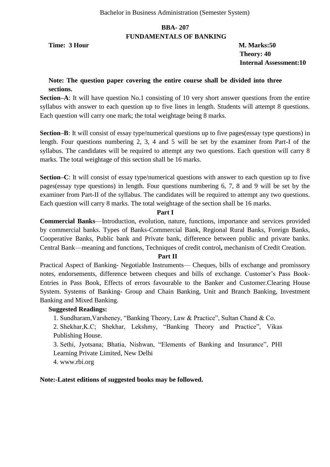#### **BBA- 207 FUNDAMENTALS OF BANKING**

**Time: 3 Hour M. Marks:50** 

 **Theory: 40 Internal Assessment:10**

#### **Note: The question paper covering the entire course shall be divided into three sections.**

**Section–A**: It will have question No.1 consisting of 10 very short answer questions from the entire syllabus with answer to each question up to five lines in length. Students will attempt 8 questions. Each question will carry one mark; the total weightage being 8 marks.

**Section–B**: It will consist of essay type/numerical questions up to five pages(essay type questions) in length. Four questions numbering 2, 3, 4 and 5 will be set by the examiner from Part-I of the syllabus. The candidates will be required to attempt any two questions. Each question will carry 8 marks. The total weightage of this section shall be 16 marks.

**Section–C**: It will consist of essay type/numerical questions with answer to each question up to five pages(essay type questions) in length. Four questions numbering 6, 7, 8 and 9 will be set by the examiner from Part-II of the syllabus. The candidates will be required to attempt any two questions. Each question will carry 8 marks. The total weightage of the section shall be 16 marks.

#### **Part I**

**Commercial Banks**—Introduction, evolution, nature, functions, importance and services provided by commercial banks. Types of Banks-Commercial Bank, Regional Rural Banks, Foreign Banks, Cooperative Banks, Public bank and Private bank, difference between public and private banks. Central Bank—meaning and functions, Techniques of credit control**,** mechanism of Credit Creation.

#### **Part II**

Practical Aspect of Banking- Negotiable Instruments— Cheques, bills of exchange and promissory notes, endorsements, difference between cheques and bills of exchange. Customer's Pass Book-Entries in Pass Book, Effects of errors favourable to the Banker and Customer.Clearing House System. Systems of Banking- Group and Chain Banking, Unit and Branch Banking, Investment Banking and Mixed Banking.

#### **Suggested Readings:**

1. Sundharam, Varsheney, "Banking Theory, Law & Practice", Sultan Chand & Co. 2. Shekhar, K.C; Shekhar, Lekshmy, "Banking Theory and Practice", Vikas Publishing House.

3. Sethi, Jyotsana; Bhatia, Nishwan, "Elements of Banking and Insurance", PHI Learning Private Limited, New Delhi

4. www.rbi.org

**Note:-Latest editions of suggested books may be followed.**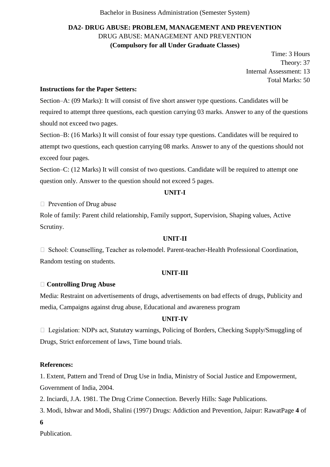# **DA2- DRUG ABUSE: PROBLEM, MANAGEMENT AND PREVENTION** DRUG ABUSE: MANAGEMENT AND PREVENTION **(Compulsory for all Under Graduate Classes)**

Time: 3 Hours Theory: 37 Internal Assessment: 13 Total Marks: 50

#### **Instructions for the Paper Setters:**

Section–A: (09 Marks): It will consist of five short answer type questions. Candidates will be required to attempt three questions, each question carrying 03 marks. Answer to any of the questions should not exceed two pages.

Section–B: (16 Marks) It will consist of four essay type questions. Candidates will be required to attempt two questions, each question carrying 08 marks. Answer to any of the questions should not exceed four pages.

Section–C: (12 Marks) It will consist of two questions. Candidate will be required to attempt one question only. Answer to the question should not exceed 5 pages.

#### **UNIT-I**

 $\Box$  Prevention of Drug abuse

Role of family: Parent child relationship, Family support, Supervision, Shaping values, Active Scrutiny.

#### **UNIT-II**

 $\Box$  School: Counselling, Teacher as role-model. Parent-teacher-Health Professional Coordination, Random testing on students.

#### **UNIT-III**

#### **Controlling Drug Abuse**

Media: Restraint on advertisements of drugs, advertisements on bad effects of drugs, Publicity and media, Campaigns against drug abuse, Educational and awareness program

#### **UNIT-IV**

□ Legislation: NDPs act, Statutory warnings, Policing of Borders, Checking Supply/Smuggling of Drugs, Strict enforcement of laws, Time bound trials.

#### **References:**

1. Extent, Pattern and Trend of Drug Use in India, Ministry of Social Justice and Empowerment, Government of India, 2004.

2. Inciardi, J.A. 1981. The Drug Crime Connection. Beverly Hills: Sage Publications.

3. Modi, Ishwar and Modi, Shalini (1997) Drugs: Addiction and Prevention, Jaipur: RawatPage **4** of

**6** 

Publication.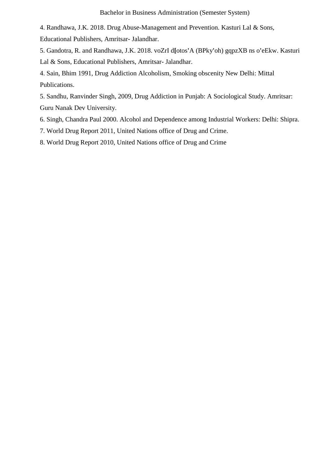4. Randhawa, J.K. 2018. Drug Abuse-Management and Prevention. Kasturi Lal & Sons,

Educational Publishers, Amritsar- Jalandhar.

5. Gandotra, R. and Randhawa, J.K. 2018. voZrI d**[**otos**'**A (BPky**'**oh) gqpzXB ns o**'**eEkw. Kasturi Lal & Sons, Educational Publishers, Amritsar- Jalandhar.

4. Sain, Bhim 1991, Drug Addiction Alcoholism, Smoking obscenity New Delhi: Mittal Publications.

5. Sandhu, Ranvinder Singh, 2009, Drug Addiction in Punjab: A Sociological Study. Amritsar: Guru Nanak Dev University.

6. Singh, Chandra Paul 2000. Alcohol and Dependence among Industrial Workers: Delhi: Shipra.

7. World Drug Report 2011, United Nations office of Drug and Crime.

8. World Drug Report 2010, United Nations office of Drug and Crime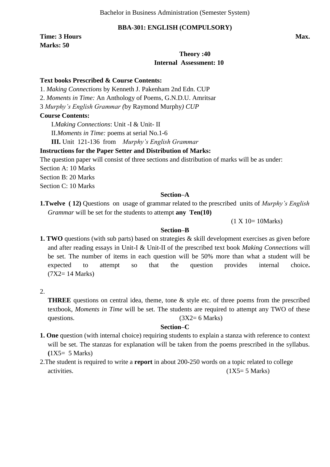#### **BBA-301: ENGLISH (COMPULSORY)**

**Time: 3 Hours Max. Max. Marks: 50** 

### **Theory :40 Internal Assessment: 10**

#### **Text books Prescribed & Course Contents:**

1. *Making Connections* by Kenneth J. Pakenham 2nd Edn. CUP

2. *Moments in Time:* An Anthology of Poems*,* G.N.D.U. Amritsar

3 *Murphy's English Grammar (*by Raymond Murphy*) CUP*

#### **Course Contents:**

I.*Making Connections*: Unit -I & Unit- II

II.*Moments in Time:* poems at serial No.1-6

**III.** Unit 121-136 from *Murphy's English Grammar*

#### **Instructions for the Paper Setter and Distribution of Marks:**

The question paper will consist of three sections and distribution of marks will be as under:

Section A: 10 Marks

Section B: 20 Marks

Section C: 10 Marks

#### **Section–A**

**1.Twelve ( 12)** Questions on usage of grammar related to the prescribed units of *Murphy's English Grammar* will be set for the students to attempt **any Ten(10)** 

(1 X 10= 10Marks)

#### **Section–B**

**1. <b>TWO** questions (with sub parts) based on strategies & skill development exercises as given before and after reading essays in Unit-I & Unit-II of the prescribed text book *Making Connections* will be set. The number of items in each question will be 50% more than what a student will be expected to attempt so that the question provides internal choice**.**  (7X2= 14 Marks)

2.

**THREE** questions on central idea, theme, tone & style etc. of three poems from the prescribed textbook, *Moments in Time* will be set. The students are required to attempt any TWO of these questions. ( $3X2 = 6$  Marks)

#### **Section–C**

- **1. One** question (with internal choice) requiring students to explain a stanza with reference to context will be set. The stanzas for explanation will be taken from the poems prescribed in the syllabus. **(**1X5= 5 Marks)
- 2.The student is required to write a **report** in about 200-250 words on a topic related to college activities.  $(1X5=5 \text{ Marks})$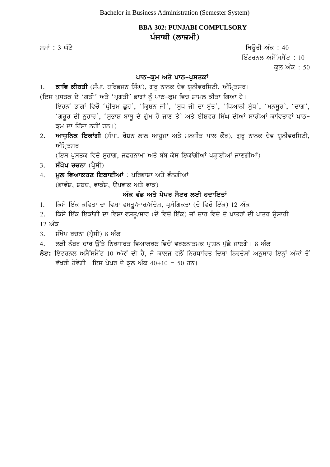# **BBA-302: PUNJABI COMPULSORY** ਪੰਜਾਬੀ (ਲਾਜ਼ਮੀ)

ਸਮਾਂ : 3 ਘੰਟੇ ਪਰਿਆ ਤੇ ਕਿਉਂਗੇ ਅੰਕ : 40 ਇੰਟਰਨਲ ਅਸੈੱਸਮੈਂਟ:  $10$ ਕਲ ਅੰਕ : 50

# ਪਾਠ-ਕ੍ਰਮ ਅਤੇ ਪਾਠ-ਪੁਸਤਕਾਂ

1. **ਕਾਵਿ ਕੀਰਤੀ** (ਸੰਪਾ. ਹਰਿਭਜਨ ਸਿੰਘ), ਗੁਰੁ ਨਾਨਕ ਦੇਵ ਯੁਨੀਵਰਸਿਟੀ, ਅੰਮ੍ਰਿਤਸਰ।

- (ਇਸ ਪੁਸਤਕ ਦੇ 'ਗਤੀ' ਅਤੇ 'ਪ੍ਰਗਤੀ' ਭਾਗਾਂ ਨੂੰ ਪਾਠ-ਕ੍ਰਮ ਵਿਚ ਸ਼ਾਮਲ ਕੀਤਾ ਗਿਆ ਹੈ। ਇਹਨਾਂ ਭਾਗਾਂ ਵਿਚੋ 'ਪ੍ਰੀਤਮ ਛੂਹ', 'ਕ੍ਰਿਸ਼ਨ ਜੀ', 'ਬੁਧ ਜੀ ਦਾ ਬੁੱਤ', 'ਧਿਆਨੀ ਬੁੱਧ', 'ਮਨਸੁਰ', 'ਦਾਗ', 'ਗਰਰ ਦੀ ਨਹਾਰ', 'ਸਭਾਸ਼ ਬਾਬ ਦੇ ਗੰਮ ਹੋ ਜਾਣ ਤੇ' ਅਤੇ ਈਸ਼ਵਰ ਸਿੰਘ ਦੀਆਂ ਸਾਰੀਆਂ ਕਾਵਿਤਾਵਾਂ ਪਾਠ-ਕਮ ਦਾ ਹਿੱਸਾ ਨਹੀਂ ਹਨ।)
- 2. **ਆਧੁਨਿਕ ਇਕਾਂਗੀ** (ਸੰਪਾ. ਰੋਸ਼ਨ ਲਾਲ ਆਹੁਜਾ ਅਤੇ ਮਨਜੀਤ ਪਾਲ ਕੌਰ), ਗੁਰੂ ਨਾਨਕ ਦੇਵ ਯੂਨੀਵਰਸਿਟੀ, ਅੰਮਿਤਸਰ

(ਇਸ ਪਸਤਕ ਵਿਚੋ ਸਹਾਗ, ਜਫ਼ਰਨਾਮਾ ਅਤੇ ਬੰਬ ਕੇਸ ਇਕਾਂਗੀਆਂ ਪੜਾਈਆਂ ਜਾਣਗੀਆਂ)

- 3. **ਸੰਖੇਪ ਰਚਨਾ** (ਪ੍ਰੈਸੀ)
- 4. **ਮੁਲ ਵਿਆਕਰਣ ਇਕਾਈਆਂ** : ਪਰਿਭਾਸ਼ਾ ਅਤੇ ਵੰਨਗੀਆਂ  $(\vec{S}$  ਕੁਸ਼, ਸ਼ਬਦ, ਵਾਕੰਸ਼, ਉਪਵਾਕ ਅਤੇ ਵਾਕ)

# ਅੰਕ ਵੰਡ ਅਤੇ ਪੇਪਰ ਸੈਟਰ ਲਈ ਹਦਾਇਤਾ<u>ਂ</u>

- 1. ਕਿਸੇ ਇੱਕ ਕਵਿਤਾ ਦਾ ਵਿਸ਼ਾ ਵਸਤ/ਸਾਰ/ਸੰਦੇਸ਼, ਪੁਸੰਗਿਕਤਾ (ਦੋ ਵਿਚੋ ਇੱਕ) 12 ਅੰਕ
- 2. ਕਿਸੇ ਇੱਕ ਇਕਾਂਗੀ ਦਾ ਵਿਸ਼ਾ ਵਸਤੂ/ਸਾਰ (ਦੋ ਵਿਚੋ ਇੱਕ) ਜਾਂ ਚਾਰ ਵਿਚੋ ਦੋ ਪਾਤਰਾਂ ਦੀ ਪਾਤਰ ਉਸਾਰੀ

<u>12 ਅੰਕ</u>

- $3.$  ਸੰਖੇਪ ਰਚਨਾ (ਪੈਸੀ) 8 ਅੰਕ
- 4. ਲੜੀ ਨੰਬਰ ਚਾਰ ਉੱਤੇ ਨਿਰਧਾਰਤ ਵਿਆਕਰਣ ਵਿਚੋਂ ਵਰਣਨਾਤਮਕ ਪ੍ਰਸ਼ਨ ਪੁੱਛੇ ਜਾਣਗੇ। 8 ਅੰਕ
- $\overline{5z}$ : ਇੰਟਰਨਲ ਅਸੈੱਸਮੈਂਟ 10 ਅੰਕਾਂ ਦੀ ਹੈ, ਜੋ ਕਾਲਜ ਵਲੋਂ ਨਿਰਧਾਰਿਤ ਦਿਸ਼ਾ ਨਿਰਦੇਸ਼ਾਂ ਅਨੁਸਾਰ ਇਨ੍ਹਾਂ ਅੰਕਾਂ ਤੋਂ ਵੱਖਰੀ ਹੋਵੇਗੀ। ਇਸ ਪੇਪਰ ਦੇ ਕਲ ਅੰਕ 40+10 = 50 ਹਨ।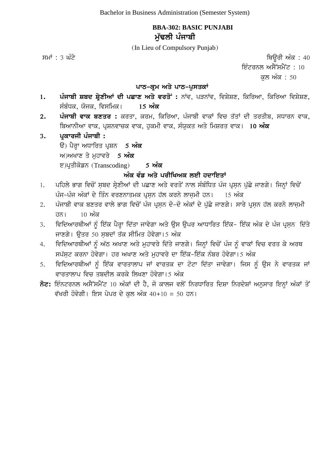# **BBA-302: BASIC PUNJABI** ਮੱਢਲੀ ਪੰਜਾਬੀ

(In Lieu of Compulsory Punjab)

 $\overline{r}$ ਸਮਾਂ : 3 ਘੰਟੇ ਪਰਿਆਸ ਦੀ ਸ਼ਾਹ ਕਰਨ ਤੋਂ ਬਾਹਰ ਵਿੱਚ ਸ਼ਾਹ ਕਰਨ ਤੇ ਬਾਹਰ ਵਿੱਚ ਸ਼ਹਿਰ ਵਿੱਚ ਸ਼ਹਿਰ ਅੰਕ : 40 ਇੰਟਰਨਲ ਅਸੈੱਸਮੈਂਟ $\div 10$ ਕੁਲ ਅੰਕ $: 50$ 

### **ਪਾਠ-ਕ੍ਰਮ ਅਤੇ ਪਾਠ-ਪੁਸਤਕਾਂ**

- 1. ਪੰਜਾਬੀ ਸ਼ਬਦ ਸ਼੍ਰੇਣੀਆਂ ਦੀ ਪਛਾਣ ਅਤੇ ਵਰਤੋਂ: ਨਾਂਵ, ਪੜਨਾਂਵ, ਵਿਸ਼ੇਸ਼ਣ, ਕਿਰਿਆ, ਕਿਰਿਆ ਵਿਸ਼ੇਸ਼ਣ, ਸੰਬੰਧਕ, ਯੋਜਕ, ਵਿਸਮਿਕ। 15 **ਅੰਕ**
- 2. ਪੰਜਾਬੀ ਵਾਕ ਬਣਤਰ : ਕਰਤਾ, ਕਰਮ, ਕਿਰਿਆ, ਪੰਜਾਬੀ ਵਾਕਾਂ ਵਿਚ ਤੱਤਾਂ ਦੀ ਤਰਤੀਬ, ਸਧਾਰਨ ਵਾਕ, ਬਿਆਨੀਆ ਵਾਕ, ਪ੍ਰਸ਼ਨਵਾਚਕ ਵਾਕ, ਹੁਕਮੀ ਵਾਕ, ਸੰਯੁਕਤ ਅਤੇ ਮਿਸ਼ਰਤ ਵਾਕ। 10 **ਅੰਕ**

# 3. ਪੁਕਾਰਜੀ ਪੰਜਾਬੀ **:**  $\hat{\mathbf{g}}$ ) ਪੈਰ੍ਹਾ ਅਧਾਰਿਤ ਪ੍ਰਸ਼ਨ 5 ਅੰਕ ਅ)ਅਖਾਣ ਤੇ ਮਹਾਵਰੇ 5 **ਅੰਕ** e)ਪੁਤੀਕੋਡਨ (Transcoding) **5 ਅੰਕ**

# ਅੰਕ ਵੰਡ ਅਤੇ ਪਰੀਖਿਅਕ ਲਈ ਹਦਾਇਤਾ<u>ਂ</u>

- 1. ਪਹਿਲੇ ਭਾਗ ਵਿਚੋਂ ਸਬਦ ਸੇਣੀਆਂ ਦੀ ਪਛਾਣ ਅਤੇ ਵਰਤੋਂ ਨਾਲ ਸੰਬੰਧਿਤ ਪੰਜ ਪੁਸਨ ਪੱਛੇ ਜਾਣਗੇ। ਜਿਨ੍ਹਾਂ ਵਿਚੋਂ ਪੰਜ-ਪੰਜ ਅੰਕਾਂ ਦੇ ਤਿੰਨ ਵਰਣਨਾਤਮਕ ਪੁਸਨ ਹੱਲ ਕਰਨੇ ਲਾਜੁਮੀ ਹਨ। 15 ਅੰਕ
- 2. ਪੰਜਾਬੀ ਵਾਕ ਬਣਤਰ ਵਾਲੇ ਭਾਗ ਵਿਚੋਂ ਪੰਜ ਪੁਸਨ ਦੋ-ਦੋ ਅੰਕਾਂ ਦੇ ਪੱਛੇ ਜਾਣਗੇ। ਸਾਰੇ ਪੁਸਨ ਹੱਲ ਕਰਨੇ ਲਾਜਮੀ ਹਨ।  $10 \text{ m}^{\circ}$ ਕ
- 3. ਵਿਦਿਆਰਥੀਆਂ ਨੂੰ ਇੱਕ ਪੈਰ੍ਹਾ ਦਿੱਤਾ ਜਾਵੇਗਾ ਅਤੇ ਉਸ ਉਪਰ ਆਧਾਰਿਤ ਇੱਕ- ਇੱਕ ਅੰਕ ਦੇ ਪੰਜ ਪ੍ਰਸ਼ਨ ਦਿੱਤੇ ਜਾਣਗੇ। ਉਤਰ 50 ਸਬਦਾਂ ਤੱਕ ਸੀਮਿਤ ਹੋਵੇਗਾ।5 ਅੰਕ
- 4. ਵਿਦਿਆਰਥੀਆਂ ਨੂੰ ਅੱਠ ਅਖਾਣ ਅਤੇ ਮੁਹਾਵਰੇ ਦਿੱਤੇ ਜਾਣਗੇ। ਜਿਨ੍ਹਾਂ ਵਿਚੋਂ ਪੰਜ ਨੂੰ ਵਾਕਾਂ ਵਿਚ ਵਰਤ ਕੇ ਅਰਥ ਸਪੱਸਟ ਕਰਨਾ ਹੋਵੇਗਾ। ਹਰ ਅਖਾਣ ਅਤੇ ਮਹਾਵਰੇ ਦਾ ਇੱਕ-ਇੱਕ ਨੰਬਰ ਹੋਵੇਗਾ।5 ਅੰਕ
- 5. ਵਿਦਿਆਰਥੀਆਂ ਨੂੰ ਇੱਕ ਵਾਰਤਾਲਾਪ ਜਾਂ ਵਾਰਤਕ ਦਾ ਟੋਟਾ ਦਿੱਤਾ ਜਾਵੇਗਾ। ਜਿਸ ਨੂੰ ਉਸ ਨੇ ਵਾਰਤਕ ਜਾਂ ਵਾਰਤਾਲਾਪ ਵਿਚ ਤਬਦੀਲ ਕਰਕੇ ਲਿਖਣਾ ਹੋਵੇਗਾ। 5 ਅੰਕ
- $\vec{\delta}$ ਟ: ਇੰਨਟਰਨਲ ਅਸੈੱਸਮੈਂਟ 10 ਅੰਕਾਂ ਦੀ ਹੈ, ਜੋ ਕਾਲਜ ਵਲੋਂ ਨਿਰਧਾਰਿਤ ਦਿਸ਼ਾ ਨਿਰਦੇਸ਼ਾਂ ਅਨੁਸਾਰ ਇਨ੍ਹਾਂ ਅੰਕਾਂ ਤੋਂ ਵੱਖਰੀ ਹੋਵੇਗੀ। ਇਸ ਪੇਪਰ ਦੇ ਕਲ ਅੰਕ 40+10 = 50 ਹਨ।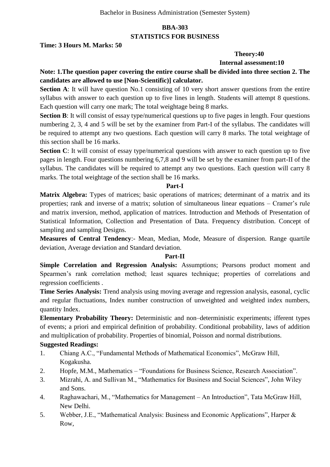# **BBA-303 STATISTICS FOR BUSINESS**

#### **Time: 3 Hours M. Marks: 50**

#### **Theory:40**

 **Internal assessment:10**

# **Note: 1.The question paper covering the entire course shall be divided into three section 2. The candidates are allowed to use [Non-Scientific)] calculator.**

**Section A**: It will have question No.1 consisting of 10 very short answer questions from the entire syllabus with answer to each question up to five lines in length. Students will attempt 8 questions. Each question will carry one mark; The total weightage being 8 marks.

**Section B**: It will consist of essay type/numerical questions up to five pages in length. Four questions numbering 2, 3, 4 and 5 will be set by the examiner from Part-I of the syllabus. The candidates will be required to attempt any two questions. Each question will carry 8 marks. The total weightage of this section shall be 16 marks.

**Section C**: It will consist of essay type/numerical questions with answer to each question up to five pages in length. Four questions numbering 6,7,8 and 9 will be set by the examiner from part-II of the syllabus. The candidates will be required to attempt any two questions. Each question will carry 8 marks. The total weightage of the section shall be 16 marks.

#### **Part-I**

**Matrix Algebra:** Types of matrices; basic operations of matrices; determinant of a matrix and its properties; rank and inverse of a matrix; solution of simultaneous linear equations – Cramer's rule and matrix inversion, method, application of matrices. Introduction and Methods of Presentation of Statistical Information, Collection and Presentation of Data. Frequency distribution. Concept of sampling and sampling Designs.

**Measures of Central Tendency**:- Mean, Median, Mode, Measure of dispersion. Range quartile deviation, Average deviation and Standard deviation.

#### **Part-II**

**Simple Correlation and Regression Analysis:** Assumptions; Pearsons product moment and Spearmen's rank correlation method; least squares technique; properties of correlations and regression coefficients .

**Time Series Analysis:** Trend analysis using moving average and regression analysis, easonal, cyclic and regular fluctuations, Index number construction of unweighted and weighted index numbers, quantity Index.

**Elementary Probability Theory:** Deterministic and non–deterministic experiments; ifferent types of events; a priori and empirical definition of probability. Conditional probability, laws of addition and multiplication of probability. Properties of binomial, Poisson and normal distributions.

#### **Suggested Readings:**

- 1. Chiang A.C., "Fundamental Methods of Mathematical Economics", McGraw Hill, Kogakusha.
- 2. Hopfe, M.M., Mathematics "Foundations for Business Science, Research Association".
- 3. Mizrahi, A. and Sullivan M., "Mathematics for Business and Social Sciences", John Wiley and Sons.
- 4. Raghawachari, M., "Mathematics for Management An Introduction", Tata McGraw Hill, New Delhi.
- 5. Webber, J.E., "Mathematical Analysis: Business and Economic Applications", Harper & Row,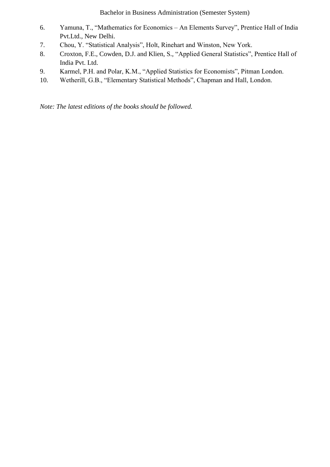Bachelor in Business Administration (Semester System)

- 6. Yamuna, T., "Mathematics for Economics An Elements Survey", Prentice Hall of India Pvt.Ltd., New Delhi.
- 7. Chou, Y. "Statistical Analysis", Holt, Rinehart and Winston, New York.
- 8. Croxton, F.E., Cowden, D.J. and Klien, S., "Applied General Statistics", Prentice Hall of India Pvt. Ltd.
- 9. Karmel, P.H. and Polar, K.M., "Applied Statistics for Economists", Pitman London.
- 10. Wetherill, G.B., "Elementary Statistical Methods", Chapman and Hall, London.

*Note: The latest editions of the books should be followed.*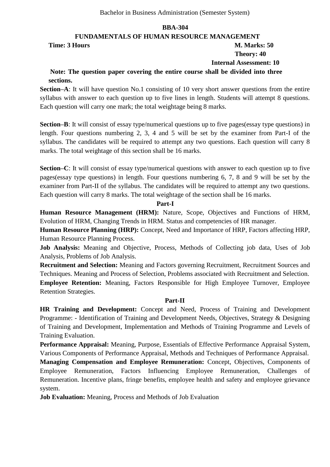#### **FUNDAMENTALS OF HUMAN RESOURCE MANAGEMENT**

**Time: 3 Hours M. Marks: 50** 

# **Theory: 40**

 **Internal Assessment: 10**

# **Note: The question paper covering the entire course shall be divided into three sections.**

**Section–A**: It will have question No.1 consisting of 10 very short answer questions from the entire syllabus with answer to each question up to five lines in length. Students will attempt 8 questions. Each question will carry one mark; the total weightage being 8 marks.

**Section–B**: It will consist of essay type/numerical questions up to five pages(essay type questions) in length. Four questions numbering 2, 3, 4 and 5 will be set by the examiner from Part-I of the syllabus. The candidates will be required to attempt any two questions. Each question will carry 8 marks. The total weightage of this section shall be 16 marks.

**Section–C**: It will consist of essay type/numerical questions with answer to each question up to five pages(essay type questions) in length. Four questions numbering 6, 7, 8 and 9 will be set by the examiner from Part-II of the syllabus. The candidates will be required to attempt any two questions. Each question will carry 8 marks. The total weightage of the section shall be 16 marks.

#### **Part-I**

**Human Resource Management (HRM):** Nature, Scope, Objectives and Functions of HRM, Evolution of HRM, Changing Trends in HRM. Status and competencies of HR manager.

**Human Resource Planning (HRP):** Concept, Need and Importance of HRP, Factors affecting HRP, Human Resource Planning Process.

**Job Analysis:** Meaning and Objective, Process, Methods of Collecting job data, Uses of Job Analysis, Problems of Job Analysis.

**Recruitment and Selection:** Meaning and Factors governing Recruitment, Recruitment Sources and Techniques. Meaning and Process of Selection, Problems associated with Recruitment and Selection. **Employee Retention:** Meaning, Factors Responsible for High Employee Turnover, Employee Retention Strategies.

#### **Part-II**

**HR Training and Development:** Concept and Need, Process of Training and Development Programme: - Identification of Training and Development Needs, Objectives, Strategy & Designing of Training and Development, Implementation and Methods of Training Programme and Levels of Training Evaluation.

**Performance Appraisal:** Meaning, Purpose, Essentials of Effective Performance Appraisal System, Various Components of Performance Appraisal, Methods and Techniques of Performance Appraisal.

**Managing Compensation and Employee Remuneration:** Concept, Objectives, Components of Employee Remuneration, Factors Influencing Employee Remuneration, Challenges of Remuneration. Incentive plans, fringe benefits, employee health and safety and employee grievance system.

**Job Evaluation:** Meaning, Process and Methods of Job Evaluation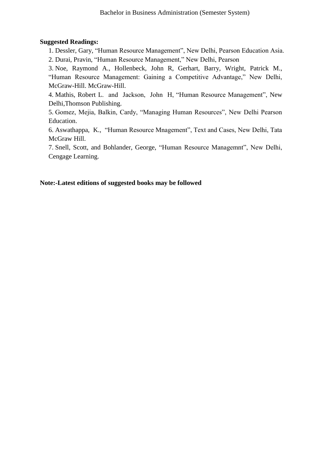#### **Suggested Readings:**

1. Dessler, Gary, "Human Resource Management", New Delhi, Pearson Education Asia. 2. Durai, Pravin, "Human Resource Management," New Delhi, Pearson

3. Noe, Raymond A., Hollenbeck, John R, Gerhart, Barry, Wright, Patrick M., "Human Resource Management: Gaining a Competitive Advantage," New Delhi, McGraw-Hill. McGraw-Hill.

4. Mathis, Robert L. and Jackson, John H. "Human Resource Management", New Delhi,Thomson Publishing.

5. Gomez, Mejia, Balkin, Cardy, "Managing Human Resources", New Delhi Pearson Education.

6. Aswathappa, K., "Human Resource Mnagement", Text and Cases, New Delhi, Tata McGraw Hill.

7. Snell, Scott, and Bohlander, George, "Human Resource Managemnt", New Delhi, Cengage Learning.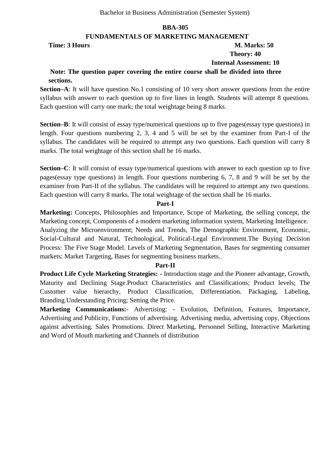#### **FUNDAMENTALS OF MARKETING MANAGEMENT**

**Time: 3 Hours M. Marks: 50** 

# **Theory: 40**

 **Internal Assessment: 10**

# **Note: The question paper covering the entire course shall be divided into three sections.**

**Section–A**: It will have question No.1 consisting of 10 very short answer questions from the entire syllabus with answer to each question up to five lines in length. Students will attempt 8 questions. Each question will carry one mark; the total weightage being 8 marks.

**Section–B**: It will consist of essay type/numerical questions up to five pages(essay type questions) in length. Four questions numbering 2, 3, 4 and 5 will be set by the examiner from Part-I of the syllabus. The candidates will be required to attempt any two questions. Each question will carry 8 marks. The total weightage of this section shall be 16 marks.

**Section–C**: It will consist of essay type/numerical questions with answer to each question up to five pages(essay type questions) in length. Four questions numbering 6, 7, 8 and 9 will be set by the examiner from Part-II of the syllabus. The candidates will be required to attempt any two questions. Each question will carry 8 marks. The total weightage of the section shall be 16 marks.

#### **Part-I**

**Marketing:** Concepts, Philosophies and Importance, Scope of Marketing, the selling concept, the Marketing concept, Components of a modern marketing information system, Marketing Intelligence. Analyzing the Microenvironment; Needs and Trends, The Demographic Environment, Economic, Social-Cultural and Natural, Technological, Political-Legal Environment.The Buying Decision Process: The Five Stage Model. Levels of Marketing Segmentation, Bases for segmenting consumer markets: Market Targeting, Bases for segmenting business markets..

#### **Part-II**

**Product Life Cycle Marketing Strategies: -** Introduction stage and the Pioneer advantage, Growth, Maturity and Declining Stage.Product Characteristics and Classifications; Product levels; The Customer value hierarchy, Product Classification, Differentiation. Packaging, Labeling, Branding.Understanding Pricing; Setting the Price.

**Marketing Communications:-** Advertising: - Evolution, Definition, Features, Importance, Advertising and Publicity, Functions of advertising. Advertising media, advertising copy, Objections against advertising. Sales Promotions. Direct Marketing, Personnel Selling, Interactive Marketing and Word of Mouth marketing and Channels of distribution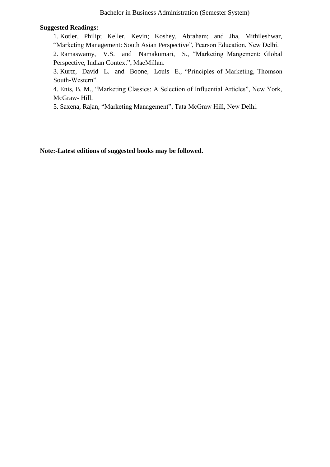#### **Suggested Readings:**

1. Kotler, Philip; Keller, Kevin; Koshey, Abraham; and Jha, Mithileshwar, "Marketing Management: South Asian Perspective", Pearson Education, New Delhi.

2. Ramaswamy, V.S. and Namakumari, S., "Marketing Mangement: Global Perspective, Indian Context", MacMillan.

3. Kurtz, David L. and Boone, Louis E., "Principles of Marketing, Thomson South-Western".

4. Enis, B. M., "Marketing Classics: A Selection of Influential Articles", New York, McGraw- Hill.

5. Saxena, Rajan, "Marketing Management", Tata McGraw Hill, New Delhi.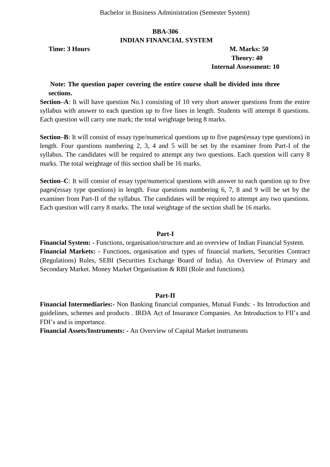#### **BBA-306 INDIAN FINANCIAL SYSTEM**

**Time: 3 Hours M. Marks: 50 Theory: 40 Internal Assessment: 10**

#### **Note: The question paper covering the entire course shall be divided into three sections.**

**Section–A**: It will have question No.1 consisting of 10 very short answer questions from the entire syllabus with answer to each question up to five lines in length. Students will attempt 8 questions. Each question will carry one mark; the total weightage being 8 marks.

**Section–B**: It will consist of essay type/numerical questions up to five pages(essay type questions) in length. Four questions numbering 2, 3, 4 and 5 will be set by the examiner from Part-I of the syllabus. The candidates will be required to attempt any two questions. Each question will carry 8 marks. The total weightage of this section shall be 16 marks.

**Section–C**: It will consist of essay type/numerical questions with answer to each question up to five pages(essay type questions) in length. Four questions numbering 6, 7, 8 and 9 will be set by the examiner from Part-II of the syllabus. The candidates will be required to attempt any two questions. Each question will carry 8 marks. The total weightage of the section shall be 16 marks.

#### **Part-I**

**Financial System: -** Functions, organisation/structure and an overview of Indian Financial System. **Financial Markets: -** Functions, organisation and types of financial markets, Securities Contract (Regulations) Rules, SEBI (Securities Exchange Board of India). An Overview of Primary and Secondary Market. Money Market Organisation & RBI (Role and functions).

#### **Part-II**

**Financial Intermediaries:-** Non Banking financial companies, Mutual Funds: - Its Introduction and guidelines, schemes and products . IRDA Act of Insurance Companies. An Introduction to FII's and FDI's and is importance.

**Financial Assets/Instruments: -** An Overview of Capital Market instruments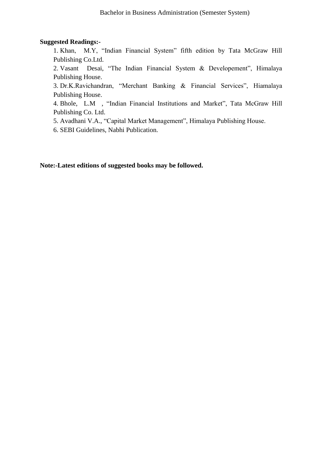#### **Suggested Readings:-**

1. Khan, M.Y, "Indian Financial System" fifth edition by Tata McGraw Hill Publishing Co.Ltd.

2. Vasant Desai, "The Indian Financial System & Developement", Himalaya Publishing House.

3. Dr.K.Ravichandran, "Merchant Banking & Financial Services", Hiamalaya Publishing House.

4. Bhole, L.M , "Indian Financial Institutions and Market", Tata McGraw Hill Publishing Co. Ltd.

5. Avadhani V.A., "Capital Market Management", Himalaya Publishing House.

6. SEBI Guidelines, Nabhi Publication.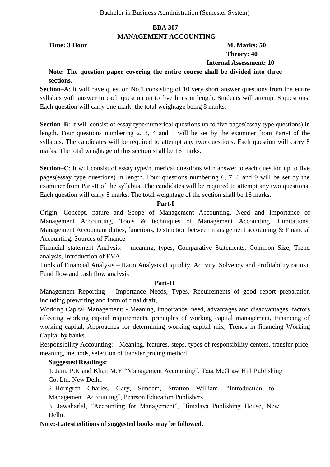#### **BBA 307 MANAGEMENT ACCOUNTING**

# **Time: 3 Hour M. Marks: 50 Theory: 40 Internal Assessment: 10**

# **Note: The question paper covering the entire course shall be divided into three sections.**

**Section–A**: It will have question No.1 consisting of 10 very short answer questions from the entire syllabus with answer to each question up to five lines in length. Students will attempt 8 questions. Each question will carry one mark; the total weightage being 8 marks.

**Section–B**: It will consist of essay type/numerical questions up to five pages(essay type questions) in length. Four questions numbering 2, 3, 4 and 5 will be set by the examiner from Part-I of the syllabus. The candidates will be required to attempt any two questions. Each question will carry 8 marks. The total weightage of this section shall be 16 marks.

**Section–C**: It will consist of essay type/numerical questions with answer to each question up to five pages(essay type questions) in length. Four questions numbering 6, 7, 8 and 9 will be set by the examiner from Part-II of the syllabus. The candidates will be required to attempt any two questions. Each question will carry 8 marks. The total weightage of the section shall be 16 marks.

#### **Part-I**

Origin, Concept, nature and Scope of Management Accounting. Need and Importance of Management Accounting, Tools & techniques of Management Accounting, Limitations, Management Accountant duties, functions, Distinction between management accounting & Financial Accounting. Sources of Finance

Financial statement Analysis: - meaning, types, Comparative Statements, Common Size, Trend analysis, Introduction of EVA.

Tools of Financial Analysis – Ratio Analysis (Liquidity, Activity, Solvency and Profitability ratios), Fund flow and cash flow analysis

#### **Part-II**

Management Reporting – Importance Needs, Types, Requirements of good report preparation including prewriting and form of final draft,

Working Capital Management: - Meaning, importance, need, advantages and disadvantages, factors affecting working capital requirements, principles of working capital management, Financing of working capital, Approaches for determining working capital mix, Trends in financing Working Capital by banks.

Responsibility Accounting: - Meaning, features, steps, types of responsibility centers, transfer price; meaning, methods, selection of transfer pricing method.

#### **Suggested Readings:**

1. Jain, P.K and Khan M.Y "Management Accounting", Tata McGraw Hill Publishing Co. Ltd. New Delhi.

2. Horngren Charles, Gary, Sundem, Stratton William, "Introduction to Management Accounting", Pearson Education Publishers.

3. Jawaharlal, "Accounting for Management", Himalaya Publishing House, New Delhi.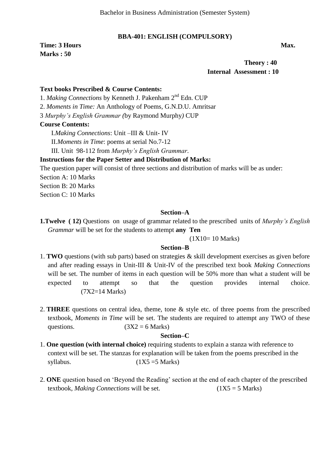#### **BBA-401: ENGLISH (COMPULSORY)**

**Time: 3 Hours Max. Max. Marks : 50** 

 **Theory : 40 Internal Assessment : 10**

#### **Text books Prescribed & Course Contents:**

1. *Making Connections* by Kenneth J. Pakenham 2nd Edn. CUP

2. *Moments in Time:* An Anthology of Poems*,* G.N.D.U. Amritsar

3 *Murphy's English Grammar (*by Raymond Murphy*)* CUP

#### **Course Contents:**

I.*Making Connections*: Unit –III & Unit- IV

II.*Moments in Time*: poems at serial No.7-12

III. Unit 98-112 from *Murphy's English Grammar*.

#### **Instructions for the Paper Setter and Distribution of Marks:**

The question paper will consist of three sections and distribution of marks will be as under: Section A: 10 Marks Section B: 20 Marks

Section C: 10 Marks

#### **Section–A**

**1.Twelve ( 12)** Questions on usage of grammar related to the prescribed units of *Murphy's English Grammar* will be set for the students to attempt **any Ten** 

(1X10= 10 Marks)

## **Section–B**

- 1. **TWO** questions (with sub parts) based on strategies & skill development exercises as given before and after reading essays in Unit-III & Unit-IV of the prescribed text book *Making Connections*  will be set. The number of items in each question will be 50% more than what a student will be expected to attempt so that the question provides internal choice. (7X2=14 Marks)
- 2. **THREE** questions on central idea, theme, tone & style etc. of three poems from the prescribed textbook, *Moments in Time* will be set. The students are required to attempt any TWO of these questions. ( $3X2 = 6$  Marks)

#### **Section–C**

- 1. **One question (with internal choice)** requiring students to explain a stanza with reference to context will be set. The stanzas for explanation will be taken from the poems prescribed in the syllabus.  $(1X5 = 5 \text{ Marks})$
- 2. **ONE** question based on 'Beyond the Reading' section at the end of each chapter of the prescribed textbook, *Making Connections* will be set. (1X5 = 5 Marks)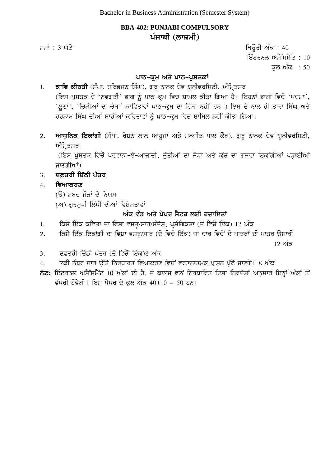# **BBA-402: PUNJABI COMPULSORY** ਪੰਜਾਬੀ (ਲਾਜ਼ਮੀ)

ਸਮਾਂ : 3 ਘੰਟੇ ਪਰਿਆ ਤੇ ਕਿਉਂਗੇ ਅੰਕ : 40 ਇੰਟਰਨਲ ਅਸੈੱਸਮੈਂਟ :  $10$ ਕਲ ਅੰਕ $: 50$ 

# **ਪਾਠ-ਕ੍ਰਮ ਅਤੇ ਪਾਠ-ਪੁਸਤਕਾਂ**

- 1. ਕਾਵਿ ਕੀਰਤੀ (ਸੰਪਾ. ਹਰਿਭਜਨ ਸਿੰਘ), ਗੁਰੁ ਨਾਨਕ ਦੇਵ ਯੁਨੀਵਰਸਿਟੀ, ਅੰਮ੍ਰਿਤਸਰ (ਇਸ ਪੁਸਤਕ ਦੇ 'ਨਵਗਤੀ' ਭਾਗ ਨੂੰ ਪਾਠ-ਕ੍ਰਮ ਵਿਚ ਸ਼ਾਮਲ ਕੀਤਾ ਗਿਆ ਹੈ। ਇਹਨਾਂ ਭਾਗਾਂ ਵਿਚੋ 'ਪਦਮਾ', 'ਲਣਾ', 'ਚਿੜੀਆਂ ਦਾ ਚੰਬਾ' ਕਾਵਿਤਾਵਾਂ ਪਾਠ-ਕ੍ਰਮ ਦਾ ਹਿੱਸਾ ਨਹੀਂ ਹਨ।) ਇਸ ਦੇ ਨਾਲ ਹੀ ਤਾਰਾ ਸਿੰਘ ਅਤੇ ਹਰਨਾਮ ਸਿੰਘ ਦੀਆਂ ਸਾਰੀਆਂ ਕਵਿਤਾਵਾਂ ਨੂੰ ਪਾਠ-ਕ੍ਰਮ ਵਿਚ ਸ਼ਾਮਿਲ ਨਹੀਂ ਕੀਤਾ ਗਿਆ।
- 2. **ਆਧੁਨਿਕ ਇਕਾਂਗੀ** (ਸੰਪਾ. ਰੋਸ਼ਨ ਲਾਲ ਆਹੁਜਾ ਅਤੇ ਮਨਜੀਤ ਪਾਲ ਕੌਰ), ਗੁਰੂ ਨਾਨਕ ਦੇਵ ਯੂਨੀਵਰਸਿਟੀ, ਅੰਮਿਤਸਰ।

(ਇਸ ਪਸਤਕ ਵਿਚੋ ਪਰਵਾਨਾ-ਏ-ਆਜ਼ਾਦੀ, ਜੱਤੀਆਂ ਦਾ ਜੋੜਾ ਅਤੇ ਕੱਚ ਦਾ ਗਜਰਾ ਇਕਾਂਗੀਆਂ ਪੜ੍ਹਾਈਆਂ ਜਾਣਗੀਆਂ)

- 3. **ਦਫ਼ਤਰੀ ਚਿੱਠੀ ਪੱਤਰ**
- 4. **ਵਿਆਕਰਣ** 
	- (ੳ) ਸ਼ਬਦ ਜੋੜਾਂ ਦੇ ਨਿਯਮ
	- $(M)$  ਗਰਮਖੀ ਲਿੱਪੀ ਦੀਆਂ ਵਿਸ਼ੇਸ਼ਤਾਵਾਂ

# ਅੰਕ ਵੰਡ ਅਤੇ ਪੇਪਰ ਸੈਟਰ ਲਈ ਹਦਾਇਤਾ<u>ਂ</u>

- 1. ਕਿਸੇ ਇੱਕ ਕਵਿਤਾ ਦਾ ਵਿਸ਼ਾ ਵਸਤੂ/ਸਾਰ/ਸੰਦੇਸ਼, ਪ੍ਰਸੰਗਿਕਤਾ (ਦੋ ਵਿਚੋ ਇੱਕ) 12 ਅੰਕ
- 2. ਕਿਸੇ ਇੱਕ ਇਕਾਂਗੀ ਦਾ ਵਿਸ਼ਾ ਵਸਤੂ/ਸਾਰ (ਦੋ ਵਿਚੋ ਇੱਕ) ਜਾਂ ਚਾਰ ਵਿਚੋਂ ਦੋ ਪਾਤਰਾਂ ਦੀ ਪਾਤਰ ਉਸਾਰੀ

 $12$  ਅੱਕ

- 3. d&qrI ic`TI p`qr (do ivcoN ie`k)8 AMk
- 4. ਲੜੀ ਨੰਬਰ ਚਾਰ ਉੱਤੇ ਨਿਰਧਾਰਤ ਵਿਆਕਰਣ ਵਿਚੋਂ ਵਰਣਨਾਤਮਕ ਪ੍ਰਸ਼ਨ ਪੁੱਛੇ ਜਾਣਗੇ। 8 ਅੰਕ
- ਨੋਟ: ਇੰਟਰਨਲ ਅਸੈੱਸਮੈਂਟ 10 ਅੰਕਾਂ ਦੀ ਹੈ, ਜੋ ਕਾਲਜ ਵਲੋਂ ਨਿਰਧਾਰਿਤ ਦਿਸ਼ਾ ਨਿਰਦੇਸ਼ਾਂ ਅਨੁਸਾਰ ਇਨ੍ਹਾਂ ਅੰਕਾਂ ਤੋਂ ਵੱਖਰੀ ਹੋਵੇਗੀ। ਇਸ ਪੇਪਰ ਦੇ ਕਲ ਅੰਕ 40+10 = 50 ਹਨ।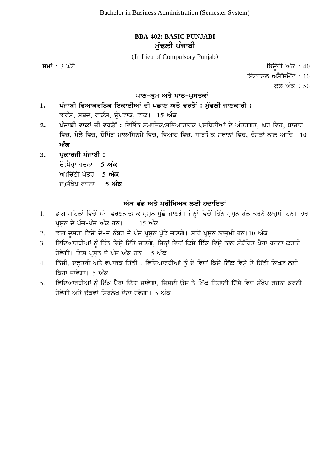# **BBA-402: BASIC PUNJABI ਮੱਢਲੀ** ਪੰਜਾਬੀ

(In Lieu of Compulsory Punjab)

ਸਮਾਂ : 3 ਘੰਟੇ ਵਿਉਰੀ ਅੰਕ : 40

ਇੰਟਰਨਲ ਅਸੈੱਸਮੈਂਟ :  $10$ 

ਕਲ ਅੰਕ : 50

# <u>ਪਾਠ-ਕੁਮ ਅਤੇ ਪਾਠ-ਪੁਸਤਕਾਂ</u>

# 1. ਪੰਜਾਬੀ ਵਿਆਕਰਨਿਕ ਇਕਾਈਆਂ ਦੀ ਪਛਾਣ ਅਤੇ ਵਰਤੋਂ : ਮੁੱਢਲੀ ਜਾਣਕਾਰੀ :

ਭਾਵੰਸ਼, ਸ਼ਬਦ, ਵਾਕੰਸ਼, ੳਪਵਾਕ, ਵਾਕ। 15 **ਅੰਕ** 

- 2. ਪੰਜਾਬੀ ਵਾਕਾਂ ਦੀ ਵਰਤੋਂ : ਵਿਭਿੰਨ ਸਮਾਜਿਕ/ਸਭਿਆਚਾਰਕ ਪੁਸਥਿਤੀਆਂ ਦੇ ਅੰਤਰਗਤ, ਘਰ ਵਿਚ, ਬਾਜ਼ਾਰ ਵਿਚ, ਮੇਲੇ ਵਿਚ, ਸ਼ੋਪਿੰਗ ਮਾਲ/ਸਿਨਮੇ ਵਿਚ, ਵਿਆਹ ਵਿਚ, ਧਾਰਮਿਕ ਸਥਾਨਾਂ ਵਿਚ, ਦੋਸਤਾਂ ਨਾਲ ਆਦਿ। 10 <u>ਅੰਕ</u>
- 3. ਪੁਕਾਰਜੀ ਪੰਜਾਬੀ **:**

ੳ)ਪੈਰ੍ਹਾ ਰਚਨਾ 5 **ਅੰਕ** ਅ)ਚਿੱਠੀ ਪੱਤਰ 5 **ਅੰਕ ੲ)ਸੰਖੇਪ ਰਚਨਾ \_ 5 ਅੰਕ** 

# ਅੰਕ ਵੰਡ ਅਤੇ ਪਰੀਖਿਅਕ ਲਈ ਹਦਾਇਤਾ<u>ਂ</u>

- 1. ਭਾਗ ਪਹਿਲਾਂ ਵਿਚੋਂ ਪੰਜ ਵਰਣਨਾਤਮਕ ਪ੍ਰਸ਼ਨ ਪੁੱਛੇ ਜਾਣਗੇ।ਜਿਨ੍ਹਾਂ ਵਿਚੋਂ ਤਿੰਨ ਪ੍ਰਸ਼ਨ ਹੱਲ ਕਰਨੇ ਲਾਜ਼ਮੀ ਹਨ। ਹਰ pRsæn dy pMj-pMj AMk hn[ 15 AMk
- 2. ਭਾਗ ਦੂਸਰਾ ਵਿਚੋਂ ਦੋ-ਦੋ ਨੰਬਰ ਦੇ ਪੰਜ ਪ੍ਰਸ਼ਨ ਪੁੱਛੇ ਜਾਣਗੇ। ਸਾਰੇ ਪ੍ਰਸ਼ਨ ਲਾਜ਼ਮੀ ਹਨ।10 ਅੰਕ
- 3. ਵਿਦਿਆਰਥੀਆਂ ਨੂੰ ਤਿੰਨ ਵਿਸ਼ੇ ਦਿੱਤੇ ਜਾਣਗੇ, ਜਿਨ੍ਹਾਂ ਵਿਚੋਂ ਕਿਸੇ ਇੱਕ ਵਿਸ਼ੇ ਨਾਲ ਸੰਬੰਧਿਤ ਪੈਰਾ ਰਚਨਾ ਕਰਨੀ ਹੋਵੇਗੀ। ਇਸ ਪਸਨ ਦੇ ਪੰਜ ਅੰਕ ਹਨ । 5 ਅੰਕ
- 4. ਨਿੱਜੀ, ਦਫ਼ਤਰੀ ਅਤੇ ਵਪਾਰਕ ਚਿੱਠੀ : ਵਿਦਿਆਰਥੀਆਂ ਨੂੰ ਦੋ ਵਿਚੋਂ ਕਿਸੇ ਇੱਕ ਵਿਸ਼ੇ ਤੇ ਚਿੱਠੀ ਲਿਖਣ ਲਈ ਕਿਹਾ ਜਾਵੇਗਾ। 5 ਅੰਕ
- 5. ਵਿਦਿਆਰਥੀਆਂ ਨੂੰ ਇੱਕ ਪੈਰਾ ਦਿੱਤਾ ਜਾਵੇਗਾ, ਜਿਸਦੀ ਉਸ ਨੇ ਇੱਕ ਤਿਹਾਈ ਹਿੱਸੇ ਵਿਚ ਸੰਖੇਪ ਰਚਨਾ ਕਰਨੀ ਹੋਵੇਗੀ ਅਤੇ ਢੱਕਵਾਂ ਸਿਰਲੇਖ ਦੇਣਾ ਹੋਵੇਗਾ। 5 ਅੰਕ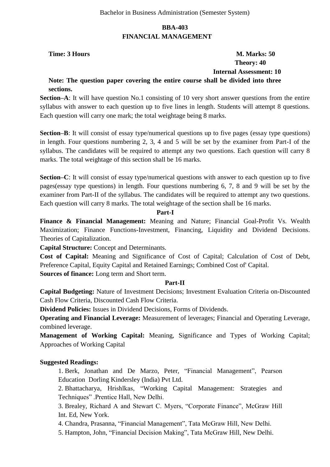### **BBA-403 FINANCIAL MANAGEMENT**

# **Time: 3 Hours M. Marks: 50 Theory: 40 Internal Assessment: 10**

### **Note: The question paper covering the entire course shall be divided into three sections.**

**Section–A**: It will have question No.1 consisting of 10 very short answer questions from the entire syllabus with answer to each question up to five lines in length. Students will attempt 8 questions. Each question will carry one mark; the total weightage being 8 marks.

**Section–B**: It will consist of essay type/numerical questions up to five pages (essay type questions) in length. Four questions numbering 2, 3, 4 and 5 will be set by the examiner from Part-I of the syllabus. The candidates will be required to attempt any two questions. Each question will carry 8 marks. The total weightage of this section shall be 16 marks.

**Section–C**: It will consist of essay type/numerical questions with answer to each question up to five pages(essay type questions) in length. Four questions numbering 6, 7, 8 and 9 will be set by the examiner from Part-II of the syllabus. The candidates will be required to attempt any two questions. Each question will carry 8 marks. The total weightage of the section shall be 16 marks.

#### **Part-I**

**Finance & Financial Management:** Meaning and Nature; Financial Goal-Profit Vs. Wealth Maximization; Finance Functions-Investment, Financing, Liquidity and Dividend Decisions. Theories of Capitalization.

**Capital Structure:** Concept and Determinants.

**Cost of Capital:** Meaning and Significance of Cost of Capital; Calculation of Cost of Debt, Preference Capital, Equity Capital and Retained Earnings; Combined Cost of' Capital. **Sources of finance:** Long term and Short term.

#### **Part-II**

**Capital Budgeting:** Nature of Investment Decisions; Investment Evaluation Criteria on-Discounted Cash Flow Criteria, Discounted Cash Flow Criteria.

**Dividend Policies:** Issues in Dividend Decisions, Forms of Dividends.

**Operating and Financial Leverage:** Measurement of leverages; Financial and Operating Leverage, combined leverage.

**Management of Working Capital:** Meaning, Significance and Types of Working Capital; Approaches of Working Capital

# **Suggested Readings:**

1. Berk, Jonathan and De Marzo, Peter, "Financial Management", Pearson Education Dorling Kindersley (India) Pvt Ltd.

2. Bhattacharya, Hrishlkas, "Working Capital Management: Strategies and Techniques" .Prentice Hall, New Delhi.

3. Brealey, Richard A and Stewart C. Myers, "Corporate Finance", McGraw Hill Int. Ed, New York.

4. Chandra, Prasanna, "Financial Management", Tata McGraw Hill, New Delhi.

5. Hampton, John, "Financial Decision Making", Tata McGraw Hill, New Delhi.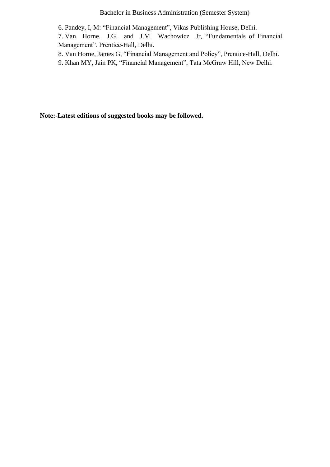Bachelor in Business Administration (Semester System)

6. Pandey, I, M: "Financial Management", Vikas Publishing House, Delhi.

7. Van Horne. J.G. and J.M. Wachowicz Jr, "Fundamentals of Financial Management". Prentice-Hall, Delhi.

8. Van Horne, James G, "Financial Management and Policy", Prentice-Hall, Delhi.

9. Khan MY, Jain PK, "Financial Management", Tata McGraw Hill, New Delhi.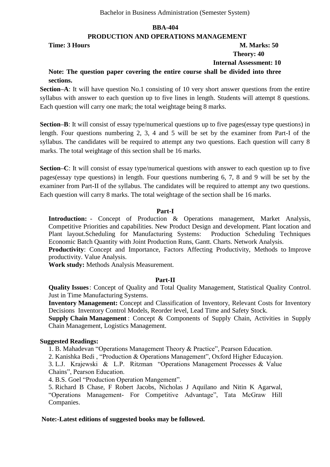#### **PRODUCTION AND OPERATIONS MANAGEMENT**

**Time: 3 Hours M. Marks: 50** 

# **Theory: 40**

 **Internal Assessment: 10**

# **Note: The question paper covering the entire course shall be divided into three sections.**

**Section–A**: It will have question No.1 consisting of 10 very short answer questions from the entire syllabus with answer to each question up to five lines in length. Students will attempt 8 questions. Each question will carry one mark; the total weightage being 8 marks.

**Section–B**: It will consist of essay type/numerical questions up to five pages(essay type questions) in length. Four questions numbering 2, 3, 4 and 5 will be set by the examiner from Part-I of the syllabus. The candidates will be required to attempt any two questions. Each question will carry 8 marks. The total weightage of this section shall be 16 marks.

**Section–C**: It will consist of essay type/numerical questions with answer to each question up to five pages(essay type questions) in length. Four questions numbering 6, 7, 8 and 9 will be set by the examiner from Part-II of the syllabus. The candidates will be required to attempt any two questions. Each question will carry 8 marks. The total weightage of the section shall be 16 marks.

#### **Part-I**

**Introduction:** - Concept of Production & Operations management, Market Analysis, Competitive Priorities and capabilities. New Product Design and development. Plant location and Plant layout.Scheduling for Manufacturing Systems: Production Scheduling Techniques Economic Batch Quantity with Joint Production Runs, Gantt. Charts. Network Analysis.

**Productivity**: Concept and Importance, Factors Affecting Productivity, Methods to Improve productivity. Value Analysis.

**Work study:** Methods Analysis Measurement.

#### **Part-II**

**Quality Issues**: Concept of Quality and Total Quality Management, Statistical Quality Control. Just in Time Manufacturing Systems.

**Inventory Management:** Concept and Classification of Inventory, Relevant Costs for Inventory Decisions Inventory Control Models, Reorder level, Lead Time and Safety Stock.

**Supply Chain Management** : Concept & Components of Supply Chain, Activities in Supply Chain Management, Logistics Management.

#### **Suggested Readings:**

1. B. Mahadevan "Operations Management Theory & Practice", Pearson Education.

2. Kanishka Bedi, "Production & Operations Management", Oxford Higher Educayion.

3. L.J. Krajewski & L.P. Ritzman "Operations Management Processes & Value Chains", Pearson Education.

4. B.S. Goel "Production Operation Mangement".

5. Richard B Chase, F Robert Jacobs, Nicholas J Aquilano and Nitin K Agarwal, "Operations Management- For Competitive Advantage", Tata McGraw Hill Companies.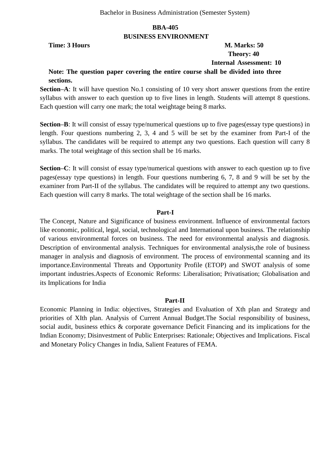#### **BBA-405 BUSINESS ENVIRONMENT**

# **Time: 3 Hours M. Marks: 50 Theory: 40 Internal Assessment: 10**

# **Note: The question paper covering the entire course shall be divided into three sections.**

**Section–A**: It will have question No.1 consisting of 10 very short answer questions from the entire syllabus with answer to each question up to five lines in length. Students will attempt 8 questions. Each question will carry one mark; the total weightage being 8 marks.

**Section–B**: It will consist of essay type/numerical questions up to five pages(essay type questions) in length. Four questions numbering 2, 3, 4 and 5 will be set by the examiner from Part-I of the syllabus. The candidates will be required to attempt any two questions. Each question will carry 8 marks. The total weightage of this section shall be 16 marks.

**Section–C**: It will consist of essay type/numerical questions with answer to each question up to five pages(essay type questions) in length. Four questions numbering 6, 7, 8 and 9 will be set by the examiner from Part-II of the syllabus. The candidates will be required to attempt any two questions. Each question will carry 8 marks. The total weightage of the section shall be 16 marks.

#### **Part-I**

The Concept, Nature and Significance of business environment. Influence of environmental factors like economic, political, legal, social, technological and International upon business. The relationship of various environmental forces on business. The need for environmental analysis and diagnosis. Description of environmental analysis. Techniques for environmental analysis,the role of business manager in analysis and diagnosis of environment. The process of environmental scanning and its importance.Environmental Threats and Opportunity Profile (ETOP) and SWOT analysis of some important industries.Aspects of Economic Reforms: Liberalisation; Privatisation; Globalisation and its Implications for India

#### **Part-II**

Economic Planning in India: objectives, Strategies and Evaluation of Xth plan and Strategy and priorities of XIth plan. Analysis of Current Annual Budget.The Social responsibility of business, social audit, business ethics & corporate governance Deficit Financing and its implications for the Indian Economy; Disinvestment of Public Enterprises: Rationale; Objectives and Implications. Fiscal and Monetary Policy Changes in India, Salient Features of FEMA.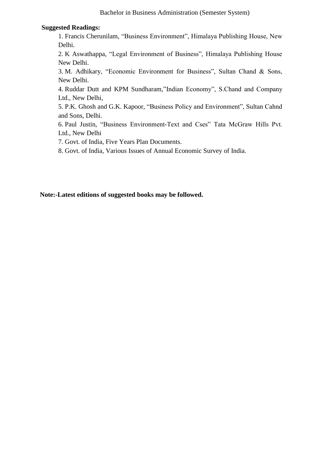#### **Suggested Readings:**

1. Francis Cherunilam, "Business Environment", Himalaya Publishing House, New Delhi.

2. K Aswathappa, "Legal Environment of Business", Himalaya Publishing House New Delhi.

3. M. Adhikary, "Economic Environment for Business", Sultan Chand  $\&$  Sons, New Delhi.

4. Ruddar Dutt and KPM Sundharam,"Indian Economy", S.Chand and Company Ltd., New Delhi,

5. P.K. Ghosh and G.K. Kapoor, "Business Policy and Environment", Sultan Cahnd and Sons, Delhi.

6. Paul Justin, "Business Environment-Text and Cses" Tata McGraw Hills Pvt. Ltd., New Delhi

7. Govt. of India, Five Years Plan Documents.

8. Govt. of India, Various Issues of Annual Economic Survey of India.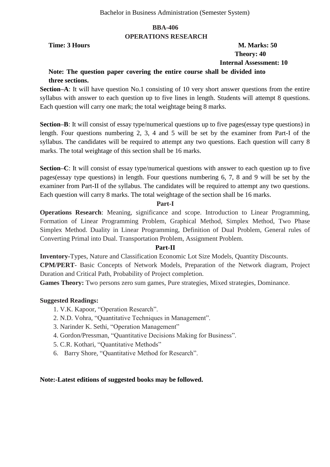#### **BBA-406 OPERATIONS RESEARCH**

# **Time: 3 Hours M. Marks: 50 Theory: 40 Internal Assessment: 10**

# **Note: The question paper covering the entire course shall be divided into three sections.**

**Section–A**: It will have question No.1 consisting of 10 very short answer questions from the entire syllabus with answer to each question up to five lines in length. Students will attempt 8 questions. Each question will carry one mark; the total weightage being 8 marks.

**Section–B**: It will consist of essay type/numerical questions up to five pages(essay type questions) in length. Four questions numbering 2, 3, 4 and 5 will be set by the examiner from Part-I of the syllabus. The candidates will be required to attempt any two questions. Each question will carry 8 marks. The total weightage of this section shall be 16 marks.

**Section–C**: It will consist of essay type/numerical questions with answer to each question up to five pages(essay type questions) in length. Four questions numbering 6, 7, 8 and 9 will be set by the examiner from Part-II of the syllabus. The candidates will be required to attempt any two questions. Each question will carry 8 marks. The total weightage of the section shall be 16 marks.

#### **Part-I**

**Operations Research**: Meaning, significance and scope. Introduction to Linear Programming, Formation of Linear Programming Problem, Graphical Method, Simplex Method, Two Phase Simplex Method. Duality in Linear Programming, Definition of Dual Problem, General rules of Converting Primal into Dual. Transportation Problem, Assignment Problem.

#### **Part-II**

**Inventory-**Types, Nature and Classification Economic Lot Size Models, Quantity Discounts. **CPM/PERT**- Basic Concepts of Network Models, Preparation of the Network diagram, Project Duration and Critical Path, Probability of Project completion.

**Games Theory:** Two persons zero sum games, Pure strategies, Mixed strategies, Dominance.

#### **Suggested Readings:**

- 1. V.K. Kapoor, "Operation Research".
- 2. N.D. Vohra, "Quantitative Techniques in Management".
- 3. Narinder K. Sethi, "Operation Management"
- 4. Gordon/Pressman, "Quantitative Decisions Making for Business".
- 5. C.R. Kothari, "Quantitative Methods"
- 6. Barry Shore, "Quantitative Method for Research".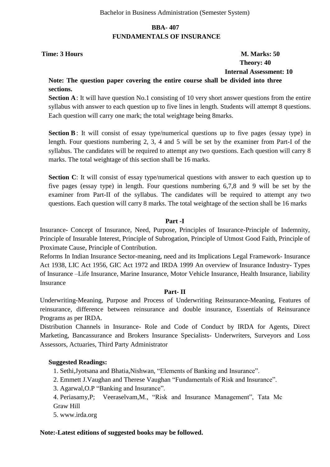#### **BBA- 407 FUNDAMENTALS OF INSURANCE**

# **Time: 3 Hours M. Marks: 50 Theory: 40 Internal Assessment: 10**

### **Note: The question paper covering the entire course shall be divided into three sections.**

**Section A**: It will have question No.1 consisting of 10 very short answer questions from the entire syllabus with answer to each question up to five lines in length. Students will attempt 8 questions. Each question will carry one mark; the total weightage being 8marks.

**Section B**: It will consist of essay type/numerical questions up to five pages (essay type) in length. Four questions numbering 2, 3, 4 and 5 will be set by the examiner from Part-I of the syllabus. The candidates will be required to attempt any two questions. Each question will carry 8 marks. The total weightage of this section shall be 16 marks.

**Section C**: It will consist of essay type/numerical questions with answer to each question up to five pages (essay type) in length. Four questions numbering 6,7,8 and 9 will be set by the examiner from Part-II of the syllabus. The candidates will be required to attempt any two questions. Each question will carry 8 marks. The total weightage of the section shall be 16 marks

#### **Part -I**

Insurance- Concept of Insurance, Need, Purpose, Principles of Insurance-Principle of Indemnity, Principle of Insurable Interest, Principle of Subrogation, Principle of Utmost Good Faith, Principle of Proximate Cause, Principle of Contribution.

Reforms In Indian Insurance Sector-meaning, need and its Implications Legal Framework- Insurance Act 1938, LIC Act 1956, GIC Act 1972 and IRDA 1999 An overview of Insurance Industry- Types of Insurance –Life Insurance, Marine Insurance, Motor Vehicle Insurance, Health Insurance, liability Insurance

#### **Part- II**

Underwriting-Meaning, Purpose and Process of Underwriting Reinsurance-Meaning, Features of reinsurance, difference between reinsurance and double insurance, Essentials of Reinsurance Programs as per IRDA.

Distribution Channels in Insurance- Role and Code of Conduct by IRDA for Agents, Direct Marketing, Bancassurance and Brokers Insurance Specialists- Underwriters, Surveyors and Loss Assessors, Actuaries, Third Party Administrator

#### **Suggested Readings:**

- 1. Sethi, Jyotsana and Bhatia, Nishwan, "Elements of Banking and Insurance".
- 2. Emmett J.Vaughan and Therese Vaughan "Fundamentals of Risk and Insurance".
- 3. Agarwal, O.P "Banking and Insurance".
- 4. Periasamy, P; Veeraselvam, M., "Risk and Insurance Management", Tata Mc Graw Hill
- 5. www.irda.org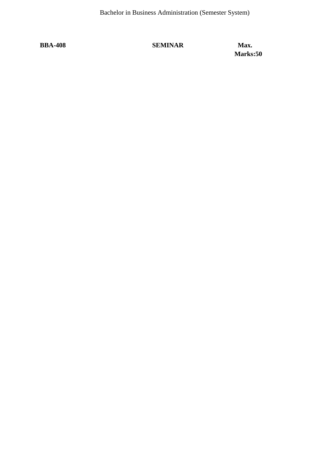# **BBA-408 SEMINAR Max.**

**Marks:50**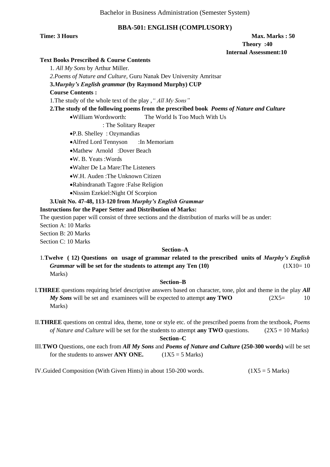Bachelor in Business Administration (Semester System)

#### **BBA-501: ENGLISH (COMPLUSORY)**

#### **Time: 3 Hours Max. Marks : 50 <b>Max. Marks : 50 Theory :40 Internal Assessment:10**

#### **Text Books Prescribed & Course Contents**

1. *All My Sons* by Arthur Miller.

*2.Poems of Nature and Culture,* Guru Nanak Dev University Amritsar

**3.***Murphy's English grammar* **(by Raymond Murphy) CUP**

#### **Course Contents :**

1.The study of the whole text of the play ,*" All My Sons"*

#### **2.The study of the following poems from the prescribed book** *Poems of Nature and Culture*

William Wordsworth: The World Is Too Much With Us

: The Solitary Reaper

- P.B. Shelley : Ozymandias
- Alfred Lord Tennyson : In Memoriam
- Mathew Arnold :Dover Beach
- W. B. Yeats :Words
- Walter De La Mare:The Listeners
- W.H. Auden :The Unknown Citizen
- Rabindranath Tagore :False Religion
- Nissim Ezekiel:Night Of Scorpion

#### **3.Unit No. 47-48, 113-120 from** *Murphy's English Grammar*

#### **Instructions for the Paper Setter and Distribution of Marks:**

The question paper will consist of three sections and the distribution of marks will be as under:

Section A: 10 Marks

Section B: 20 Marks

Section C: 10 Marks

#### **Section–A**

1.**Twelve ( 12) Questions on usage of grammar related to the prescribed units of** *Murphy's English Grammar* will be set for the students to attempt any Ten (10)  $(1X10=10)$ Marks)

#### **Section–B**

- I.**THREE** questions requiring brief descriptive answers based on character, tone, plot and theme in the play *All My Sons* will be set and examinees will be expected to attempt **any TWO** (2X5= 10) Marks)
- II.**THREE** questions on central idea, theme, tone or style etc. of the prescribed poems from the textbook, *Poems of Nature and Culture* will be set for the students to attempt **any TWO** questions. (2X5 = 10 Marks)

#### **Section–C**

- III.**TWO** Questions, one each from *All My Sons* and *Poems of Nature and Culture* **(250-300 words)** will be set for the students to answer **ANY ONE.**  $(1X5 = 5 \text{ Marks})$
- IV.Guided Composition (With Given Hints) in about 150-200 words.  $(1X5 = 5 \text{ Marks})$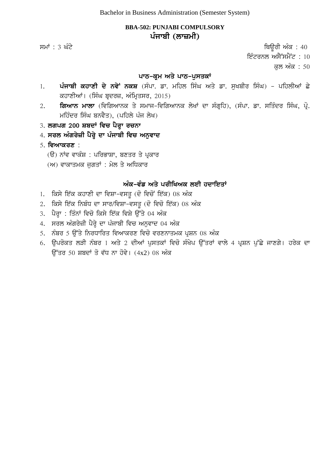# **BBA-502: PUNJABI COMPULSORY** ਪੰਜਾਬੀ (ਲਾ**ਜ਼ਮੀ**)

 $\overline{r}$ ਸਮਾਂ : 3 ਘੰਟੇ ਪਹਿਲਾਂ ਬਾਅਦ ਤੋਂ ਬਾਅਦ ਤੋਂ ਬਾਅਦ ਤੋਂ ਬਾਅਦ ਤੋਂ ਬਾਅਦ ਤੋਂ ਬਾਅਦ ਤੋਂ ਬਾਅਦ ਤੋਂ ਬਾਅਦ ਤੋਂ ਬਾਅਦ ਤੋਂ ਬਾਅਦ ਤੋਂ ਬਾਅਦ ਤੋਂ ਬਾਅਦ ਤੋਂ ਬਾਅਦ ਤੋਂ ਬਾਅਦ ਤੋਂ ਬਾਅਦ ਤੋਂ ਬਾਅਦ ਤੋਂ ਬਾਅਦ ਤੋਂ ਬਾਅਦ ਤੋਂ ਬਾਅਦ ਤੋਂ ਬਾਅਦ ਤੋਂ ਬਾਅਦ ਤੋਂ ਬਾ

ਇੰਟਰਨਲ ਅਸੈੱਸਮੈਂਟ:  $10$ 

ਕਲ ਅੰਕ : 50

#### <u>ਪਾਠ-ਕੁਮ ਅਤੇ ਪਾਠ-ਪੁਸਤਕਾਂ</u>

- 1. ਪੰਜਾਬੀ ਕਹਾਣੀ ਦੇ ਨਵੇ<sup>:</sup> ਨਕਸ਼ (ਸੰਪਾ. ਡਾ. ਮਹਿਲ ਸਿੰਘ ਅਤੇ ਡਾ. ਸੁਖਬੀਰ ਸਿੰਘ) ਪਹਿਲੀਆਂ ਛੇ ਕਹਾਣੀਆਂ। (ਸਿੰਘ ਬੁਦਰਜ਼, ਅੰਮ੍ਰਿਤਸਰ, 2015)
- 2. **ਗਿਆਨ ਮਾਲਾ** (ਵਿਗਿਆਨਕ ਤੇ ਸਮਾਜ-ਵਿਗਿਆਨਕ ਲੇਖਾਂ ਦਾ ਸੰਗ੍ਰਹਿ), (ਸੰਪਾ. ਡਾ. ਸਤਿੰਦਰ ਸਿੰਘ, ਪ੍ਰੋ. ਮਹਿੰਦਰ ਸਿੰਘ ਬਨਵੈਤ), (ਪਹਿਲੇ ਪੰਜ ਲੇਖ)
- 3. ਲਗਪਗ 200 ਸ਼ਬਦਾਂ ਵਿਚ ਪੈਰ੍ਹਾ ਰਚਨਾ
- 4. **ਸਰਲ ਅੰਗਰੇਜ਼ੀ ਪੈਰ੍ਹੇ ਦਾ ਪੰਜਾਬੀ ਵਿਚ ਅਨੁਵਾਦ**
- 5. **ਵਿਆਕਰਣ** :
	- (ੳ) ਨਾਂਵ ਵਾਕੰਸ਼ : ਪਰਿਭਾਸ਼ਾ, ਬਣਤਰ ਤੇ ਪ੍ਰਕਾਰ
	- $(M)$  ਵਾਕਾਤਮਕ ਜੁਗਤਾਂ: ਮੇਲ ਤੇ ਅਧਿਕਾਰ

#### ਅੰਕ-ਵੰਡ ਅਤੇ ਪਰੀਖਿਅਕ ਲਈ ਹਦਾਇਤਾ<u>ਂ</u>

- 1. ਕਿਸੇ ਇੱਕ ਕਹਾਣੀ ਦਾ ਵਿਸ਼ਾ-ਵਸਤੂ (ਦੋ ਵਿਚੋਂ ਇੱਕ) 08 ਅੰਕ
- $2.$  ਕਿਸੇ ਇੱਕ ਨਿਬੰਧ ਦਾ ਸਾਰ/ਵਿਸ਼ਾ-ਵਸਤੂ (ਦੋ ਵਿਚੋ ਇੱਕ) 08 ਅੰਕ
- 3. ਪੈਰ੍ਹਾ : ਤਿੰਨਾਂ ਵਿਚੋ ਕਿਸੇ ਇੱਕ ਵਿਸ਼ੇ ਉੱਤੇ 04 ਅੰਕ
- 4. ਸਰਲ ਅੰਗਰੇਜ਼ੀ ਪੈਰ੍ਹੇ ਦਾ ਪੰਜਾਬੀ ਵਿਚ ਅਨੁਵਾਦ 04 ਅੰਕ
- 5. ਨੰਬਰ 5 ਉੱਤੇ ਨਿਰਧਾਰਿਤ ਵਿਆਕਰਣ ਵਿਚੋ ਵਰਣਨਾਤਮਕ ਪੁਸ਼ਨ 08 ਅੰਕ
- 6. ਉਪਰੋਕਤ ਲੜੀ ਨੰਬਰ 1 ਅਤੇ 2 ਦੀਆਂ ਪੁਸਤਕਾਂ ਵਿਚੋ ਸੰਖੇਪ ਉੱਤਰਾਂ ਵਾਲੇ 4 ਪੁਸ਼ਨ ਪੁੱਛੇ ਜਾਣਗੇ। ਹਰੇਕ ਦਾ ਕਿੱਤਰ 50 ਸ਼ਬਦਾਂ ਤੋ ਵੱਧ ਨਾ ਹੋਵੇ।  $(4x2)$  08 ਅੰਕ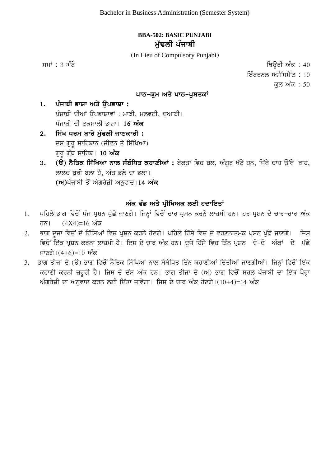# **BBA-502: BASIC PUNJABI**  ਮੱਢਲੀ ਪੰਜਾਬੀ

(In Lieu of Compulsory Punjabi)

ਸਮਾਂ : 3 ਘੰਟੇ ਪਰਿਆਲ ਦੀ ਸ਼ਾਹਿਬ ਦੀ ਸ਼ਾਹਿਬ ਦੀ ਸ਼ਾਹਿਬ ਦੀ ਸ਼ਾਹਿਬ ਦੀ ਸ਼ਾਹਿਬ ਦੀ ਸ਼ਾਹਿਬ ਦੀ ਸ਼ਾਹਿਬ ਦੀ ਸ਼ਾਹਿਬ ਦੀ ਸ਼ਾਹਿਬ ਦ ਇੰਟਰਨਲ ਅਸੈੱਸਮੈਂਟ :  $10$ ਕਲ ਅੰਕ : 50

#### ਪਾਠ-ਕਮ ਅਤੇ ਪਾਠ-ਪਸਤਕਾਂ

1. ਪੰਜਾਬੀ ਭਾਸ਼ਾ ਅਤੇ **ੳਪਭਾਸ਼ਾ** : ਪੰਜਾਬੀ ਦੀਆਂ ਉਪਭਾਸ਼ਾਵਾਂ : ਮਾਝੀ, ਮਲਵਈ, ਦਆਬੀ। ਪੰਜਾਬੀ ਦੀ ਟਕਸਾਲੀ ਭਾਸ਼ਾ। 1**6 ਅੰਕ** 

- 2. **ਸਿੱਖ ਧਰਮ ਬਾਰੇ ਮੱਢਲੀ ਜਾਣਕਾਰੀ** : ਦਸ ਗੁਰੂ ਸਾਹਿਬਾਨ (ਜੀਵਨ ਤੇ ਸਿੱਖਿਆ) ਗੁਰੂ ਗ੍ਰੰਥ ਸਾਹਿਬ। 10 **ਅੰਕ**
- 3. **(ੳ) ਨੈਤਿਕ ਸਿੱਖਿਆ ਨਾਲ ਸੰਬੰਧਿਤ ਕਹਾਣੀਆਂ :** ਏਕਤਾ ਵਿਚ ਬਲ, ਅੰਗਰ ਖੱਟੇ ਹਨ, ਜਿੱਥੇ ਚਾਹ ਉੱਥੇ ਰਾਹ, ਲਾਲਚ ਬਰੀ ਬਲਾ ਹੈ, ਅੰਤ ਭਲੇ ਦਾ ਭਲਾ। (ਅ)ਪੰਜਾਬੀ ਤੋਂ ਅੰਗਰੇਜ਼ੀ ਅਨਵਾਦ।14 **ਅੰਕ**

#### ਅੰਕ ਵੰਡ ਅਤੇ ਪੀਖਿਅਕ ਲਈ ਹਦਾਇਤਾ<u>ਂ</u>

- 1. ਪਹਿਲੇ ਭਾਗ ਵਿੱਚੋਂ ਪੰਜ ਪ੍ਰਸ਼ਨ ਪੁੱਛੇ ਜਾਣਗੇ। ਜਿਨ੍ਹਾਂ ਵਿਚੋਂ ਚਾਰ ਪ੍ਰਸ਼ਨ ਕਰਨੇ ਲਾਜ਼ਮੀ ਹਨ। ਹਰ ਪ੍ਰਸ਼ਨ ਦੇ ਚਾਰ-ਚਾਰ ਅੰਕ ਹਨ।  $(4X4)=16$  ਅੰਕ
- 2. ਭਾਗ ਦੂਜਾ ਵਿਚੋਂ ਦੋ ਹਿੱਸਿਆਂ ਵਿਚ ਪ੍ਰਸ਼ਨ ਕਰਨੇ ਹੋਣਗੇ। ਪਹਿਲੇ ਹਿੱਸੇ ਵਿਚ ਦੋ ਵਰਣਨਾਤਮਕ ਪ੍ਰਸ਼ਨ ਪੁੱਛੇ ਜਾਣਗੇ। ਜਿਸ ਵਿਚੋਂ ਇੱਕ ਪ੍ਰਸ਼ਨ ਕਰਨਾ ਲਾਜ਼ਮੀ ਹੈ। ਇਸ ਦੇ ਚਾਰ ਅੰਕ ਹਨ। ਦੂਜੇ ਹਿੱਸੇ ਵਿਚ ਤਿੰਨ ਪ੍ਰਸ਼ਨ ਦੋ-ਦੋ ਅੰਕਾਂ ਦੇ ਪੁੱਛੇ ਜਾਣਗੇ। $(4+6)$ =10 ਅੰਕ
- 3. ਭਾਗ ਤੀਜਾ ਦੇ (ੳ) ਭਾਗ ਵਿਚੋਂ ਨੈਤਿਕ ਸਿੱਖਿਆ ਨਾਲ ਸੰਬੰਧਿਤ ਤਿੰਨ ਕਹਾਣੀਆਂ ਦਿੱਤੀਆਂ ਜਾਣਗੀਆਂ। ਜਿਨ੍ਹਾਂ ਵਿਚੋਂ ਇੱਕ ਕਹਾਣੀ ਕਰਨੀ ਜ਼ਰੂਰੀ ਹੈ। ਜਿਸ ਦੇ ਦੱਸ ਅੰਕ ਹਨ। ਭਾਗ ਤੀਜਾ ਦੇ (ਅ) ਭਾਗ ਵਿਚੋਂ ਸਰਲ ਪੰਜਾਬੀ ਦਾ ਇੱਕ ਪੈਰ੍ਹਾ ਅੰਗਰੇਜ਼ੀ ਦਾ ਅਨਵਾਦ ਕਰਨ ਲਈ ਦਿੱਤਾ ਜਾਵੇਗਾ। ਜਿਸ ਦੇ ਚਾਰ ਅੰਕ ਹੋਣਗੇ। $(10+4)$ =14 ਅੰਕ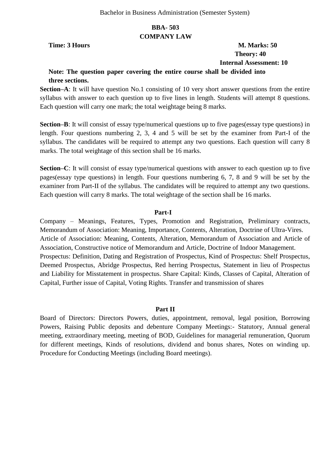#### **BBA- 503 COMPANY LAW**

**Time: 3 Hours M. Marks: 50 Theory: 40 Internal Assessment: 10**

# **Note: The question paper covering the entire course shall be divided into three sections.**

**Section–A**: It will have question No.1 consisting of 10 very short answer questions from the entire syllabus with answer to each question up to five lines in length. Students will attempt 8 questions. Each question will carry one mark; the total weightage being 8 marks.

**Section–B**: It will consist of essay type/numerical questions up to five pages(essay type questions) in length. Four questions numbering 2, 3, 4 and 5 will be set by the examiner from Part-I of the syllabus. The candidates will be required to attempt any two questions. Each question will carry 8 marks. The total weightage of this section shall be 16 marks.

**Section–C**: It will consist of essay type/numerical questions with answer to each question up to five pages(essay type questions) in length. Four questions numbering 6, 7, 8 and 9 will be set by the examiner from Part-II of the syllabus. The candidates will be required to attempt any two questions. Each question will carry 8 marks. The total weightage of the section shall be 16 marks.

#### **Part-I**

Company – Meanings, Features, Types, Promotion and Registration, Preliminary contracts, Memorandum of Association: Meaning, Importance, Contents, Alteration, Doctrine of Ultra-Vires. Article of Association: Meaning, Contents, Alteration, Memorandum of Association and Article of Association, Constructive notice of Memorandum and Article, Doctrine of Indoor Management. Prospectus: Definition, Dating and Registration of Prospectus, Kind of Prospectus: Shelf Prospectus, Deemed Prospectus, Abridge Prospectus, Red herring Prospectus, Statement in lieu of Prospectus and Liability for Misstatement in prospectus. Share Capital: Kinds, Classes of Capital, Alteration of Capital, Further issue of Capital, Voting Rights. Transfer and transmission of shares

#### **Part II**

Board of Directors: Directors Powers, duties, appointment, removal, legal position, Borrowing Powers, Raising Public deposits and debenture Company Meetings:- Statutory, Annual general meeting, extraordinary meeting, meeting of BOD, Guidelines for managerial remuneration, Quorum for different meetings, Kinds of resolutions, dividend and bonus shares, Notes on winding up. Procedure for Conducting Meetings (including Board meetings).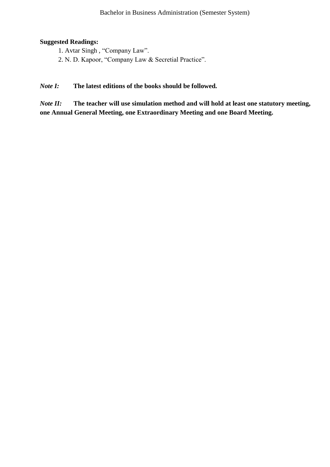### **Suggested Readings:**

- 1. Avtar Singh, "Company Law".
- 2. N. D. Kapoor, "Company Law & Secretial Practice".

#### *Note I:* **The latest editions of the books should be followed***.*

*Note II:* **The teacher will use simulation method and will hold at least one statutory meeting, one Annual General Meeting, one Extraordinary Meeting and one Board Meeting.**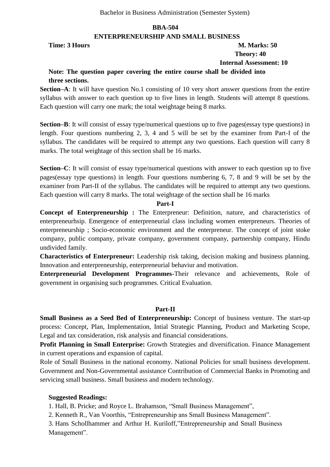#### **ENTERPRENEURSHIP AND SMALL BUSINESS**

#### **Time: 3 Hours M. Marks: 50 Theory: 40 Internal Assessment: 10**

# **Note: The question paper covering the entire course shall be divided into**

**three sections.**

**Section–A**: It will have question No.1 consisting of 10 very short answer questions from the entire syllabus with answer to each question up to five lines in length. Students will attempt 8 questions. Each question will carry one mark; the total weightage being 8 marks.

**Section–B**: It will consist of essay type/numerical questions up to five pages(essay type questions) in length. Four questions numbering 2, 3, 4 and 5 will be set by the examiner from Part-I of the syllabus. The candidates will be required to attempt any two questions. Each question will carry 8 marks. The total weightage of this section shall be 16 marks.

**Section–C**: It will consist of essay type/numerical questions with answer to each question up to five pages(essay type questions) in length. Four questions numbering 6, 7, 8 and 9 will be set by the examiner from Part-II of the syllabus. The candidates will be required to attempt any two questions. Each question will carry 8 marks. The total weightage of the section shall be 16 marks

#### **Part-I**

**Concept of Enterpreneurship :** The Enterpreneur: Definition, nature, and characteristics of enterpreneurhsip. Emergence of enterpreneurial class including women enterpreneurs. Theories of enterpreneurship ; Socio-economic environment and the enterpreneur. The concept of joint stoke company, public company, private company, government company, partnership company, Hindu undivided family.

**Characteristics of Enterpreneur:** Leadership risk taking, decision making and business planning. Innovation and enterpreneurship, enterpreneurial behaviur and motivation.

**Enterpreneurial Development Programmes-**Their relevance and achievements, Role of government in organising such programmes. Critical Evaluation.

#### **Part-II**

**Small Business as a Seed Bed of Enterpreneurship:** Concept of business venture. The start-up process: Concept, Plan, Implementation, Intial Strategic Planning, Product and Marketing Scope, Legal and tax consideration, risk analysis and financial considerations.

**Profit Planning in Small Enterprise:** Growth Strategies and diversification. Finance Management in current operations and expansion of capital.

Role of Small Business in the national economy. National Policies for small business development. Government and Non-Governmental assistance Contribution of Commercial Banks in Promoting and servicing small business. Small business and modern technology.

#### **Suggested Readings:**

1. Hall, B. Pricke; and Royce L. Brahamson, "Small Business Management",

2. Kenneth R., Van Voorthis, "Entrepreneurship ans Small Business Management".

3. Hans Schollhammer and Arthur H. Kuriloff,"Entrepreneurship and Small Business Management".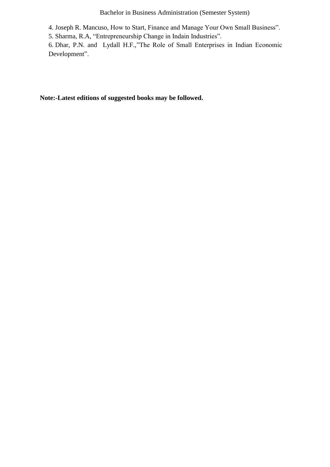Bachelor in Business Administration (Semester System)

4. Joseph R. Mancuso, How to Start, Finance and Manage Your Own Small Business".

5. Sharma, R.A, "Entrepreneurship Change in Indain Industries".

6. Dhar, P.N. and Lydall H.F.,"The Role of Small Enterprises in Indian Economic Development".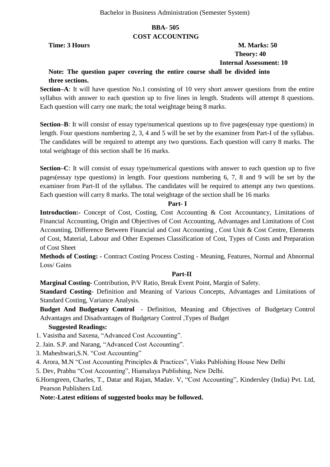# **BBA- 505 COST ACCOUNTING**

# **Time: 3 Hours M. Marks: 50 Theory: 40 Internal Assessment: 10**

# **Note: The question paper covering the entire course shall be divided into three sections.**

**Section–A**: It will have question No.1 consisting of 10 very short answer questions from the entire syllabus with answer to each question up to five lines in length. Students will attempt 8 questions. Each question will carry one mark; the total weightage being 8 marks.

**Section–B**: It will consist of essay type/numerical questions up to five pages(essay type questions) in length. Four questions numbering 2, 3, 4 and 5 will be set by the examiner from Part-I of the syllabus. The candidates will be required to attempt any two questions. Each question will carry 8 marks. The total weightage of this section shall be 16 marks.

**Section–C**: It will consist of essay type/numerical questions with answer to each question up to five pages(essay type questions) in length. Four questions numbering 6, 7, 8 and 9 will be set by the examiner from Part-II of the syllabus. The candidates will be required to attempt any two questions. Each question will carry 8 marks. The total weightage of the section shall be 16 marks

#### **Part- I**

**Introduction:** Concept of Cost, Costing, Cost Accounting & Cost Accountancy, Limitations of Financial Accounting, Origin and Objectives of Cost Accounting, Advantages and Limitations of Cost Accounting, Difference Between Financial and Cost Accounting , Cost Unit & Cost Centre, Elements of Cost, Material, Labour and Other Expenses Classification of Cost, Types of Costs and Preparation of Cost Sheet

**Methods of Costing: -** Contract Costing Process Costing - Meaning, Features, Normal and Abnormal Loss/ Gains

#### **Part-II**

**Marginal Costing-** Contribution, P/V Ratio, Break Event Point, Margin of Safety.

**Standard Costing**- Definition and Meaning of Various Concepts, Advantages and Limitations of Standard Costing, Variance Analysis.

**Budget And Budgetary Control** - Definition, Meaning and Objectives of Budgetary Control Advantages and Disadvantages of Budgetary Control ,Types of Budget

#### **Suggested Readings:**

- 1. Vasistha and Saxena, "Advanced Cost Accounting".
- 2. Jain. S.P. and Narang, "Advanced Cost Accounting".
- 3. Maheshwari, S.N. "Cost Accounting"
- 4. Arora, M.N "Cost Accounting Principles & Practices", Viaks Publishing House New Delhi
- 5. Dev, Prabhu "Cost Accounting", Hiamalaya Publishing, New Delhi.
- 6.Horngreen, Charles, T., Datar and Rajan, Madav. V, "Cost Accounting", Kindersley (India) Pvt. Ltd, Pearson Publishers Ltd.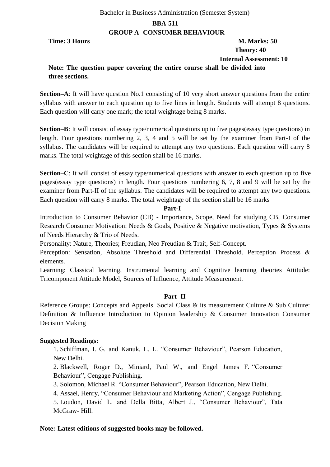#### Bachelor in Business Administration (Semester System)

#### **BBA-511**

#### **GROUP A- CONSUMER BEHAVIOUR**

# **Time: 3 Hours M. Marks: 50 Theory: 40 Internal Assessment: 10**

# **Note: The question paper covering the entire course shall be divided into three sections.**

**Section–A**: It will have question No.1 consisting of 10 very short answer questions from the entire syllabus with answer to each question up to five lines in length. Students will attempt 8 questions. Each question will carry one mark; the total weightage being 8 marks.

**Section–B**: It will consist of essay type/numerical questions up to five pages(essay type questions) in length. Four questions numbering 2, 3, 4 and 5 will be set by the examiner from Part-I of the syllabus. The candidates will be required to attempt any two questions. Each question will carry 8 marks. The total weightage of this section shall be 16 marks.

**Section–C**: It will consist of essay type/numerical questions with answer to each question up to five pages(essay type questions) in length. Four questions numbering 6, 7, 8 and 9 will be set by the examiner from Part-II of the syllabus. The candidates will be required to attempt any two questions. Each question will carry 8 marks. The total weightage of the section shall be 16 marks

#### **Part-I**

Introduction to Consumer Behavior (CB) - Importance, Scope, Need for studying CB, Consumer Research Consumer Motivation: Needs & Goals, Positive & Negative motivation, Types & Systems of Needs Hierarchy & Trio of Needs.

Personality: Nature, Theories; Freudian, Neo Freudian & Trait, Self-Concept.

Perception: Sensation, Absolute Threshold and Differential Threshold. Perception Process & elements.

Learning: Classical learning, Instrumental learning and Cognitive learning theories Attitude: Tricomponent Attitude Model, Sources of Influence, Attitude Measurement.

#### **Part- II**

Reference Groups: Concepts and Appeals. Social Class & its measurement Culture & Sub Culture: Definition & Influence Introduction to Opinion leadership & Consumer Innovation Consumer Decision Making

#### **Suggested Readings:**

1. Schiffman, I. G. and Kanuk, L. L. "Consumer Behaviour", Pearson Education, New Delhi.

2. Blackwell, Roger D., Miniard, Paul W., and Engel James F. "Consumer Behaviour", Cengage Publishing.

3. Solomon, Michael R. "Consumer Behaviour", Pearson Education, New Delhi.

4. Assael, Henry, "Consumer Behaviour and Marketing Action", Cengage Publishing.

5. Loudon, David L. and Della Bitta, Albert J., "Consumer Behaviour", Tata McGraw- Hill.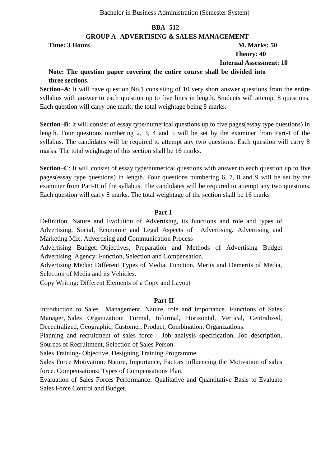#### **GROUP A- ADVERTISING & SALES MANAGEMENT**

#### **Time: 3 Hours M. Marks: 50 Theory: 40 Internal Assessment: 10**

# **Note: The question paper covering the entire course shall be divided into**

#### **three sections.**

**Section–A**: It will have question No.1 consisting of 10 very short answer questions from the entire syllabus with answer to each question up to five lines in length. Students will attempt 8 questions. Each question will carry one mark; the total weightage being 8 marks.

**Section–B**: It will consist of essay type/numerical questions up to five pages(essay type questions) in length. Four questions numbering 2, 3, 4 and 5 will be set by the examiner from Part-I of the syllabus. The candidates will be required to attempt any two questions. Each question will carry 8 marks. The total weightage of this section shall be 16 marks.

**Section–C**: It will consist of essay type/numerical questions with answer to each question up to five pages(essay type questions) in length. Four questions numbering 6, 7, 8 and 9 will be set by the examiner from Part-II of the syllabus. The candidates will be required to attempt any two questions. Each question will carry 8 marks. The total weightage of the section shall be 16 marks

#### **Part-I**

Definition, Nature and Evolution of Advertising, its functions and role and types of Advertising, Social, Economic and Legal Aspects of Advertising. Advertising and Marketing Mix, Advertising and Communication Process

Advertising Budget: Objectives, Preparation and Methods of Advertising Budget Advertising Agency: Function, Selection and Compensation.

Advertising Media: Different Types of Media, Function, Merits and Demerits of Media, Selection of Media and its Vehicles.

Copy Writing: Different Elements of a Copy and Layout

#### **Part-II**

Introduction to Sales Management, Nature, role and importance. Functions of Sales Manager, Sales Organization: Formal, Informal, Horizontal, Vertical, Centralized, Decentralized, Geographic, Customer, Product, Combination, Organizations.

Planning and recruitment of sales force - Job analysis specification, Job description, Sources of Recruitment, Selection of Sales Person.

Sales Training- Objective, Designing Training Programme.

Sales Force Motivation: Nature, Importance, Factors Influencing the Motivation of sales force. Compensations: Types of Compensations Plan.

Evaluation of Sales Forces Performance: Qualitative and Quantitative Basis to Evaluate Sales Force Control and Budget.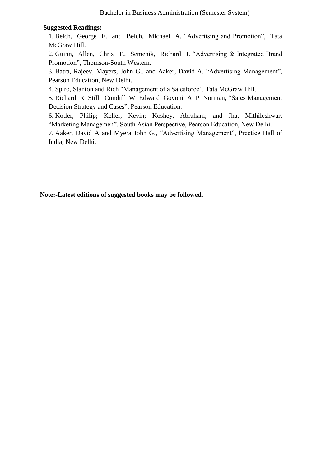#### **Suggested Readings:**

1. Belch, George E. and Belch, Michael A. "Advertising and Promotion", Tata McGraw Hill.

2. Guinn, Allen, Chris T., Semenik, Richard J. "Advertising  $\&$  Integrated Brand Promotion", Thomson-South Western.

3. Batra, Rajeev, Mayers, John G., and Aaker, David A. "Advertising Management", Pearson Education, New Delhi.

4. Spiro, Stanton and Rich "Management of a Salesforce", Tata McGraw Hill.

5. Richard R Still, Cundiff W Edward Govoni A P Norman, "Sales Management Decision Strategy and Cases", Pearson Education.

6. Kotler, Philip; Keller, Kevin; Koshey, Abraham; and Jha, Mithileshwar, "Marketing Managemen", South Asian Perspective, Pearson Education, New Delhi.

7. Aaker, David A and Myera John G., "Advertising Management", Prectice Hall of India, New Delhi.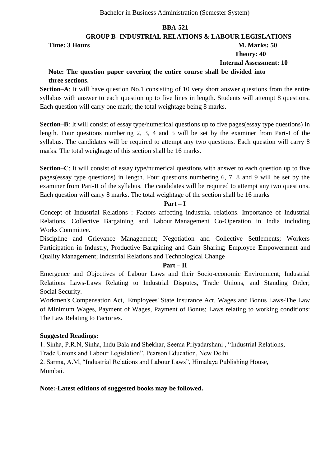**GROUP B- INDUSTRIAL RELATIONS & LABOUR LEGISLATIONS**

**Time: 3 Hours M. Marks: 50** 

# **Theory: 40**

 **Internal Assessment: 10**

# **Note: The question paper covering the entire course shall be divided into three sections.**

**Section–A**: It will have question No.1 consisting of 10 very short answer questions from the entire syllabus with answer to each question up to five lines in length. Students will attempt 8 questions. Each question will carry one mark; the total weightage being 8 marks.

**Section–B**: It will consist of essay type/numerical questions up to five pages(essay type questions) in length. Four questions numbering 2, 3, 4 and 5 will be set by the examiner from Part-I of the syllabus. The candidates will be required to attempt any two questions. Each question will carry 8 marks. The total weightage of this section shall be 16 marks.

**Section–C**: It will consist of essay type/numerical questions with answer to each question up to five pages(essay type questions) in length. Four questions numbering 6, 7, 8 and 9 will be set by the examiner from Part-II of the syllabus. The candidates will be required to attempt any two questions. Each question will carry 8 marks. The total weightage of the section shall be 16 marks

#### **Part – I**

Concept of Industrial Relations : Factors affecting industrial relations. Importance of Industrial Relations, Collective Bargaining and Labour Management Co-Operation in India including Works Committee.

Discipline and Grievance Management; Negotiation and Collective Settlements; Workers Participation in Industry, Productive Bargaining and Gain Sharing; Employee Empowerment and Quality Management; Industrial Relations and Technological Change

#### **Part – II**

Emergence and Objectives of Labour Laws and their Socio-economic Environment; Industrial Relations Laws-Laws Relating to Industrial Disputes, Trade Unions, and Standing Order; Social Security.

Workmen's Compensation Act,, Employees' State Insurance Act. Wages and Bonus Laws-The Law of Minimum Wages, Payment of Wages, Payment of Bonus; Laws relating to working conditions: The Law Relating to Factories.

#### **Suggested Readings:**

1. Sinha, P.R.N, Sinha, Indu Bala and Shekhar, Seema Priyadarshani, "Industrial Relations,

Trade Unions and Labour Legislation", Pearson Education, New Delhi.

2. Sarma, A.M, "Industrial Relations and Labour Laws", Himalaya Publishing House, Mumbai.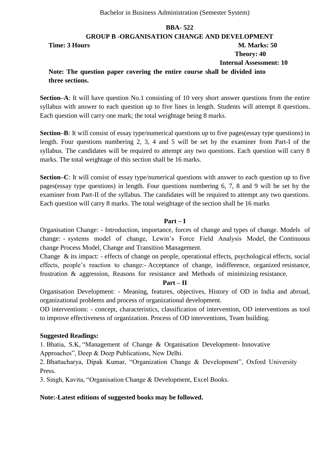**GROUP B -ORGANISATION CHANGE AND DEVELOPMENT Time: 3 Hours M. Marks: 50 Theory: 40 Internal Assessment: 10 Note: The question paper covering the entire course shall be divided into three sections.**

**Section–A**: It will have question No.1 consisting of 10 very short answer questions from the entire syllabus with answer to each question up to five lines in length. Students will attempt 8 questions. Each question will carry one mark; the total weightage being 8 marks.

**Section–B**: It will consist of essay type/numerical questions up to five pages(essay type questions) in length. Four questions numbering 2, 3, 4 and 5 will be set by the examiner from Part-I of the syllabus. The candidates will be required to attempt any two questions. Each question will carry 8 marks. The total weightage of this section shall be 16 marks.

**Section–C**: It will consist of essay type/numerical questions with answer to each question up to five pages(essay type questions) in length. Four questions numbering 6, 7, 8 and 9 will be set by the examiner from Part-II of the syllabus. The candidates will be required to attempt any two questions. Each question will carry 8 marks. The total weightage of the section shall be 16 marks

#### **Part – I**

Organisation Change: - Introduction, importance, forces of change and types of change. Models of change: - systems model of change, Lewin's Force Field Analysis Model, the Continuous change Process Model, Change and Transition Management.

Change & its impact: - effects of change on people, operational effects, psychological effects, social effects, people's reaction to change:- Acceptance of change, indifference, organized resistance, frustration & aggression, Reasons for resistance and Methods of minimizing resistance.

#### **Part – II**

Organisation Development: - Meaning, features, objectives, History of OD in India and abroad, organizational problems and process of organizational development.

OD interventions: - concept, characteristics, classification of intervention, OD interventions as tool to improve effectiveness of organization. Process of OD interventions, Team building.

#### **Suggested Readings:**

1. Bhatia, S.K, "Management of Change & Organisation Development- Innovative Approaches", Deep & Deep Publications, New Delhi.

2. Bhattacharya, Dipak Kumar, "Organization Change & Development", Oxford University Press.

3. Singh, Kavita, "Organisation Change & Development, Excel Books.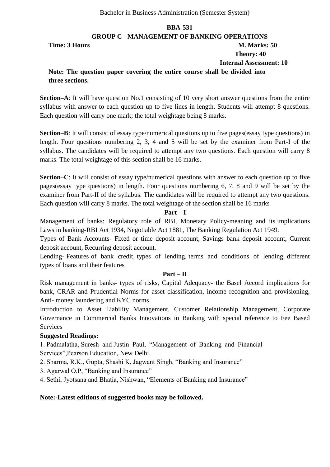#### **GROUP C - MANAGEMENT OF BANKING OPERATIONS**

**Time: 3 Hours M. Marks: 50** 

 **Theory: 40**

 **Internal Assessment: 10**

# **Note: The question paper covering the entire course shall be divided into three sections.**

**Section–A**: It will have question No.1 consisting of 10 very short answer questions from the entire syllabus with answer to each question up to five lines in length. Students will attempt 8 questions. Each question will carry one mark; the total weightage being 8 marks.

**Section–B**: It will consist of essay type/numerical questions up to five pages(essay type questions) in length. Four questions numbering 2, 3, 4 and 5 will be set by the examiner from Part-I of the syllabus. The candidates will be required to attempt any two questions. Each question will carry 8 marks. The total weightage of this section shall be 16 marks.

**Section–C**: It will consist of essay type/numerical questions with answer to each question up to five pages(essay type questions) in length. Four questions numbering 6, 7, 8 and 9 will be set by the examiner from Part-II of the syllabus. The candidates will be required to attempt any two questions. Each question will carry 8 marks. The total weightage of the section shall be 16 marks

#### **Part – I**

Management of banks: Regulatory role of RBI, Monetary Policy-meaning and its implications Laws in banking-RBI Act 1934, Negotiable Act 1881, The Banking Regulation Act 1949.

Types of Bank Accounts- Fixed or time deposit account, Savings bank deposit account, Current deposit account, Recurring deposit account.

Lending- Features of bank credit, types of lending, terms and conditions of lending, different types of loans and their features

#### **Part – II**

Risk management in banks- types of risks, Capital Adequacy- the Basel Accord implications for bank, CRAR and Prudential Norms for asset classification, income recognition and provisioning, Anti- money laundering and KYC norms.

Introduction to Asset Liability Management, Customer Relationship Management, Corporate Governance in Commercial Banks Innovations in Banking with special reference to Fee Based Services

#### **Suggested Readings:**

1. Padmalatha, Suresh and Justin Paul, "Management of Banking and Financial Services", Pearson Education, New Delhi.

- 2. Sharma, R.K., Gupta, Shashi K, Jagwant Singh, "Banking and Insurance"
- 3. Agarwal O.P, "Banking and Insurance"

4. Sethi, Jyotsana and Bhatia, Nishwan, "Elements of Banking and Insurance"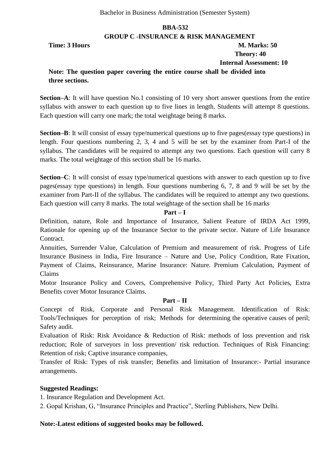#### **GROUP C -INSURANCE & RISK MANAGEMENT**

**Time: 3 Hours M. Marks: 50** 

 **Theory: 40**

 **Internal Assessment: 10**

# **Note: The question paper covering the entire course shall be divided into three sections.**

**Section–A**: It will have question No.1 consisting of 10 very short answer questions from the entire syllabus with answer to each question up to five lines in length. Students will attempt 8 questions. Each question will carry one mark; the total weightage being 8 marks.

**Section–B**: It will consist of essay type/numerical questions up to five pages(essay type questions) in length. Four questions numbering 2, 3, 4 and 5 will be set by the examiner from Part-I of the syllabus. The candidates will be required to attempt any two questions. Each question will carry 8 marks. The total weightage of this section shall be 16 marks.

**Section–C**: It will consist of essay type/numerical questions with answer to each question up to five pages(essay type questions) in length. Four questions numbering 6, 7, 8 and 9 will be set by the examiner from Part-II of the syllabus. The candidates will be required to attempt any two questions. Each question will carry 8 marks. The total weightage of the section shall be 16 marks

#### **Part – I**

Definition, nature, Role and Importance of Insurance, Salient Feature of IRDA Act 1999, Rationale for opening up of the Insurance Sector to the private sector. Nature of Life Insurance Contract.

Annuities, Surrender Value, Calculation of Premium and measurement of risk. Progress of Life Insurance Business in India, Fire Insurance – Nature and Use, Policy Condition, Rate Fixation, Payment of Claims, Reinsurance, Marine Insurance: Nature. Premium Calculation, Payment of Claims

Motor Insurance Policy and Covers, Comprehensive Policy, Third Party Act Policies, Extra Benefits cover Motor Insurance Claims.

#### **Part – II**

Concept of Risk, Corporate and Personal Risk Management. Identification of Risk: Tools/Techniques for perception of risk; Methods for determining the operative causes of peril; Safety audit.

Evaluation of Risk: Risk Avoidance & Reduction of Risk: methods of loss prevention and risk reduction; Role of surveyors in loss prevention/ risk reduction. Techniques of Risk Financing: Retention of risk; Captive insurance companies,

Transfer of Risk: Types of risk transfer; Benefits and limitation of Insurance:- Partial insurance arrangements.

#### **Suggested Readings:**

1. Insurance Regulation and Development Act.

2. Gopal Krishan, G, "Insurance Principles and Practice", Sterling Publishers, New Delhi.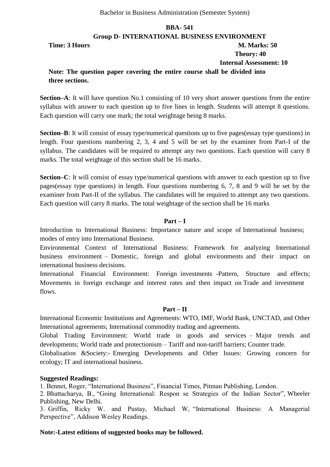#### **Group D- INTERNATIONAL BUSINESS ENVIRONMENT**

**Time: 3 Hours M. Marks: 50** 

# **Theory: 40**

 **Internal Assessment: 10**

# **Note: The question paper covering the entire course shall be divided into three sections.**

**Section–A**: It will have question No.1 consisting of 10 very short answer questions from the entire syllabus with answer to each question up to five lines in length. Students will attempt 8 questions. Each question will carry one mark; the total weightage being 8 marks.

**Section–B**: It will consist of essay type/numerical questions up to five pages(essay type questions) in length. Four questions numbering 2, 3, 4 and 5 will be set by the examiner from Part-I of the syllabus. The candidates will be required to attempt any two questions. Each question will carry 8 marks. The total weightage of this section shall be 16 marks.

**Section–C**: It will consist of essay type/numerical questions with answer to each question up to five pages(essay type questions) in length. Four questions numbering 6, 7, 8 and 9 will be set by the examiner from Part-II of the syllabus. The candidates will be required to attempt any two questions. Each question will carry 8 marks. The total weightage of the section shall be 16 marks

#### **Part – I**

Introduction to International Business: Importance nature and scope of International business; modes of entry into International Business.

Environmental Context of International Business: Framework for analyzing International business environment – Domestic, foreign and global environments and their impact on international business decisions.

International Financial Environment: Foreign investments -Pattern, Structure and effects; Movements in foreign exchange and interest rates and then impact on Trade and investment flows.

#### **Part – II**

International Economic Institutions and Agreements: WTO, IMF, World Bank, UNCTAD, and Other International agreements; International commodity trading and agreements.

Global Trading Environment: World trade in goods and services – Major trends and developments; World trade and protectionism – Tariff and non-tariff barriers; Counter trade.

Globalisation &Society:- Emerging Developments and Other Issues: Growing concern for ecology; IT and international business.

#### **Suggested Readings:**

1. Bennet, Roger, "International Business", Financial Times, Pitman Publishing, London.

2. Bhattacharya, B., "Going International: Respon se Strategies of the Indian Sector", Wheeler Publishing, New Delhi.

3. Griffin, Ricky W. and Pustay, Michael W, "International Business: A Managerial Perspective", Addison Wesley Readings.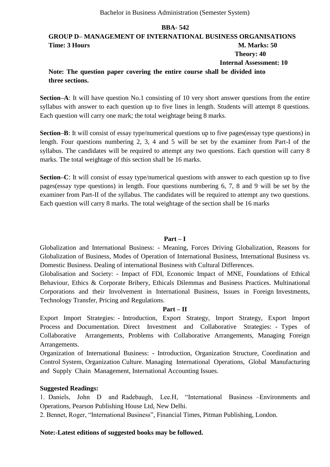# **GROUP D– MANAGEMENT OF INTERNATIONAL BUSINESS ORGANISATIONS Time: 3 Hours M. Marks: 50 Theory: 40 Internal Assessment: 10**

#### **Note: The question paper covering the entire course shall be divided into three sections.**

**Section–A**: It will have question No.1 consisting of 10 very short answer questions from the entire syllabus with answer to each question up to five lines in length. Students will attempt 8 questions. Each question will carry one mark; the total weightage being 8 marks.

**Section–B**: It will consist of essay type/numerical questions up to five pages(essay type questions) in length. Four questions numbering 2, 3, 4 and 5 will be set by the examiner from Part-I of the syllabus. The candidates will be required to attempt any two questions. Each question will carry 8 marks. The total weightage of this section shall be 16 marks.

**Section–C**: It will consist of essay type/numerical questions with answer to each question up to five pages(essay type questions) in length. Four questions numbering 6, 7, 8 and 9 will be set by the examiner from Part-II of the syllabus. The candidates will be required to attempt any two questions. Each question will carry 8 marks. The total weightage of the section shall be 16 marks

#### **Part – I**

Globalization and International Business: - Meaning, Forces Driving Globalization, Reasons for Globalization of Business, Modes of Operation of International Business, International Business vs. Domestic Business. Dealing of international Business with Cultural Differences.

Globalisation and Society: - Impact of FDI, Economic Impact of MNE, Foundations of Ethical Behaviour, Ethics & Corporate Bribery, Ethicals Dilemmas and Business Practices. Multinational Corporations and their Involvement in International Business, Issues in Foreign Investments, Technology Transfer, Pricing and Regulations.

#### **Part – II**

Export Import Strategies: - Introduction, Export Strategy, Import Strategy, Export Import Process and Documentation. Direct Investment and Collaborative Strategies: - Types of Collaborative Arrangements, Problems with Collaborative Arrangements, Managing Foreign Arrangements.

Organization of International Business: - Introduction, Organization Structure, Coordination and Control System, Organization Culture. Managing International Operations, Global Manufacturing and Supply Chain Management, International Accounting Issues.

#### **Suggested Readings:**

1. Daniels, John D and Radebaugh, Lee.H, "International Business –Environments and Operations, Pearson Publishing House Ltd, New Delhi.

2. Bennet, Roger, "International Business", Financial Times, Pitman Publishing, London.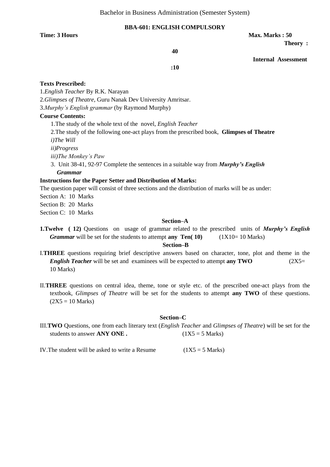#### **BBA-601: ENGLISH COMPULSORY**

**Time: 3 Hours Max. Marks : 50 Max. Marks : 50** 

 **Theory :** 

**40**

 **Internal Assessment** 

**:10**

#### **Texts Prescribed:**

1.*English Teacher* By R.K. Narayan 2.*Glimpses of Theatre*, Guru Nanak Dev University Amritsar.

3.*Murphy's English grammar* (by Raymond Murphy)

#### **Course Contents:**

1.The study of the whole text of the novel, *English Teacher*

2.The study of the following one-act plays from the prescribed book, **Glimpses of Theatre**

*i)The Will*

*ii)Progress*

*iii)The Monkey's Paw*

3. Unit 38-41, 92-97 Complete the sentences in a suitable way from *Murphy's English Grammar*

#### **Instructions for the Paper Setter and Distribution of Marks:**

The question paper will consist of three sections and the distribution of marks will be as under:

Section A: 10 Marks

Section B: 20 Marks

Section C: 10 Marks

#### **Section–A**

**1.Twelve ( 12)** Questions on usage of grammar related to the prescribed units of *Murphy's English Grammar* will be set for the students to attempt **any Ten**( 10) (1X10= 10 Marks)

#### **Section–B**

- I.**THREE** questions requiring brief descriptive answers based on character, tone, plot and theme in the *English Teacher* will be set and examinees will be expected to attempt **any TWO** (2X5= 10 Marks)
- II.**THREE** questions on central idea, theme, tone or style etc. of the prescribed one-act plays from the textbook, *Glimpses of Theatre* will be set for the students to attempt **any TWO** of these questions.  $(2X5 = 10 \text{ Marks})$

#### **Section–C**

III.**TWO** Questions, one from each literary text (*English Teacher* and *Glimpses of Theatre*) will be set for the students to answer  $\bf{ANY}$  ONE . (1X5 = 5 Marks)

IV. The student will be asked to write a Resume  $(1X5 = 5 \text{ Marks})$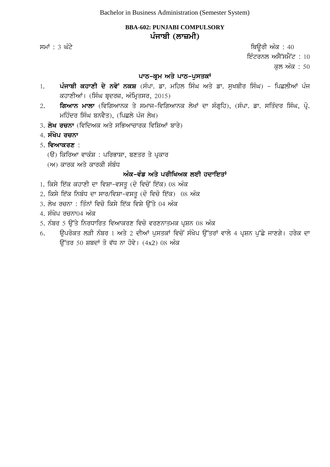## **BBA-602: PUNJABI COMPULSORY** ਪੰਜਾਬੀ (ਲਾ**ਜ਼ਮੀ**)

 $\overline{r}$ ਸਮਾਂ : 3 ਘੰਟੇ ਪਰਿਆਸ ਦੀ ਸ਼ਾਹ ਕਰਨ ਤੋਂ ਬਾਅਦ ਤੋਂ ਬਾਅਦ ਤੋਂ ਬਾਅਦ ਤੋਂ ਬਾਅਦ ਤੋਂ ਬਾਅਦ ਤੋਂ ਬਾਅਦ ਤੋਂ ਬਾਅਦ ਤੋਂ ਬਾਅਦ ਤੋਂ ਬਾਅਦ

ਇੰਟਰਨਲ ਅਸੈੱਸਮੈਂ $\dot{\vec{c}}$  : 10

ਕਲ ਅੰਕ : 50

## **ਪਾਠ-ਕੁਮ ਅਤੇ ਪਾਠ-ਪੁਸਤਕਾਂ**

- 1. ਪੰਜਾਬੀ ਕਹਾਣੀ ਦੇ ਨਵੇਂ ਨਕਸ਼ (ਸੰਪਾ. ਡਾ. ਮਹਿਲ ਸਿੰਘ ਅਤੇ ਡਾ. ਸੁਖਬੀਰ ਸਿੰਘ) ਪਿਛਲੀਆਂ ਪੰਜ ਕਹਾਣੀਆਂ। (ਸਿੰਘ ਬੁਦਰਜ਼, ਅੰਮ੍ਰਿਤਸਰ, 2015)
- 2. **ਗਿਆਨ ਮਾਲਾ** (ਵਿਗਿਆਨਕ ਤੇ ਸਮਾਜ-ਵਿਗਿਆਨਕ ਲੇਖਾਂ ਦਾ ਸੰਗ੍ਰਹਿ), (ਸੰਪਾ. ਡਾ. ਸਤਿੰਦਰ ਸਿੰਘ, ਪ੍ਰੋ. ਮਹਿੰਦਰ ਸਿੰਘ ਬਨਵੈਤ), (ਪਿਛਲੇ ਪੰਜ ਲੇਖ)
- 3. **ਲੇਖ ਰਚਨਾ** (ਵਿਦਿਅਕ ਅਤੇ ਸਭਿਆਚਾਰਕ ਵਿਸ਼ਿਆਂ ਬਾਰੇ)
- 4. **ਸੰਖੇਪ ਰਚਨਾ**
- 5. **ਵਿਆਕਰਣ** :
	- (ੳ) ਕਿਰਿਆ ਵਾਕੰਸ਼ : ਪਰਿਭਾਸ਼ਾ, ਬਣਤਰ ਤੇ ਪਕਾਰ
	- (ਅ) ਕਾਰਕ ਅਤੇ ਕਾਰਕੀ ਸੰਬੰਧ

## <u> ਅੰਕ-ਵੰਡ ਅਤੇ ਪਰੀਖਿਅਕ ਲਈ ਹਦਾਇਤਾਂ</u>

- 1. ਕਿਸੇ ਇੱਕ ਕਹਾਣੀ ਦਾ ਵਿਸ਼ਾ-ਵਸਤੂ (ਦੋ ਵਿਚੋਂ ਇੱਕ) 08 ਅੰਕ
- $2.$  ਕਿਸੇ ਇੱਕ ਨਿਬੰਧ ਦਾ ਸਾਰ/ਵਿਸ਼ਾ-ਵਸਤੂ (ਦੋ ਵਿਚੋ ਇੱਕ)  $08$  ਅੰਕ
- 3. ਲੇਖ ਰਚਨਾ : ਤਿੰਨਾਂ ਵਿਚੋ ਕਿਸੇ ਇੱਕ ਵਿਸ਼ੇ ਉੱਤੇ 04 ਅੰਕ
- $4.$  ਸੰਖੇਪ ਰਚਨਾ $04$  ਅੰਕ
- 5. ਨੰਬਰ 5 ਉੱਤੇ ਨਿਰਧਾਰਿਤ ਵਿਆਕਰਣ ਵਿਚੋ ਵਰਣਨਾਤਮਕ ਪ੍ਰਸ਼ਨ 08 ਅੰਕ
- 6. ਉਪਰੋਕਤ ਲੜੀ ਨੰਬਰ 1 ਅਤੇ 2 ਦੀਆਂ ਪੁਸਤਕਾਂ ਵਿਚੋਂ ਸੰਖੇਪ ਉੱਤਰਾਂ ਵਾਲੇ 4 ਪ੍ਰਸ਼ਨ ਪੁੱਛੇ ਜਾਣਗੇ। ਹਰੇਕ ਦਾ  $\overline{3}$ ਤਰ 50 ਸ਼ਬਦਾਂ ਤੋ ਵੱਧ ਨਾ ਹੋਵੇ।  $(4x2)$  08 ਅੰਕ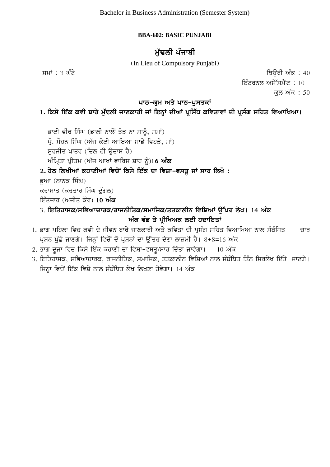## **BBA-602: BASIC PUNJABI**

## **ਮੱਢਲੀ** ਪੰਜਾਬੀ

(In Lieu of Compulsory Punjabi)

 $\overline{r}$ ਸਮਾਂ : 3 ਘੰਟੇ ਪਹਿਲਾਂ ਬਾਅਦ ਤੋਂ ਬਾਅਦ ਤੋਂ ਬਾਅਦ ਤੋਂ ਬਾਅਦ ਤੋਂ ਬਾਅਦ ਤੋਂ ਬਾਅਦ ਤੋਂ ਬਾਅਦ ਤੋਂ ਬਾਅਦ ਤੋਂ ਬਾਅਦ ਤੋਂ ਬਾਅਦ ਤੋਂ ਬਾਅਦ ਤੋਂ ਬਾਅਦ ਤੋਂ ਬਾਅਦ ਤੋਂ ਬਾਅਦ ਤੋਂ ਬਾਅਦ ਤੋਂ ਬਾਅਦ ਤੋਂ ਬਾਅਦ ਤੋਂ ਬਾਅਦ ਤੋਂ ਬਾਅਦ ਤੋਂ ਬਾਅਦ ਤੋਂ ਬਾਅਦ ਤੋਂ ਬਾ

ਇੰਟਰਨਲ ਅਸੈੱਸਮੈਂਟ :  $10$ ਕਲ ਅੰਕ : 50

## ਪਾਠ-ਕੁਮ ਅਤੇ ਪਾਠ-ਪੁਸਤਕਾਂ

# 1. ਕਿਸੇ ਇੱਕ ਕਵੀ ਬਾਰੇ ਮੁੱਢਲੀ ਜਾਣਕਾਰੀ ਜਾਂ ਇਨ੍ਹਾਂ ਦੀਆਂ ਪ੍ਰਸਿੱਧ ਕਵਿਤਾਵਾਂ ਦੀ ਪ੍ਰਸੰਗ ਸਹਿਤ ਵਿਆਖਿਆ।

ਭਾਈ ਵੀਰ ਸਿੰਘ (ਡਾਲੀ ਨਾਲੋਂ ਤੋੜ ਨਾ ਸਾਨੰ, ਸਮਾਂ) ਪੋ. ਮੋਹਨ ਸਿੰਘ (ਅੱਜ ਕੋਈ ਆਇਆ ਸਾਡੇ ਵਿਹੜੇ, ਮਾਂ) ਸਰਜੀਤ ਪਾਤਰ (ਦਿਲ ਹੀ ਉਦਾਸ ਹੈ) ਅੰਮਿਤਾ ਪੀਤਮ (ਅੱਜ ਆਖਾਂ ਵਾਰਿਸ ਸ਼ਾਹ ਨੰ)1**6 ਅੰਕ** 

## 2. ਹੇਠ ਲਿਖੀਆਂ ਕਹਾਣੀਆਂ ਵਿਚੋਂ ਕਿਸੇ ਇੱਕ ਦਾ ਵਿਸ਼ਾ-ਵਸਤੂ ਜਾਂ ਸਾਰ ਲਿਖੋ :

ਭੂਆ (ਨਾਨਕ ਸਿੰਘ)

ਕਰਾਮਾਤ (ਕਰਤਾਰ ਸਿੰਘ ਦੱਗਲ)

ਇੰਤਜ਼ਾਰ (ਅਜੀਤ ਕੌਰ) 10 **ਅੰਕ** 

- 3. ਇਤਿਹਾਸਕ/ਸਭਿਆਚਾਰਕ/ਰਾਜਨੀਤਿਕ/ਸਮਾਜਿਕ/ਤਤਕਾਲੀਨ ਵਿਸ਼ਿਆਂ ਉੱਪਰ ਲੇਖ। 14 ਅੰਕ ਅੰਕ ਵੰਡ ਤੇ ਪ੍ਰੀਖਿਅਕ ਲਈ ਹਦਾਇਤਾ<u>ਂ</u>
- <u>1. ਭਾਗ ਪਹਿਲਾ ਵਿਚ ਕਵੀ ਦੇ ਜੀਵਨ ਬਾਰੇ ਜਾਣਕਾਰੀ ਅਤੇ ਕਵਿਤਾ ਦੀ ਪਸੰਗ ਸਹਿਤ ਵਿਆਖਿਆ ਨਾਲ ਸੰਬੰਧਿਤ ਿੱਚਾਰ</u> ਪੁਸ਼ਨ ਪੱਛੇ ਜਾਣਗੇ। ਜਿਨ੍ਹਾਂ ਵਿਚੋਂ ਦੋ ਪੁਸ਼ਨਾਂ ਦਾ ਉੱਤਰ ਦੇਣਾ ਲਾਜ਼ਮੀ ਹੈ। 8+8=16 ਅੰਕ
- 2. ਭਾਗ ਦੂਜਾ ਵਿਚ ਕਿਸੇ ਇੱਕ ਕਹਾਣੀ ਦਾ ਵਿਸ਼ਾ-ਵਸਤ/ਸਾਰ ਦਿੱਤਾ ਜਾਵੇਗਾ। 10 ਅੰਕ
- 3. ਇਤਿਹਾਸਕ, ਸਭਿਆਚਾਰਕ, ਰਾਜਨੀਤਿਕ, ਸਮਾਜਿਕ, ਤਤਕਾਲੀਨ ਵਿਸ਼ਿਆਂ ਨਾਲ ਸੰਬੰਧਿਤ ਤਿੰਨ ਸਿਰਲੇਖ ਦਿੱਤੇ ਜਾਣਗੇ। ਜਿਨ੍ਹਾ ਵਿਚੋਂ ਇੱਕ ਵਿਸ਼ੇ ਨਾਲ ਸੰਬੰਧਿਤ ਲੇਖ ਲਿਖਣਾ ਹੋਵੇਗਾ। 14 ਅੰਕ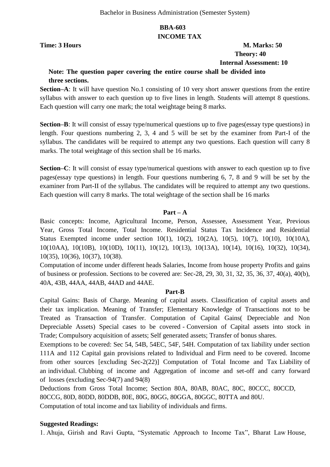## **BBA-603 INCOME TAX**

## **Time: 3 Hours** M. Marks: 50  **Theory: 40 Internal Assessment: 10**

## **Note: The question paper covering the entire course shall be divided into three sections.**

**Section–A**: It will have question No.1 consisting of 10 very short answer questions from the entire syllabus with answer to each question up to five lines in length. Students will attempt 8 questions. Each question will carry one mark; the total weightage being 8 marks.

**Section–B**: It will consist of essay type/numerical questions up to five pages(essay type questions) in length. Four questions numbering 2, 3, 4 and 5 will be set by the examiner from Part-I of the syllabus. The candidates will be required to attempt any two questions. Each question will carry 8 marks. The total weightage of this section shall be 16 marks.

**Section–C**: It will consist of essay type/numerical questions with answer to each question up to five pages(essay type questions) in length. Four questions numbering 6, 7, 8 and 9 will be set by the examiner from Part-II of the syllabus. The candidates will be required to attempt any two questions. Each question will carry 8 marks. The total weightage of the section shall be 16 marks

## **Part – A**

Basic concepts: Income, Agricultural Income, Person, Assessee, Assessment Year, Previous Year, Gross Total Income, Total Income. Residential Status Tax Incidence and Residential Status Exempted income under section 10(1), 10(2), 10(2A), 10(5), 10(7), 10(10), 10(10A), 10(10AA), 10(10B), 10(10D), 10(11), 10(12), 10(13), 10(13A), 10(14), 10(16), 10(32), 10(34), 10(35), 10(36), 10(37), 10(38).

Computation of income under different heads Salaries, Income from house property Profits and gains of business or profession. Sections to be covered are: Sec-28, 29, 30, 31, 32, 35, 36, 37, 40(a), 40(b), 40A, 43B, 44AA, 44AB, 44AD and 44AE.

## **Part-B**

Capital Gains: Basis of Charge. Meaning of capital assets. Classification of capital assets and their tax implication. Meaning of Transfer; Elementary Knowledge of Transactions not to be Treated as Transaction of Transfer. Computation of Capital Gains( Depreciable and Non Depreciable Assets) Special cases to be covered - Conversion of Capital assets into stock in Trade; Compulsory acquisition of assets; Self generated assets; Transfer of bonus shares.

Exemptions to be covered: Sec 54, 54B, 54EC, 54F, 54H. Computation of tax liability under section 111A and 112 Capital gain provisions related to Individual and Firm need to be covered. Income from other sources [excluding Sec-2(22)] Computation of Total Income and Tax Liability of an individual. Clubbing of income and Aggregation of income and set-off and carry forward of losses (excluding Sec-94(7) and 94(8)

Deductions from Gross Total Income; Section 80A, 80AB, 80AC, 80C, 80CCC, 80CCD, 80CCG, 80D, 80DD, 80DDB, 80E, 80G, 80GG, 80GGA, 80GGC, 80TTA and 80U. Computation of total income and tax liability of individuals and firms.

## **Suggested Readings:**

1. Ahuja, Girish and Ravi Gupta, "Systematic Approach to Income Tax", Bharat Law House,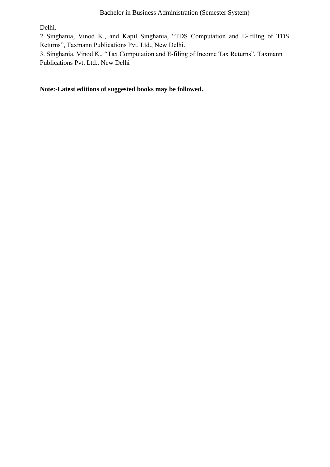Delhi.

2. Singhania, Vinod K., and Kapil Singhania, "TDS Computation and E- filing of TDS Returns", Taxmann Publications Pvt. Ltd., New Delhi.

3. Singhania, Vinod K., "Tax Computation and E-filing of Income Tax Returns", Taxmann Publications Pvt. Ltd., New Delhi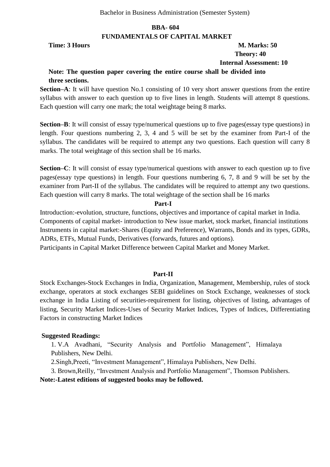#### **FUNDAMENTALS OF CAPITAL MARKET**

## **Time: 3 Hours M. Marks: 50 Theory: 40 Internal Assessment: 10**

## **Note: The question paper covering the entire course shall be divided into three sections.**

**Section–A**: It will have question No.1 consisting of 10 very short answer questions from the entire syllabus with answer to each question up to five lines in length. Students will attempt 8 questions. Each question will carry one mark; the total weightage being 8 marks.

**Section–B**: It will consist of essay type/numerical questions up to five pages(essay type questions) in length. Four questions numbering 2, 3, 4 and 5 will be set by the examiner from Part-I of the syllabus. The candidates will be required to attempt any two questions. Each question will carry 8 marks. The total weightage of this section shall be 16 marks.

**Section–C**: It will consist of essay type/numerical questions with answer to each question up to five pages(essay type questions) in length. Four questions numbering 6, 7, 8 and 9 will be set by the examiner from Part-II of the syllabus. The candidates will be required to attempt any two questions. Each question will carry 8 marks. The total weightage of the section shall be 16 marks

#### **Part-I**

Introduction:-evolution, structure, functions, objectives and importance of capital market in India. Components of capital market- introduction to New issue market, stock market, financial institutions Instruments in capital market:-Shares (Equity and Preference), Warrants, Bonds and its types, GDRs, ADRs, ETFs, Mutual Funds, Derivatives (forwards, futures and options).

Participants in Capital Market Difference between Capital Market and Money Market.

## **Part-II**

Stock Exchanges-Stock Exchanges in India, Organization, Management, Membership, rules of stock exchange, operators at stock exchanges SEBI guidelines on Stock Exchange, weaknesses of stock exchange in India Listing of securities-requirement for listing, objectives of listing, advantages of listing, Security Market Indices-Uses of Security Market Indices, Types of Indices, Differentiating Factors in constructing Market Indices

## **Suggested Readings:**

1. V.A Avadhani, "Security Analysis and Portfolio Management", Himalaya Publishers, New Delhi.

2. Singh, Preeti, "Investment Management", Himalaya Publishers, New Delhi.

3. Brown, Reilly, "Investment Analysis and Portfolio Management", Thomson Publishers.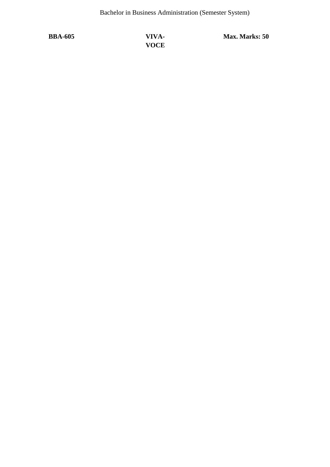**BBA-605 VIVA-VOCE** **Max. Marks: 50**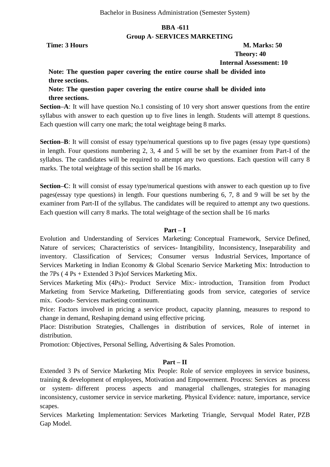## **BBA -611 Group A- SERVICES MARKETING**

**Time: 3 Hours M. Marks: 50** 

 **Theory: 40**

 **Internal Assessment: 10**

## **Note: The question paper covering the entire course shall be divided into three sections.**

**Note: The question paper covering the entire course shall be divided into three sections.**

**Section–A**: It will have question No.1 consisting of 10 very short answer questions from the entire syllabus with answer to each question up to five lines in length. Students will attempt 8 questions. Each question will carry one mark; the total weightage being 8 marks.

**Section–B**: It will consist of essay type/numerical questions up to five pages (essay type questions) in length. Four questions numbering 2, 3, 4 and 5 will be set by the examiner from Part-I of the syllabus. The candidates will be required to attempt any two questions. Each question will carry 8 marks. The total weightage of this section shall be 16 marks.

**Section–C**: It will consist of essay type/numerical questions with answer to each question up to five pages(essay type questions) in length. Four questions numbering 6, 7, 8 and 9 will be set by the examiner from Part-II of the syllabus. The candidates will be required to attempt any two questions. Each question will carry 8 marks. The total weightage of the section shall be 16 marks

## **Part – I**

Evolution and Understanding of Services Marketing: Conceptual Framework, Service Defined, Nature of services; Characteristics of services- Intangibility, Inconsistency, Inseparability and inventory. Classification of Services; Consumer versus Industrial Services, Importance of Services Marketing in Indian Economy & Global Scenario Service Marketing Mix: Introduction to the 7Ps ( 4 Ps + Extended 3 Ps)of Services Marketing Mix.

Services Marketing Mix (4Ps):- Product Service Mix:- introduction, Transition from Product Marketing from Service Marketing, Differentiating goods from service, categories of service mix. Goods- Services marketing continuum.

Price: Factors involved in pricing a service product, capacity planning, measures to respond to change in demand, Reshaping demand using effective pricing.

Place: Distribution Strategies, Challenges in distribution of services, Role of internet in distribution.

Promotion: Objectives, Personal Selling, Advertising & Sales Promotion.

## **Part – II**

Extended 3 Ps of Service Marketing Mix People: Role of service employees in service business, training & development of employees, Motivation and Empowerment. Process: Services as process or system- different process aspects and managerial challenges, strategies for managing inconsistency, customer service in service marketing. Physical Evidence: nature, importance, service scapes.

Services Marketing Implementation: Services Marketing Triangle, Servqual Model Rater, PZB Gap Model.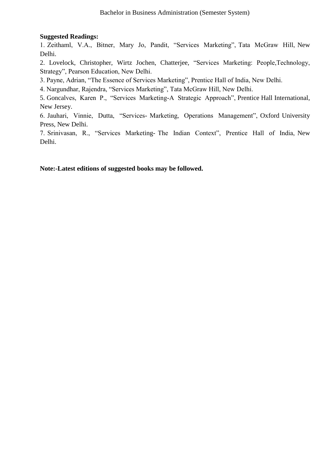## **Suggested Readings:**

1. Zeithaml, V.A., Bitner, Mary Jo, Pandit, "Services Marketing", Tata McGraw Hill, New Delhi.

2. Lovelock, Christopher, Wirtz Jochen, Chatterjee, "Services Marketing: People,Technology, Strategy", Pearson Education, New Delhi.

3. Payne, Adrian, "The Essence of Services Marketing", Prentice Hall of India, New Delhi.

4. Nargundhar, Rajendra, "Services Marketing", Tata McGraw Hill, New Delhi.

5. Goncalves, Karen P., "Services Marketing-A Strategic Approach", Prentice Hall International, New Jersey.

6. Jauhari, Vinnie, Dutta, "Services- Marketing, Operations Management", Oxford University Press, New Delhi.

7. Srinivasan, R., "Services Marketing- The Indian Context", Prentice Hall of India, New Delhi.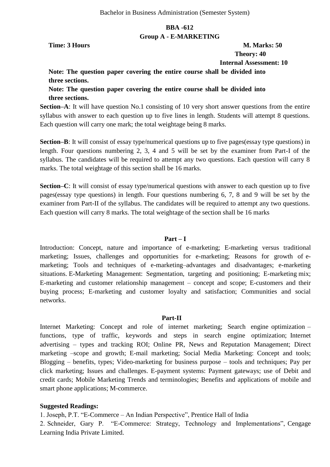## **BBA -612 Group A - E-MARKETING**

**Time: 3 Hours M. Marks: 50** 

 **Theory: 40 Internal Assessment: 10**

**Note: The question paper covering the entire course shall be divided into three sections.**

**Note: The question paper covering the entire course shall be divided into three sections.**

**Section–A**: It will have question No.1 consisting of 10 very short answer questions from the entire syllabus with answer to each question up to five lines in length. Students will attempt 8 questions. Each question will carry one mark; the total weightage being 8 marks.

**Section–B**: It will consist of essay type/numerical questions up to five pages(essay type questions) in length. Four questions numbering 2, 3, 4 and 5 will be set by the examiner from Part-I of the syllabus. The candidates will be required to attempt any two questions. Each question will carry 8 marks. The total weightage of this section shall be 16 marks.

**Section–C**: It will consist of essay type/numerical questions with answer to each question up to five pages(essay type questions) in length. Four questions numbering 6, 7, 8 and 9 will be set by the examiner from Part-II of the syllabus. The candidates will be required to attempt any two questions. Each question will carry 8 marks. The total weightage of the section shall be 16 marks

## **Part – I**

Introduction: Concept, nature and importance of e-marketing; E-marketing versus traditional marketing; Issues, challenges and opportunities for e-marketing; Reasons for growth of emarketing; Tools and techniques of e-marketing–advantages and disadvantages; e-marketing situations. E-Marketing Management: Segmentation, targeting and positioning; E-marketing mix; E-marketing and customer relationship management – concept and scope; E-customers and their buying process; E-marketing and customer loyalty and satisfaction; Communities and social networks.

#### **Part-II**

Internet Marketing: Concept and role of internet marketing; Search engine optimization – functions, type of traffic, keywords and steps in search engine optimization; Internet advertising – types and tracking ROI; Online PR, News and Reputation Management; Direct marketing –scope and growth; E-mail marketing; Social Media Marketing: Concept and tools; Blogging – benefits, types; Video-marketing for business purpose – tools and techniques; Pay per click marketing; Issues and challenges. E-payment systems: Payment gateways; use of Debit and credit cards; Mobile Marketing Trends and terminologies; Benefits and applications of mobile and smart phone applications; M-commerce.

#### **Suggested Readings:**

1. Joseph, P.T. "E-Commerce – An Indian Perspective", Prentice Hall of India

2. Schneider, Gary P. "E-Commerce: Strategy, Technology and Implementations", Cengage Learning India Private Limited.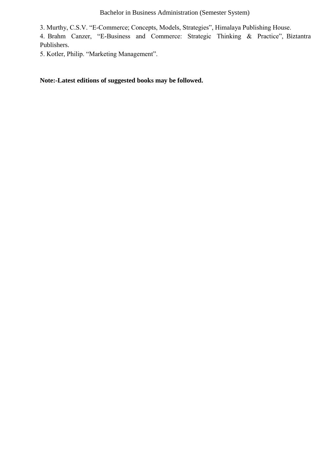Bachelor in Business Administration (Semester System)

3. Murthy, C.S.V. "E-Commerce; Concepts, Models, Strategies", Himalaya Publishing House.

4. Brahm Canzer, "E-Business and Commerce: Strategic Thinking & Practice", Biztantra Publishers.

5. Kotler, Philip. "Marketing Management".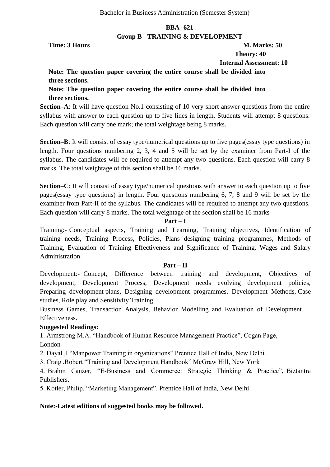## **BBA -621 Group B - TRAINING & DEVELOPMENT**

**Time: 3 Hours M. Marks: 50** 

 **Theory: 40**

 **Internal Assessment: 10**

## **Note: The question paper covering the entire course shall be divided into three sections.**

**Note: The question paper covering the entire course shall be divided into three sections.**

**Section–A**: It will have question No.1 consisting of 10 very short answer questions from the entire syllabus with answer to each question up to five lines in length. Students will attempt 8 questions. Each question will carry one mark; the total weightage being 8 marks.

**Section–B**: It will consist of essay type/numerical questions up to five pages(essay type questions) in length. Four questions numbering 2, 3, 4 and 5 will be set by the examiner from Part-I of the syllabus. The candidates will be required to attempt any two questions. Each question will carry 8 marks. The total weightage of this section shall be 16 marks.

**Section–C**: It will consist of essay type/numerical questions with answer to each question up to five pages(essay type questions) in length. Four questions numbering 6, 7, 8 and 9 will be set by the examiner from Part-II of the syllabus. The candidates will be required to attempt any two questions. Each question will carry 8 marks. The total weightage of the section shall be 16 marks

## **Part – I**

Training:- Conceptual aspects, Training and Learning, Training objectives, Identification of training needs, Training Process, Policies, Plans designing training programmes, Methods of Training, Evaluation of Training Effectiveness and Significance of Training. Wages and Salary Administration.

## **Part – II**

Development:- Concept, Difference between training and development, Objectives of development, Development Process, Development needs evolving development policies, Preparing development plans, Designing development programmes. Development Methods, Case studies, Role play and Sensitivity Training.

Business Games, Transaction Analysis, Behavior Modelling and Evaluation of Development Effectiveness.

## **Suggested Readings:**

1. Armstrong M.A. "Handbook of Human Resource Management Practice", Cogan Page, London

2. Dayal , I "Manpower Training in organizations" Prentice Hall of India, New Delhi.

3. Craig , Robert "Training and Development Handbook" McGraw Hill, New York

4. Brahm Canzer, "E-Business and Commerce: Strategic Thinking & Practice", Biztantra Publishers.

5. Kotler, Philip. "Marketing Management". Prentice Hall of India, New Delhi.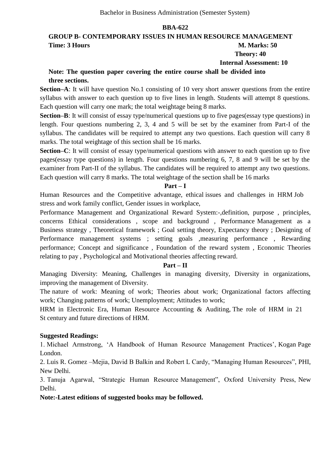## **GROUP B- CONTEMPORARY ISSUES IN HUMAN RESOURCE MANAGEMENT Time: 3 Hours M. Marks: 50**

#### **Theory: 40 Internal Assessment: 10**

## **Note: The question paper covering the entire course shall be divided into three sections.**

**Section–A**: It will have question No.1 consisting of 10 very short answer questions from the entire syllabus with answer to each question up to five lines in length. Students will attempt 8 questions. Each question will carry one mark; the total weightage being 8 marks.

**Section–B**: It will consist of essay type/numerical questions up to five pages(essay type questions) in length. Four questions numbering 2, 3, 4 and 5 will be set by the examiner from Part-I of the syllabus. The candidates will be required to attempt any two questions. Each question will carry 8 marks. The total weightage of this section shall be 16 marks.

**Section–C**: It will consist of essay type/numerical questions with answer to each question up to five pages(essay type questions) in length. Four questions numbering 6, 7, 8 and 9 will be set by the examiner from Part-II of the syllabus. The candidates will be required to attempt any two questions. Each question will carry 8 marks. The total weightage of the section shall be 16 marks

## **Part – I**

Human Resources and the Competitive advantage, ethical issues and challenges in HRM Job stress and work family conflict, Gender issues in workplace,

Performance Management and Organizational Reward System:-,definition, purpose , principles, concerns Ethical considerations , scope and background , Performance Management as a Business strategy , Theoretical framework ; Goal setting theory, Expectancy theory ; Designing of Performance management systems ; setting goals ,measuring performance , Rewarding performance; Concept and significance , Foundation of the reward system , Economic Theories relating to pay , Psychological and Motivational theories affecting reward.

## **Part – II**

Managing Diversity: Meaning, Challenges in managing diversity, Diversity in organizations, improving the management of Diversity.

The nature of work: Meaning of work; Theories about work; Organizational factors affecting work; Changing patterns of work; Unemployment; Attitudes to work;

HRM in Electronic Era, Human Resource Accounting & Auditing, The role of HRM in 21 St century and future directions of HRM.

## **Suggested Readings:**

1. Michael Armstrong, ‗A Handbook of Human Resource Management Practices', Kogan Page London.

2. Luis R. Gomez –Mejia, David B Balkin and Robert L Cardy, "Managing Human Resources", PHI, New Delhi.

3. Tanuja Agarwal, "Strategic Human Resource Management", Oxford University Press, New Delhi.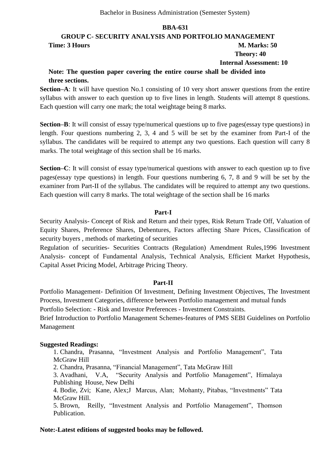## **GROUP C- SECURITY ANALYSIS AND PORTFOLIO MANAGEMENT Time: 3 Hours M. Marks: 50 Theory: 40 Internal Assessment: 10**

## **Note: The question paper covering the entire course shall be divided into three sections.**

**Section–A**: It will have question No.1 consisting of 10 very short answer questions from the entire syllabus with answer to each question up to five lines in length. Students will attempt 8 questions. Each question will carry one mark; the total weightage being 8 marks.

**Section–B**: It will consist of essay type/numerical questions up to five pages(essay type questions) in length. Four questions numbering 2, 3, 4 and 5 will be set by the examiner from Part-I of the syllabus. The candidates will be required to attempt any two questions. Each question will carry 8 marks. The total weightage of this section shall be 16 marks.

**Section–C**: It will consist of essay type/numerical questions with answer to each question up to five pages(essay type questions) in length. Four questions numbering 6, 7, 8 and 9 will be set by the examiner from Part-II of the syllabus. The candidates will be required to attempt any two questions. Each question will carry 8 marks. The total weightage of the section shall be 16 marks

#### **Part-I**

Security Analysis- Concept of Risk and Return and their types, Risk Return Trade Off, Valuation of Equity Shares, Preference Shares, Debentures, Factors affecting Share Prices, Classification of security buyers , methods of marketing of securities

Regulation of securities- Securities Contracts (Regulation) Amendment Rules,1996 Investment Analysis- concept of Fundamental Analysis, Technical Analysis, Efficient Market Hypothesis, Capital Asset Pricing Model, Arbitrage Pricing Theory.

#### **Part-II**

Portfolio Management- Definition Of Investment, Defining Investment Objectives, The Investment Process, Investment Categories, difference between Portfolio management and mutual funds

Portfolio Selection: - Risk and Investor Preferences - Investment Constraints.

Brief Introduction to Portfolio Management Schemes-features of PMS SEBI Guidelines on Portfolio Management

## **Suggested Readings:**

1. Chandra, Prasanna, "Investment Analysis and Portfolio Management", Tata McGraw Hill

2. Chandra, Prasanna, "Financial Management", Tata McGraw Hill

3. Avadhani, V.A, "Security Analysis and Portfolio Management", Himalaya Publishing House, New Delhi

4. Bodie, Zvi; Kane, Alex;J Marcus, Alan; Mohanty, Pitabas, "Investments" Tata McGraw Hill.

5. Brown, Reilly, "Investment Analysis and Portfolio Management", Thomson Publication.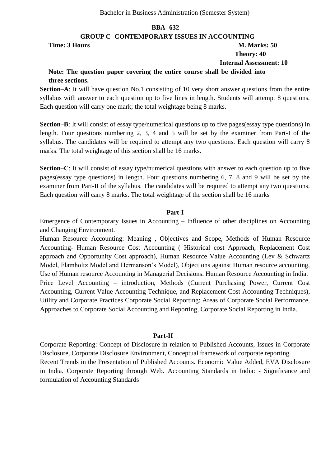## **GROUP C -CONTEMPORARY ISSUES IN ACCOUNTING**

**Time: 3 Hours M. Marks: 50** 

# **Theory: 40**

## **Internal Assessment: 10**

## **Note: The question paper covering the entire course shall be divided into three sections.**

**Section–A**: It will have question No.1 consisting of 10 very short answer questions from the entire syllabus with answer to each question up to five lines in length. Students will attempt 8 questions. Each question will carry one mark; the total weightage being 8 marks.

**Section–B**: It will consist of essay type/numerical questions up to five pages(essay type questions) in length. Four questions numbering 2, 3, 4 and 5 will be set by the examiner from Part-I of the syllabus. The candidates will be required to attempt any two questions. Each question will carry 8 marks. The total weightage of this section shall be 16 marks.

**Section–C**: It will consist of essay type/numerical questions with answer to each question up to five pages(essay type questions) in length. Four questions numbering 6, 7, 8 and 9 will be set by the examiner from Part-II of the syllabus. The candidates will be required to attempt any two questions. Each question will carry 8 marks. The total weightage of the section shall be 16 marks

## **Part-I**

Emergence of Contemporary Issues in Accounting – Influence of other disciplines on Accounting and Changing Environment.

Human Resource Accounting: Meaning , Objectives and Scope, Methods of Human Resource Accounting- Human Resource Cost Accounting ( Historical cost Approach, Replacement Cost approach and Opportunity Cost approach), Human Resource Value Accounting (Lev & Schwartz Model, Flamholtz Model and Hermanson's Model), Objections against Human resource accounting, Use of Human resource Accounting in Managerial Decisions. Human Resource Accounting in India. Price Level Accounting – introduction, Methods (Current Purchasing Power, Current Cost Accounting, Current Value Accounting Technique, and Replacement Cost Accounting Techniques), Utility and Corporate Practices Corporate Social Reporting: Areas of Corporate Social Performance, Approaches to Corporate Social Accounting and Reporting, Corporate Social Reporting in India.

#### **Part-II**

Corporate Reporting: Concept of Disclosure in relation to Published Accounts, Issues in Corporate Disclosure, Corporate Disclosure Environment, Conceptual framework of corporate reporting. Recent Trends in the Presentation of Published Accounts. Economic Value Added, EVA Disclosure in India. Corporate Reporting through Web. Accounting Standards in India: - Significance and formulation of Accounting Standards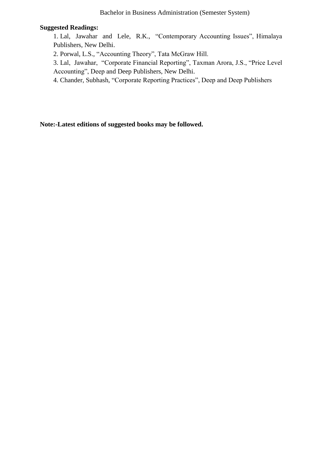## **Suggested Readings:**

1. Lal, Jawahar and Lele, R.K., "Contemporary Accounting Issues", Himalaya Publishers, New Delhi.

2. Porwal, L.S., "Accounting Theory", Tata McGraw Hill.

3. Lal, Jawahar, "Corporate Financial Reporting", Taxman Arora, J.S., "Price Level Accounting", Deep and Deep Publishers, New Delhi.

4. Chander, Subhash, "Corporate Reporting Practices", Deep and Deep Publishers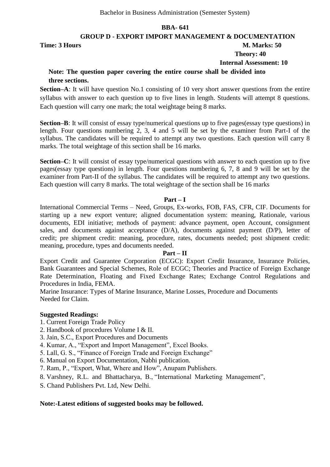**GROUP D - EXPORT IMPORT MANAGEMENT & DOCUMENTATION**

**Time: 3 Hours M. Marks: 50** 

# **Theory: 40**

 **Internal Assessment: 10**

## **Note: The question paper covering the entire course shall be divided into three sections.**

**Section–A**: It will have question No.1 consisting of 10 very short answer questions from the entire syllabus with answer to each question up to five lines in length. Students will attempt 8 questions. Each question will carry one mark; the total weightage being 8 marks.

**Section–B**: It will consist of essay type/numerical questions up to five pages(essay type questions) in length. Four questions numbering 2, 3, 4 and 5 will be set by the examiner from Part-I of the syllabus. The candidates will be required to attempt any two questions. Each question will carry 8 marks. The total weightage of this section shall be 16 marks.

**Section–C**: It will consist of essay type/numerical questions with answer to each question up to five pages(essay type questions) in length. Four questions numbering 6, 7, 8 and 9 will be set by the examiner from Part-II of the syllabus. The candidates will be required to attempt any two questions. Each question will carry 8 marks. The total weightage of the section shall be 16 marks

#### **Part – I**

International Commercial Terms – Need, Groups, Ex-works, FOB, FAS, CFR, CIF. Documents for starting up a new export venture; aligned documentation system: meaning, Rationale, various documents, EDI initiative; methods of payment: advance payment, open Account, consignment sales, and documents against acceptance (D/A), documents against payment (D/P), letter of credit; pre shipment credit: meaning, procedure, rates, documents needed; post shipment credit: meaning, procedure, types and documents needed.

## **Part – II**

Export Credit and Guarantee Corporation (ECGC): Export Credit Insurance, Insurance Policies, Bank Guarantees and Special Schemes, Role of ECGC; Theories and Practice of Foreign Exchange Rate Determination, Floating and Fixed Exchange Rates; Exchange Control Regulations and Procedures in India, FEMA.

Marine Insurance: Types of Marine Insurance, Marine Losses, Procedure and Documents Needed for Claim.

## **Suggested Readings:**

- 1. Current Foreign Trade Policy
- 2. Handbook of procedures Volume I & II.
- 3. Jain, S.C., Export Procedures and Documents
- 4. Kumar, A., "Export and Import Management", Excel Books.
- 5. Lall, G. S., "Finance of Foreign Trade and Foreign Exchange"
- 6. Manual on Export Documentation, Nabhi publication.
- 7. Ram, P., "Export, What, Where and How", Anupam Publishers.
- 8. Varshney, R.L. and Bhattacharya, B., "International Marketing Management",
- S. Chand Publishers Pvt. Ltd, New Delhi.